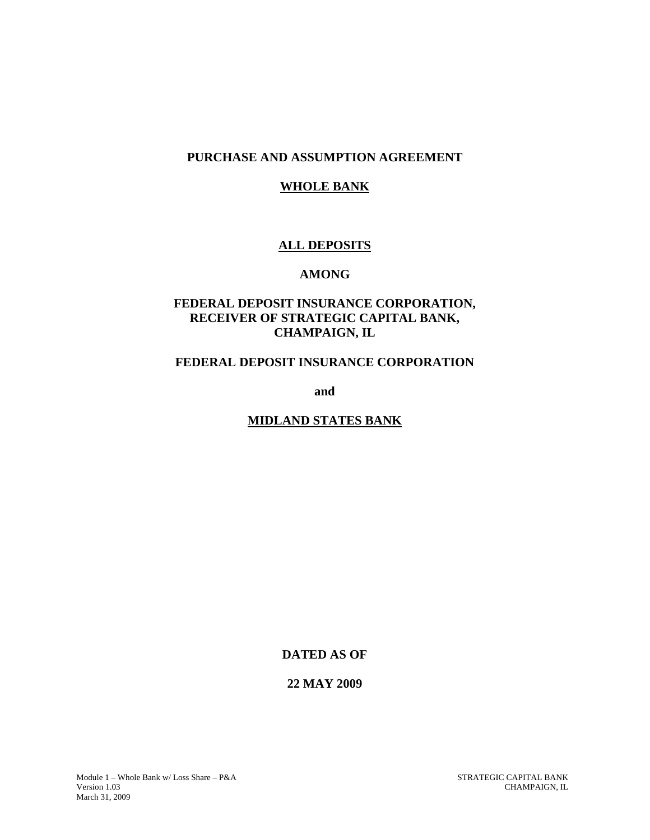#### **PURCHASE AND ASSUMPTION AGREEMENT**

#### **WHOLE BANK**

#### **ALL DEPOSITS**

#### **AMONG**

### **FEDERAL DEPOSIT INSURANCE CORPORATION, RECEIVER OF STRATEGIC CAPITAL BANK, CHAMPAIGN, IL**

#### **FEDERAL DEPOSIT INSURANCE CORPORATION**

**and** 

### **MIDLAND STATES BANK**

**DATED AS OF** 

**22 MAY 2009**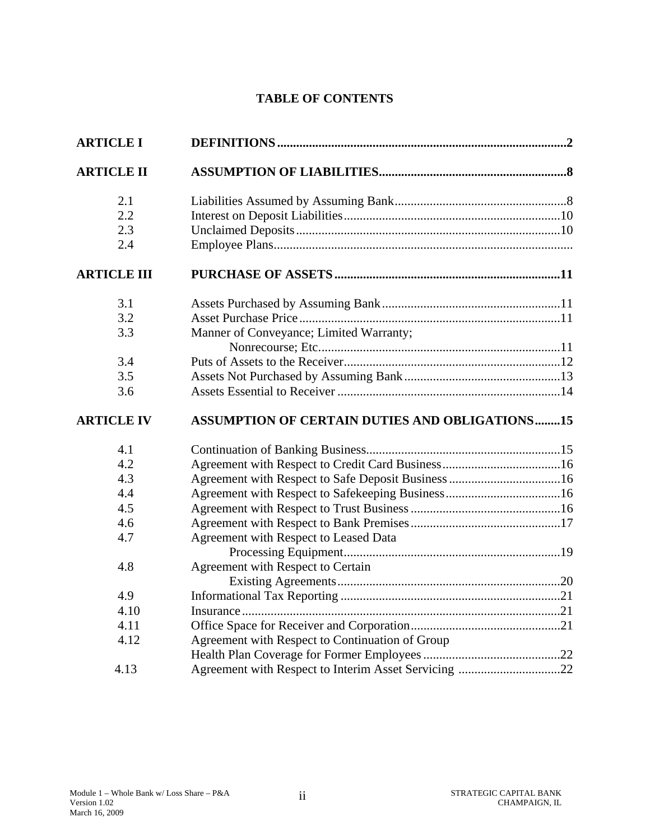## **TABLE OF CONTENTS**

| <b>ARTICLE I</b>   |                                                       |
|--------------------|-------------------------------------------------------|
| <b>ARTICLE II</b>  |                                                       |
| 2.1                |                                                       |
| 2.2                |                                                       |
| 2.3                |                                                       |
| 2.4                |                                                       |
| <b>ARTICLE III</b> |                                                       |
| 3.1                |                                                       |
| 3.2                |                                                       |
| 3.3                | Manner of Conveyance; Limited Warranty;               |
|                    |                                                       |
| 3.4                |                                                       |
| 3.5                |                                                       |
| 3.6                |                                                       |
| <b>ARTICLE IV</b>  | <b>ASSUMPTION OF CERTAIN DUTIES AND OBLIGATIONS15</b> |
| 4.1                |                                                       |
| 4.2                |                                                       |
| 4.3                |                                                       |
| 4.4                |                                                       |
| 4.5                |                                                       |
| 4.6                |                                                       |
| 4.7                | Agreement with Respect to Leased Data                 |
|                    |                                                       |
| 4.8                | Agreement with Respect to Certain                     |
|                    |                                                       |
| 4.9                |                                                       |
| 4.10               |                                                       |
|                    |                                                       |
| 4.11               |                                                       |
| 4.12               | Agreement with Respect to Continuation of Group       |
|                    |                                                       |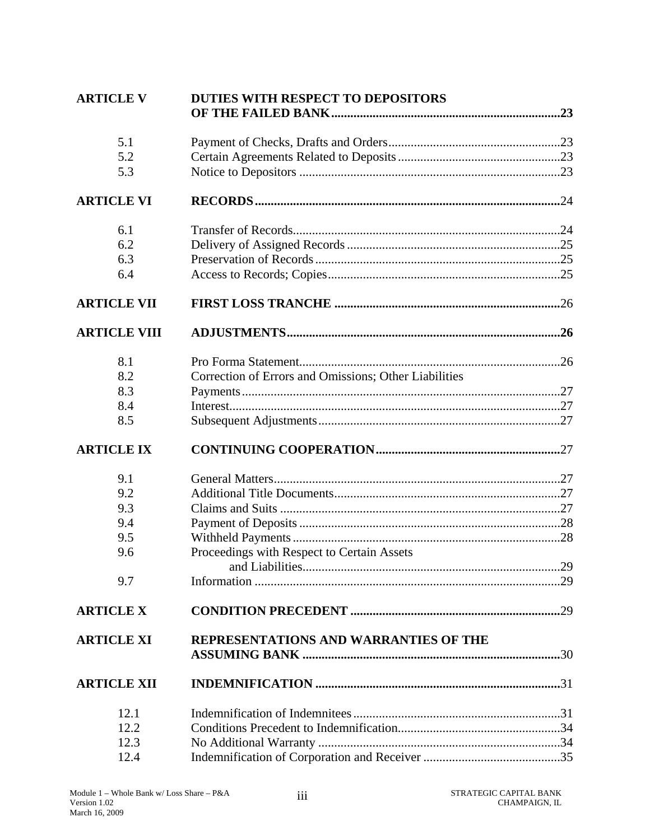| <b>ARTICLE V</b>    | <b>DUTIES WITH RESPECT TO DEPOSITORS</b>              |  |
|---------------------|-------------------------------------------------------|--|
|                     |                                                       |  |
| 5.1                 |                                                       |  |
| 5.2                 |                                                       |  |
| 5.3                 |                                                       |  |
| <b>ARTICLE VI</b>   |                                                       |  |
| 6.1                 |                                                       |  |
| 6.2                 |                                                       |  |
| 6.3                 |                                                       |  |
| 6.4                 |                                                       |  |
| <b>ARTICLE VII</b>  |                                                       |  |
| <b>ARTICLE VIII</b> |                                                       |  |
| 8.1                 |                                                       |  |
| 8.2                 | Correction of Errors and Omissions; Other Liabilities |  |
| 8.3                 |                                                       |  |
| 8.4                 |                                                       |  |
| 8.5                 |                                                       |  |
| <b>ARTICLE IX</b>   |                                                       |  |
| 9.1                 |                                                       |  |
| 9.2                 |                                                       |  |
| 9.3                 |                                                       |  |
| 9.4                 |                                                       |  |
| 9.5                 |                                                       |  |
| 9.6                 | Proceedings with Respect to Certain Assets            |  |
|                     |                                                       |  |
| 9.7                 |                                                       |  |
| <b>ARTICLE X</b>    |                                                       |  |
| <b>ARTICLE XI</b>   | <b>REPRESENTATIONS AND WARRANTIES OF THE</b>          |  |
| <b>ARTICLE XII</b>  |                                                       |  |
| 12.1                |                                                       |  |
| 12.2                |                                                       |  |
| 12.3                |                                                       |  |
| 12.4                |                                                       |  |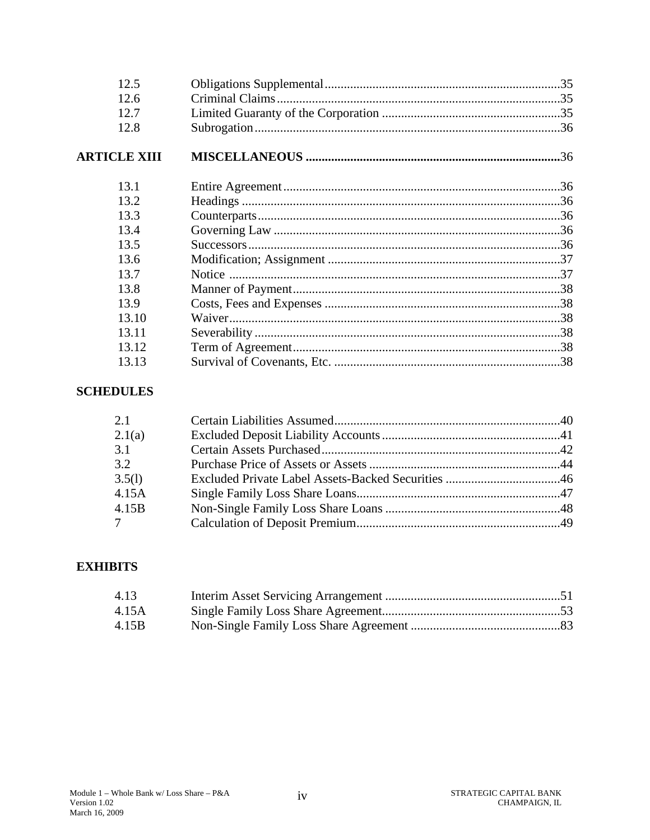| 12.5                |  |
|---------------------|--|
| 12.6                |  |
| 12.7                |  |
| 12.8                |  |
| <b>ARTICLE XIII</b> |  |
| 13.1                |  |
| 13.2                |  |
| 13.3                |  |
| 13.4                |  |
| 13.5                |  |
| 13.6                |  |
| 13.7                |  |
| 13.8                |  |
| 13.9                |  |
| 13.10               |  |
| 13.11               |  |
| 13.12               |  |
| 13.13               |  |

## **SCHEDULES**

| 2.1             |  |
|-----------------|--|
| 2.1(a)          |  |
| 3.1             |  |
| 3.2             |  |
| 3.5(l)          |  |
| 4.15A           |  |
| 4.15B           |  |
| $7\overline{ }$ |  |

## **EXHIBITS**

| 4.13  |  |
|-------|--|
| 4.15A |  |
| 4.15B |  |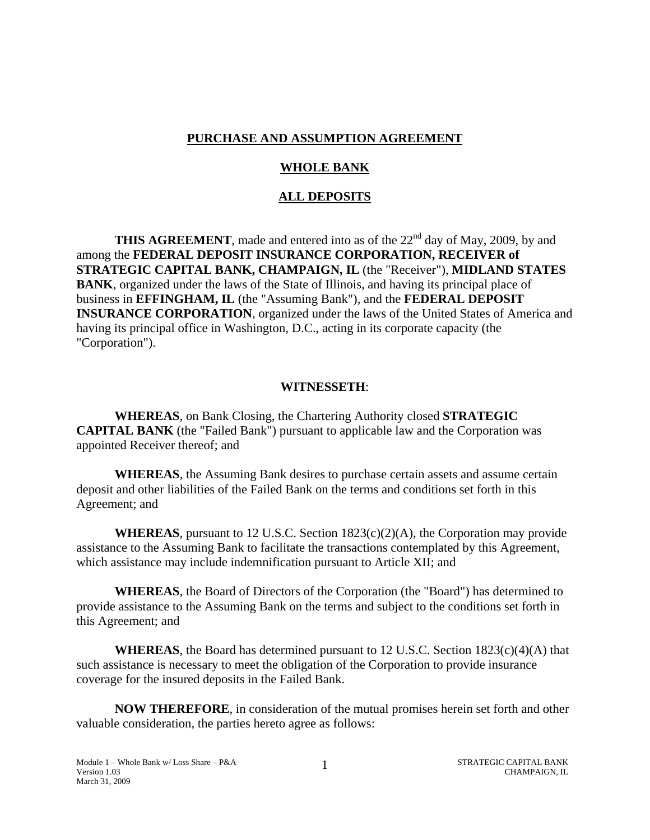### **PURCHASE AND ASSUMPTION AGREEMENT**

### **WHOLE BANK**

### **ALL DEPOSITS**

**THIS AGREEMENT**, made and entered into as of the  $22<sup>nd</sup>$  day of May, 2009, by and among the **FEDERAL DEPOSIT INSURANCE CORPORATION, RECEIVER of STRATEGIC CAPITAL BANK, CHAMPAIGN, IL** (the "Receiver"), **MIDLAND STATES BANK**, organized under the laws of the State of Illinois, and having its principal place of business in **EFFINGHAM, IL** (the "Assuming Bank"), and the **FEDERAL DEPOSIT INSURANCE CORPORATION**, organized under the laws of the United States of America and having its principal office in Washington, D.C., acting in its corporate capacity (the "Corporation").

#### **WITNESSETH**:

**WHEREAS**, on Bank Closing, the Chartering Authority closed **STRATEGIC CAPITAL BANK** (the "Failed Bank") pursuant to applicable law and the Corporation was appointed Receiver thereof; and

**WHEREAS**, the Assuming Bank desires to purchase certain assets and assume certain deposit and other liabilities of the Failed Bank on the terms and conditions set forth in this Agreement; and

**WHEREAS**, pursuant to 12 U.S.C. Section 1823(c)(2)(A), the Corporation may provide assistance to the Assuming Bank to facilitate the transactions contemplated by this Agreement, which assistance may include indemnification pursuant to Article XII; and

**WHEREAS**, the Board of Directors of the Corporation (the "Board") has determined to provide assistance to the Assuming Bank on the terms and subject to the conditions set forth in this Agreement; and

**WHEREAS**, the Board has determined pursuant to 12 U.S.C. Section 1823(c)(4)(A) that such assistance is necessary to meet the obligation of the Corporation to provide insurance coverage for the insured deposits in the Failed Bank.

 **NOW THEREFORE**, in consideration of the mutual promises herein set forth and other valuable consideration, the parties hereto agree as follows: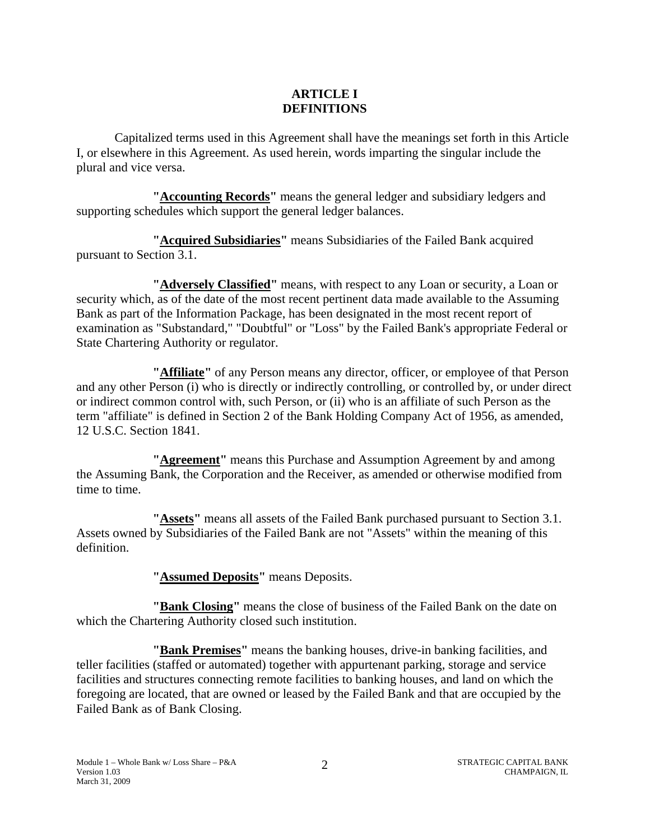### **ARTICLE I DEFINITIONS**

<span id="page-5-0"></span>Capitalized terms used in this Agreement shall have the meanings set forth in this Article I, or elsewhere in this Agreement. As used herein, words imparting the singular include the plural and vice versa.

**"Accounting Records"** means the general ledger and subsidiary ledgers and supporting schedules which support the general ledger balances.

**"Acquired Subsidiaries"** means Subsidiaries of the Failed Bank acquired pursuant to Section 3.1.

**"Adversely Classified"** means, with respect to any Loan or security, a Loan or security which, as of the date of the most recent pertinent data made available to the Assuming Bank as part of the Information Package, has been designated in the most recent report of examination as "Substandard," "Doubtful" or "Loss" by the Failed Bank's appropriate Federal or State Chartering Authority or regulator.

**"Affiliate"** of any Person means any director, officer, or employee of that Person and any other Person (i) who is directly or indirectly controlling, or controlled by, or under direct or indirect common control with, such Person, or (ii) who is an affiliate of such Person as the term "affiliate" is defined in Section 2 of the Bank Holding Company Act of 1956, as amended, 12 U.S.C. Section 1841.

**"Agreement"** means this Purchase and Assumption Agreement by and among the Assuming Bank, the Corporation and the Receiver, as amended or otherwise modified from time to time.

**"Assets"** means all assets of the Failed Bank purchased pursuant to Section 3.1. Assets owned by Subsidiaries of the Failed Bank are not "Assets" within the meaning of this definition.

**"Assumed Deposits"** means Deposits.

**"Bank Closing"** means the close of business of the Failed Bank on the date on which the Chartering Authority closed such institution.

**"Bank Premises"** means the banking houses, drive-in banking facilities, and teller facilities (staffed or automated) together with appurtenant parking, storage and service facilities and structures connecting remote facilities to banking houses, and land on which the foregoing are located, that are owned or leased by the Failed Bank and that are occupied by the Failed Bank as of Bank Closing.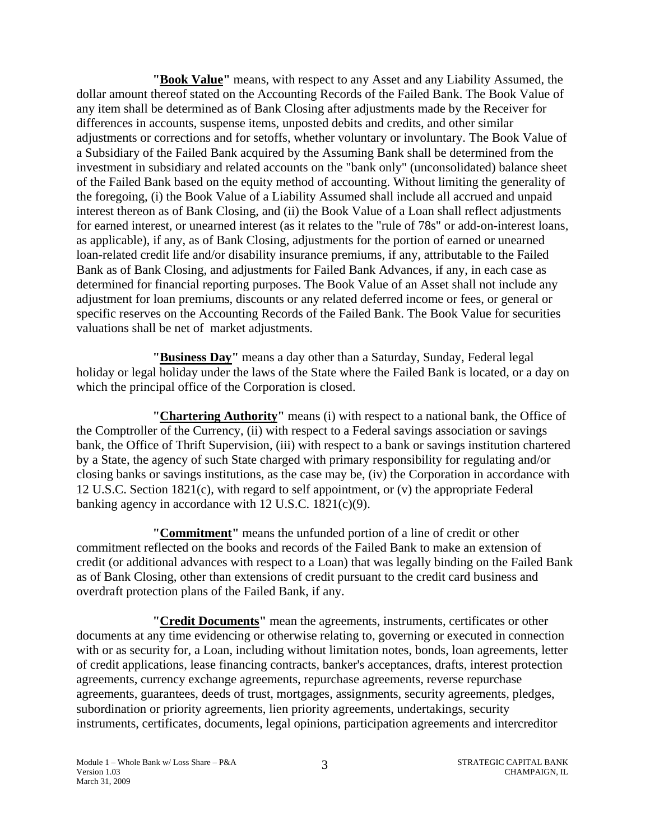**"Book Value"** means, with respect to any Asset and any Liability Assumed, the dollar amount thereof stated on the Accounting Records of the Failed Bank. The Book Value of any item shall be determined as of Bank Closing after adjustments made by the Receiver for differences in accounts, suspense items, unposted debits and credits, and other similar adjustments or corrections and for setoffs, whether voluntary or involuntary. The Book Value of a Subsidiary of the Failed Bank acquired by the Assuming Bank shall be determined from the investment in subsidiary and related accounts on the "bank only" (unconsolidated) balance sheet of the Failed Bank based on the equity method of accounting. Without limiting the generality of the foregoing, (i) the Book Value of a Liability Assumed shall include all accrued and unpaid interest thereon as of Bank Closing, and (ii) the Book Value of a Loan shall reflect adjustments for earned interest, or unearned interest (as it relates to the "rule of 78s" or add-on-interest loans, as applicable), if any, as of Bank Closing, adjustments for the portion of earned or unearned loan-related credit life and/or disability insurance premiums, if any, attributable to the Failed Bank as of Bank Closing, and adjustments for Failed Bank Advances, if any, in each case as determined for financial reporting purposes. The Book Value of an Asset shall not include any adjustment for loan premiums, discounts or any related deferred income or fees, or general or specific reserves on the Accounting Records of the Failed Bank. The Book Value for securities valuations shall be net of market adjustments.

**"Business Day"** means a day other than a Saturday, Sunday, Federal legal holiday or legal holiday under the laws of the State where the Failed Bank is located, or a day on which the principal office of the Corporation is closed.

**"Chartering Authority"** means (i) with respect to a national bank, the Office of the Comptroller of the Currency, (ii) with respect to a Federal savings association or savings bank, the Office of Thrift Supervision, (iii) with respect to a bank or savings institution chartered by a State, the agency of such State charged with primary responsibility for regulating and/or closing banks or savings institutions, as the case may be, (iv) the Corporation in accordance with 12 U.S.C. Section 1821(c), with regard to self appointment, or (v) the appropriate Federal banking agency in accordance with 12 U.S.C. 1821(c)(9).

**"Commitment"** means the unfunded portion of a line of credit or other commitment reflected on the books and records of the Failed Bank to make an extension of credit (or additional advances with respect to a Loan) that was legally binding on the Failed Bank as of Bank Closing, other than extensions of credit pursuant to the credit card business and overdraft protection plans of the Failed Bank, if any.

**"Credit Documents"** mean the agreements, instruments, certificates or other documents at any time evidencing or otherwise relating to, governing or executed in connection with or as security for, a Loan, including without limitation notes, bonds, loan agreements, letter of credit applications, lease financing contracts, banker's acceptances, drafts, interest protection agreements, currency exchange agreements, repurchase agreements, reverse repurchase agreements, guarantees, deeds of trust, mortgages, assignments, security agreements, pledges, subordination or priority agreements, lien priority agreements, undertakings, security instruments, certificates, documents, legal opinions, participation agreements and intercreditor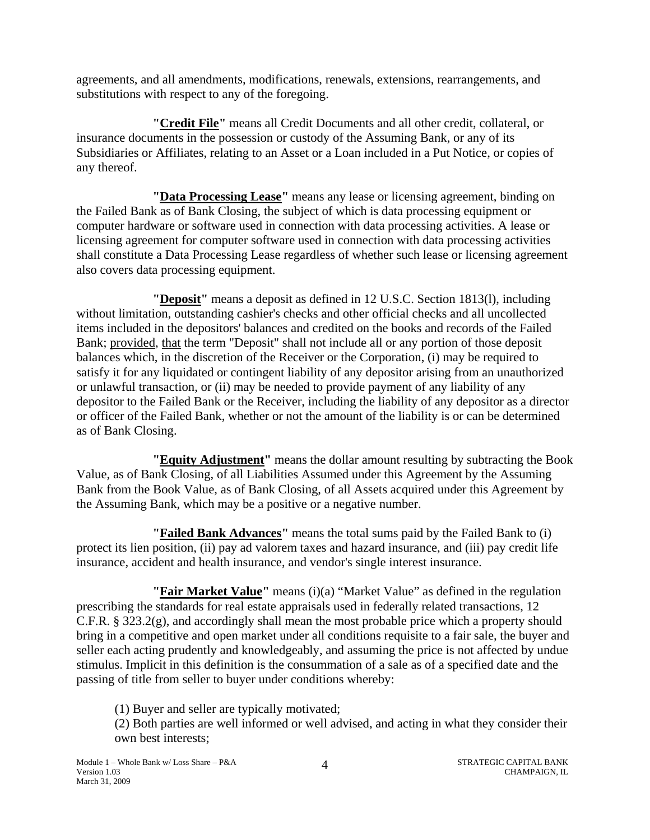agreements, and all amendments, modifications, renewals, extensions, rearrangements, and substitutions with respect to any of the foregoing.

**"Credit File"** means all Credit Documents and all other credit, collateral, or insurance documents in the possession or custody of the Assuming Bank, or any of its Subsidiaries or Affiliates, relating to an Asset or a Loan included in a Put Notice, or copies of any thereof.

**"Data Processing Lease"** means any lease or licensing agreement, binding on the Failed Bank as of Bank Closing, the subject of which is data processing equipment or computer hardware or software used in connection with data processing activities. A lease or licensing agreement for computer software used in connection with data processing activities shall constitute a Data Processing Lease regardless of whether such lease or licensing agreement also covers data processing equipment.

**"Deposit"** means a deposit as defined in 12 U.S.C. Section 1813(l), including without limitation, outstanding cashier's checks and other official checks and all uncollected items included in the depositors' balances and credited on the books and records of the Failed Bank; provided, that the term "Deposit" shall not include all or any portion of those deposit balances which, in the discretion of the Receiver or the Corporation, (i) may be required to satisfy it for any liquidated or contingent liability of any depositor arising from an unauthorized or unlawful transaction, or (ii) may be needed to provide payment of any liability of any depositor to the Failed Bank or the Receiver, including the liability of any depositor as a director or officer of the Failed Bank, whether or not the amount of the liability is or can be determined as of Bank Closing.

**"Equity Adjustment"** means the dollar amount resulting by subtracting the Book Value, as of Bank Closing, of all Liabilities Assumed under this Agreement by the Assuming Bank from the Book Value, as of Bank Closing, of all Assets acquired under this Agreement by the Assuming Bank, which may be a positive or a negative number.

**"Failed Bank Advances"** means the total sums paid by the Failed Bank to (i) protect its lien position, (ii) pay ad valorem taxes and hazard insurance, and (iii) pay credit life insurance, accident and health insurance, and vendor's single interest insurance.

**"Fair Market Value"** means (i)(a) "Market Value" as defined in the regulation prescribing the standards for real estate appraisals used in federally related transactions, 12 C.F.R. § 323.2(g), and accordingly shall mean the most probable price which a property should bring in a competitive and open market under all conditions requisite to a fair sale, the buyer and seller each acting prudently and knowledgeably, and assuming the price is not affected by undue stimulus. Implicit in this definition is the consummation of a sale as of a specified date and the passing of title from seller to buyer under conditions whereby:

(1) Buyer and seller are typically motivated;

(2) Both parties are well informed or well advised, and acting in what they consider their own best interests;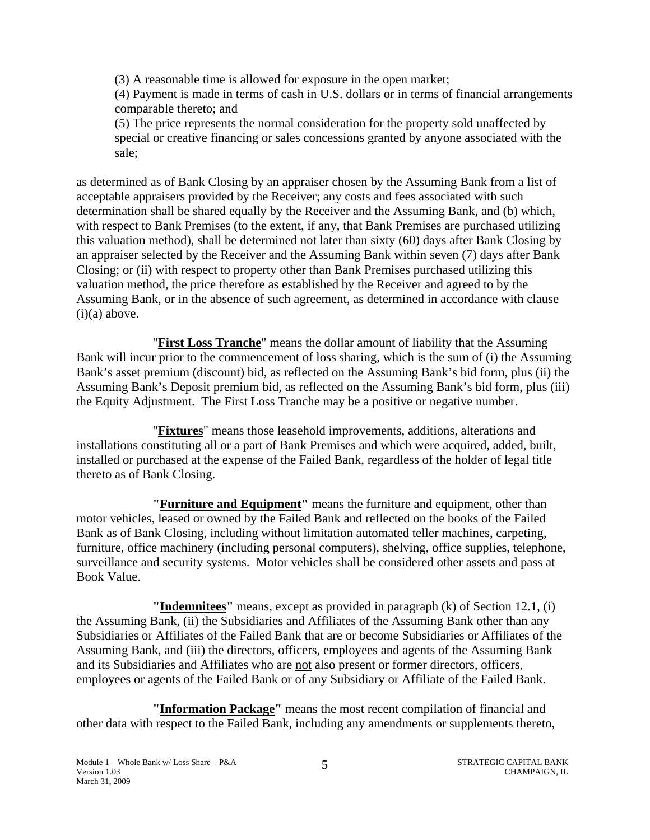(3) A reasonable time is allowed for exposure in the open market;

(4) Payment is made in terms of cash in U.S. dollars or in terms of financial arrangements comparable thereto; and

(5) The price represents the normal consideration for the property sold unaffected by special or creative financing or sales concessions granted by anyone associated with the sale;

as determined as of Bank Closing by an appraiser chosen by the Assuming Bank from a list of acceptable appraisers provided by the Receiver; any costs and fees associated with such determination shall be shared equally by the Receiver and the Assuming Bank, and (b) which, with respect to Bank Premises (to the extent, if any, that Bank Premises are purchased utilizing this valuation method), shall be determined not later than sixty (60) days after Bank Closing by an appraiser selected by the Receiver and the Assuming Bank within seven (7) days after Bank Closing; or (ii) with respect to property other than Bank Premises purchased utilizing this valuation method, the price therefore as established by the Receiver and agreed to by the Assuming Bank, or in the absence of such agreement, as determined in accordance with clause  $(i)(a)$  above.

"**First Loss Tranche**" means the dollar amount of liability that the Assuming Bank will incur prior to the commencement of loss sharing, which is the sum of (i) the Assuming Bank's asset premium (discount) bid, as reflected on the Assuming Bank's bid form, plus (ii) the Assuming Bank's Deposit premium bid, as reflected on the Assuming Bank's bid form, plus (iii) the Equity Adjustment. The First Loss Tranche may be a positive or negative number.

"**Fixtures**" means those leasehold improvements, additions, alterations and installations constituting all or a part of Bank Premises and which were acquired, added, built, installed or purchased at the expense of the Failed Bank, regardless of the holder of legal title thereto as of Bank Closing.

**"Furniture and Equipment"** means the furniture and equipment, other than motor vehicles, leased or owned by the Failed Bank and reflected on the books of the Failed Bank as of Bank Closing, including without limitation automated teller machines, carpeting, furniture, office machinery (including personal computers), shelving, office supplies, telephone, surveillance and security systems. Motor vehicles shall be considered other assets and pass at Book Value.

**"Indemnitees"** means, except as provided in paragraph (k) of Section 12.1, (i) the Assuming Bank, (ii) the Subsidiaries and Affiliates of the Assuming Bank other than any Subsidiaries or Affiliates of the Failed Bank that are or become Subsidiaries or Affiliates of the Assuming Bank, and (iii) the directors, officers, employees and agents of the Assuming Bank and its Subsidiaries and Affiliates who are not also present or former directors, officers, employees or agents of the Failed Bank or of any Subsidiary or Affiliate of the Failed Bank.

**"Information Package"** means the most recent compilation of financial and other data with respect to the Failed Bank, including any amendments or supplements thereto,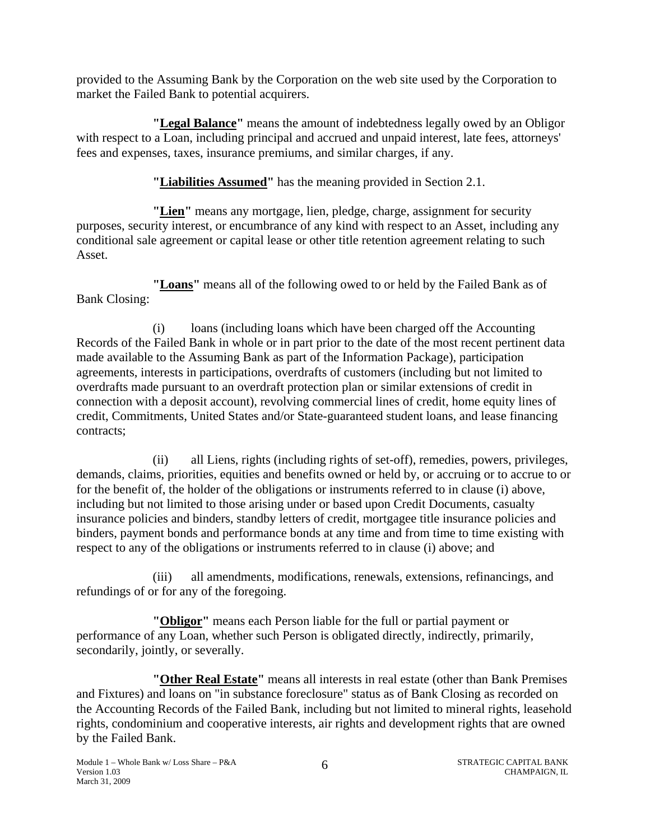provided to the Assuming Bank by the Corporation on the web site used by the Corporation to market the Failed Bank to potential acquirers.

**"Legal Balance"** means the amount of indebtedness legally owed by an Obligor with respect to a Loan, including principal and accrued and unpaid interest, late fees, attorneys' fees and expenses, taxes, insurance premiums, and similar charges, if any.

**"Liabilities Assumed"** has the meaning provided in Section 2.1.

**"Lien"** means any mortgage, lien, pledge, charge, assignment for security purposes, security interest, or encumbrance of any kind with respect to an Asset, including any conditional sale agreement or capital lease or other title retention agreement relating to such Asset.

**"Loans"** means all of the following owed to or held by the Failed Bank as of Bank Closing:

(i) loans (including loans which have been charged off the Accounting Records of the Failed Bank in whole or in part prior to the date of the most recent pertinent data made available to the Assuming Bank as part of the Information Package), participation agreements, interests in participations, overdrafts of customers (including but not limited to overdrafts made pursuant to an overdraft protection plan or similar extensions of credit in connection with a deposit account), revolving commercial lines of credit, home equity lines of credit, Commitments, United States and/or State-guaranteed student loans, and lease financing contracts;

(ii) all Liens, rights (including rights of set-off), remedies, powers, privileges, demands, claims, priorities, equities and benefits owned or held by, or accruing or to accrue to or for the benefit of, the holder of the obligations or instruments referred to in clause (i) above, including but not limited to those arising under or based upon Credit Documents, casualty insurance policies and binders, standby letters of credit, mortgagee title insurance policies and binders, payment bonds and performance bonds at any time and from time to time existing with respect to any of the obligations or instruments referred to in clause (i) above; and

(iii) all amendments, modifications, renewals, extensions, refinancings, and refundings of or for any of the foregoing.

**"Obligor"** means each Person liable for the full or partial payment or performance of any Loan, whether such Person is obligated directly, indirectly, primarily, secondarily, jointly, or severally.

**"Other Real Estate"** means all interests in real estate (other than Bank Premises and Fixtures) and loans on "in substance foreclosure" status as of Bank Closing as recorded on the Accounting Records of the Failed Bank, including but not limited to mineral rights, leasehold rights, condominium and cooperative interests, air rights and development rights that are owned by the Failed Bank.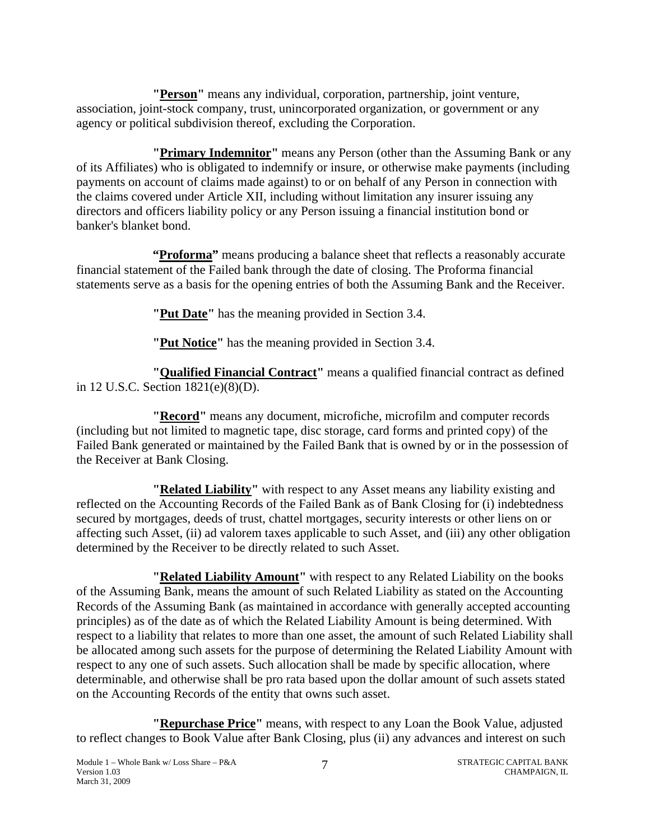**"Person"** means any individual, corporation, partnership, joint venture, association, joint-stock company, trust, unincorporated organization, or government or any agency or political subdivision thereof, excluding the Corporation.

**"Primary Indemnitor"** means any Person (other than the Assuming Bank or any of its Affiliates) who is obligated to indemnify or insure, or otherwise make payments (including payments on account of claims made against) to or on behalf of any Person in connection with the claims covered under Article XII, including without limitation any insurer issuing any directors and officers liability policy or any Person issuing a financial institution bond or banker's blanket bond.

**"Proforma"** means producing a balance sheet that reflects a reasonably accurate financial statement of the Failed bank through the date of closing. The Proforma financial statements serve as a basis for the opening entries of both the Assuming Bank and the Receiver.

**"Put Date"** has the meaning provided in Section 3.4.

**"Put Notice"** has the meaning provided in Section 3.4.

**"Qualified Financial Contract"** means a qualified financial contract as defined in 12 U.S.C. Section 1821(e)(8)(D).

**"Record"** means any document, microfiche, microfilm and computer records (including but not limited to magnetic tape, disc storage, card forms and printed copy) of the Failed Bank generated or maintained by the Failed Bank that is owned by or in the possession of the Receiver at Bank Closing.

**"Related Liability"** with respect to any Asset means any liability existing and reflected on the Accounting Records of the Failed Bank as of Bank Closing for (i) indebtedness secured by mortgages, deeds of trust, chattel mortgages, security interests or other liens on or affecting such Asset, (ii) ad valorem taxes applicable to such Asset, and (iii) any other obligation determined by the Receiver to be directly related to such Asset.

**"Related Liability Amount"** with respect to any Related Liability on the books of the Assuming Bank, means the amount of such Related Liability as stated on the Accounting Records of the Assuming Bank (as maintained in accordance with generally accepted accounting principles) as of the date as of which the Related Liability Amount is being determined. With respect to a liability that relates to more than one asset, the amount of such Related Liability shall be allocated among such assets for the purpose of determining the Related Liability Amount with respect to any one of such assets. Such allocation shall be made by specific allocation, where determinable, and otherwise shall be pro rata based upon the dollar amount of such assets stated on the Accounting Records of the entity that owns such asset.

 **"Repurchase Price"** means, with respect to any Loan the Book Value, adjusted to reflect changes to Book Value after Bank Closing, plus (ii) any advances and interest on such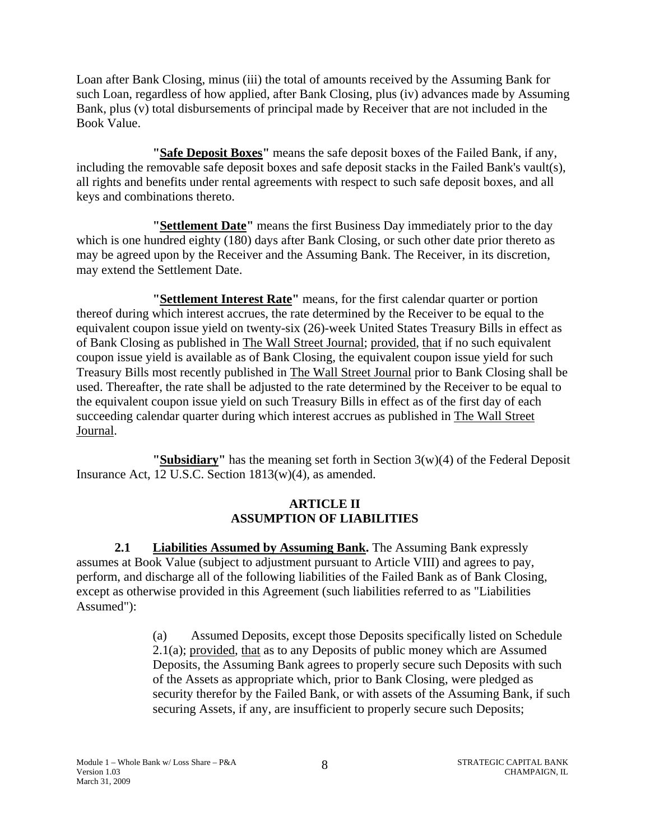<span id="page-11-0"></span>Loan after Bank Closing, minus (iii) the total of amounts received by the Assuming Bank for such Loan, regardless of how applied, after Bank Closing, plus (iv) advances made by Assuming Bank, plus (v) total disbursements of principal made by Receiver that are not included in the Book Value.

**"Safe Deposit Boxes"** means the safe deposit boxes of the Failed Bank, if any, including the removable safe deposit boxes and safe deposit stacks in the Failed Bank's vault(s), all rights and benefits under rental agreements with respect to such safe deposit boxes, and all keys and combinations thereto.

**"Settlement Date"** means the first Business Day immediately prior to the day which is one hundred eighty (180) days after Bank Closing, or such other date prior thereto as may be agreed upon by the Receiver and the Assuming Bank. The Receiver, in its discretion, may extend the Settlement Date.

**"Settlement Interest Rate"** means, for the first calendar quarter or portion thereof during which interest accrues, the rate determined by the Receiver to be equal to the equivalent coupon issue yield on twenty-six (26)-week United States Treasury Bills in effect as of Bank Closing as published in The Wall Street Journal; provided, that if no such equivalent coupon issue yield is available as of Bank Closing, the equivalent coupon issue yield for such Treasury Bills most recently published in The Wall Street Journal prior to Bank Closing shall be used. Thereafter, the rate shall be adjusted to the rate determined by the Receiver to be equal to the equivalent coupon issue yield on such Treasury Bills in effect as of the first day of each succeeding calendar quarter during which interest accrues as published in The Wall Street Journal.

**"Subsidiary"** has the meaning set forth in Section 3(w)(4) of the Federal Deposit Insurance Act, 12 U.S.C. Section 1813(w)(4), as amended.

#### **ARTICLE II ASSUMPTION OF LIABILITIES**

**2.1** Liabilities Assumed by Assuming Bank. The Assuming Bank expressly assumes at Book Value (subject to adjustment pursuant to Article VIII) and agrees to pay, perform, and discharge all of the following liabilities of the Failed Bank as of Bank Closing, except as otherwise provided in this Agreement (such liabilities referred to as "Liabilities Assumed"):

> (a) Assumed Deposits, except those Deposits specifically listed on Schedule 2.1(a); provided, that as to any Deposits of public money which are Assumed Deposits, the Assuming Bank agrees to properly secure such Deposits with such of the Assets as appropriate which, prior to Bank Closing, were pledged as security therefor by the Failed Bank, or with assets of the Assuming Bank, if such securing Assets, if any, are insufficient to properly secure such Deposits;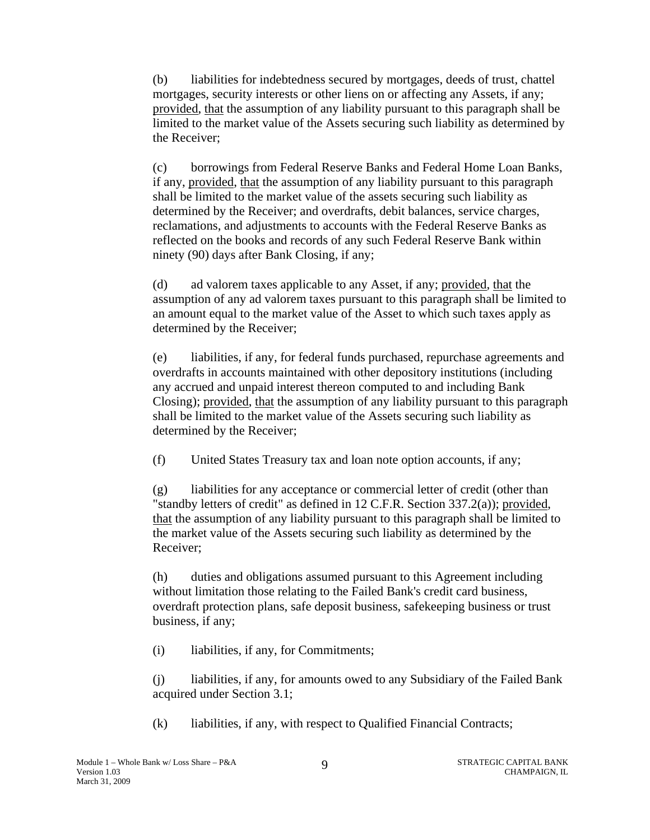(b) liabilities for indebtedness secured by mortgages, deeds of trust, chattel mortgages, security interests or other liens on or affecting any Assets, if any; provided, that the assumption of any liability pursuant to this paragraph shall be limited to the market value of the Assets securing such liability as determined by the Receiver;

(c) borrowings from Federal Reserve Banks and Federal Home Loan Banks, if any, provided, that the assumption of any liability pursuant to this paragraph shall be limited to the market value of the assets securing such liability as determined by the Receiver; and overdrafts, debit balances, service charges, reclamations, and adjustments to accounts with the Federal Reserve Banks as reflected on the books and records of any such Federal Reserve Bank within ninety (90) days after Bank Closing, if any;

(d) ad valorem taxes applicable to any Asset, if any; provided, that the assumption of any ad valorem taxes pursuant to this paragraph shall be limited to an amount equal to the market value of the Asset to which such taxes apply as determined by the Receiver;

(e) liabilities, if any, for federal funds purchased, repurchase agreements and overdrafts in accounts maintained with other depository institutions (including any accrued and unpaid interest thereon computed to and including Bank Closing); provided, that the assumption of any liability pursuant to this paragraph shall be limited to the market value of the Assets securing such liability as determined by the Receiver;

(f) United States Treasury tax and loan note option accounts, if any;

(g) liabilities for any acceptance or commercial letter of credit (other than "standby letters of credit" as defined in 12 C.F.R. Section 337.2(a)); provided, that the assumption of any liability pursuant to this paragraph shall be limited to the market value of the Assets securing such liability as determined by the Receiver;

(h) duties and obligations assumed pursuant to this Agreement including without limitation those relating to the Failed Bank's credit card business, overdraft protection plans, safe deposit business, safekeeping business or trust business, if any;

(i) liabilities, if any, for Commitments;

(j) liabilities, if any, for amounts owed to any Subsidiary of the Failed Bank acquired under Section 3.1;

(k) liabilities, if any, with respect to Qualified Financial Contracts;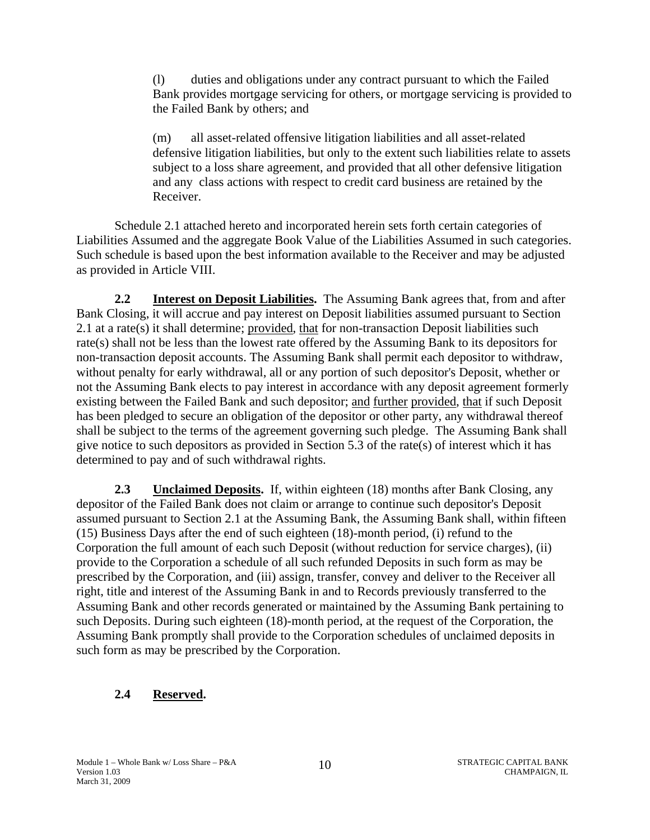<span id="page-13-0"></span>(l) duties and obligations under any contract pursuant to which the Failed Bank provides mortgage servicing for others, or mortgage servicing is provided to the Failed Bank by others; and

(m) all asset-related offensive litigation liabilities and all asset-related defensive litigation liabilities, but only to the extent such liabilities relate to assets subject to a loss share agreement, and provided that all other defensive litigation and any class actions with respect to credit card business are retained by the Receiver.

Schedule 2.1 attached hereto and incorporated herein sets forth certain categories of Liabilities Assumed and the aggregate Book Value of the Liabilities Assumed in such categories. Such schedule is based upon the best information available to the Receiver and may be adjusted as provided in Article VIII.

**2.2 Interest on Deposit Liabilities.** The Assuming Bank agrees that, from and after Bank Closing, it will accrue and pay interest on Deposit liabilities assumed pursuant to Section 2.1 at a rate(s) it shall determine; provided, that for non-transaction Deposit liabilities such rate(s) shall not be less than the lowest rate offered by the Assuming Bank to its depositors for non-transaction deposit accounts. The Assuming Bank shall permit each depositor to withdraw, without penalty for early withdrawal, all or any portion of such depositor's Deposit, whether or not the Assuming Bank elects to pay interest in accordance with any deposit agreement formerly existing between the Failed Bank and such depositor; and further provided, that if such Deposit has been pledged to secure an obligation of the depositor or other party, any withdrawal thereof shall be subject to the terms of the agreement governing such pledge. The Assuming Bank shall give notice to such depositors as provided in Section 5.3 of the rate(s) of interest which it has determined to pay and of such withdrawal rights.

**2.3 Unclaimed Deposits.** If, within eighteen (18) months after Bank Closing, any depositor of the Failed Bank does not claim or arrange to continue such depositor's Deposit assumed pursuant to Section 2.1 at the Assuming Bank, the Assuming Bank shall, within fifteen (15) Business Days after the end of such eighteen (18)-month period, (i) refund to the Corporation the full amount of each such Deposit (without reduction for service charges), (ii) provide to the Corporation a schedule of all such refunded Deposits in such form as may be prescribed by the Corporation, and (iii) assign, transfer, convey and deliver to the Receiver all right, title and interest of the Assuming Bank in and to Records previously transferred to the Assuming Bank and other records generated or maintained by the Assuming Bank pertaining to such Deposits. During such eighteen (18)-month period, at the request of the Corporation, the Assuming Bank promptly shall provide to the Corporation schedules of unclaimed deposits in such form as may be prescribed by the Corporation.

### **2.4 Reserved.**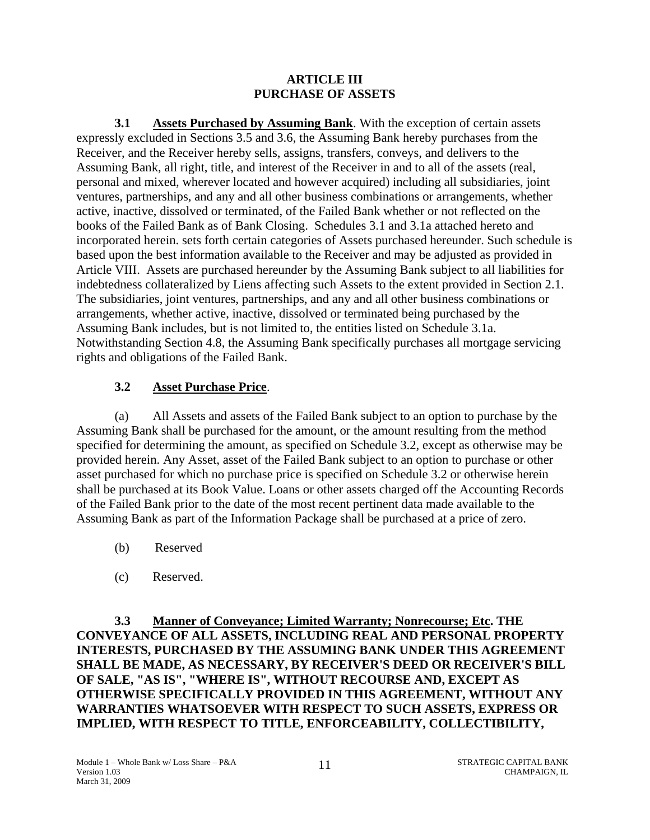### **ARTICLE III PURCHASE OF ASSETS**

<span id="page-14-0"></span>Assuming Bank includes, but is not limited to, the entities listed on Schedule 3.1a.  **3.1 Assets Purchased by Assuming Bank**. With the exception of certain assets expressly excluded in Sections 3.5 and 3.6, the Assuming Bank hereby purchases from the Receiver, and the Receiver hereby sells, assigns, transfers, conveys, and delivers to the Assuming Bank, all right, title, and interest of the Receiver in and to all of the assets (real, personal and mixed, wherever located and however acquired) including all subsidiaries, joint ventures, partnerships, and any and all other business combinations or arrangements, whether active, inactive, dissolved or terminated, of the Failed Bank whether or not reflected on the books of the Failed Bank as of Bank Closing. Schedules 3.1 and 3.1a attached hereto and incorporated herein. sets forth certain categories of Assets purchased hereunder. Such schedule is based upon the best information available to the Receiver and may be adjusted as provided in Article VIII. Assets are purchased hereunder by the Assuming Bank subject to all liabilities for indebtedness collateralized by Liens affecting such Assets to the extent provided in Section 2.1. The subsidiaries, joint ventures, partnerships, and any and all other business combinations or arrangements, whether active, inactive, dissolved or terminated being purchased by the Notwithstanding Section 4.8, the Assuming Bank specifically purchases all mortgage servicing rights and obligations of the Failed Bank.

### **3.2 Asset Purchase Price**.

(a) All Assets and assets of the Failed Bank subject to an option to purchase by the Assuming Bank shall be purchased for the amount, or the amount resulting from the method specified for determining the amount, as specified on Schedule 3.2, except as otherwise may be provided herein. Any Asset, asset of the Failed Bank subject to an option to purchase or other asset purchased for which no purchase price is specified on Schedule 3.2 or otherwise herein shall be purchased at its Book Value. Loans or other assets charged off the Accounting Records of the Failed Bank prior to the date of the most recent pertinent data made available to the Assuming Bank as part of the Information Package shall be purchased at a price of zero.

- (b) Reserved
- (c) Reserved.

**3.3 Manner of Conveyance; Limited Warranty; Nonrecourse; Etc. THE CONVEYANCE OF ALL ASSETS, INCLUDING REAL AND PERSONAL PROPERTY INTERESTS, PURCHASED BY THE ASSUMING BANK UNDER THIS AGREEMENT SHALL BE MADE, AS NECESSARY, BY RECEIVER'S DEED OR RECEIVER'S BILL OF SALE, "AS IS", "WHERE IS", WITHOUT RECOURSE AND, EXCEPT AS OTHERWISE SPECIFICALLY PROVIDED IN THIS AGREEMENT, WITHOUT ANY WARRANTIES WHATSOEVER WITH RESPECT TO SUCH ASSETS, EXPRESS OR IMPLIED, WITH RESPECT TO TITLE, ENFORCEABILITY, COLLECTIBILITY,**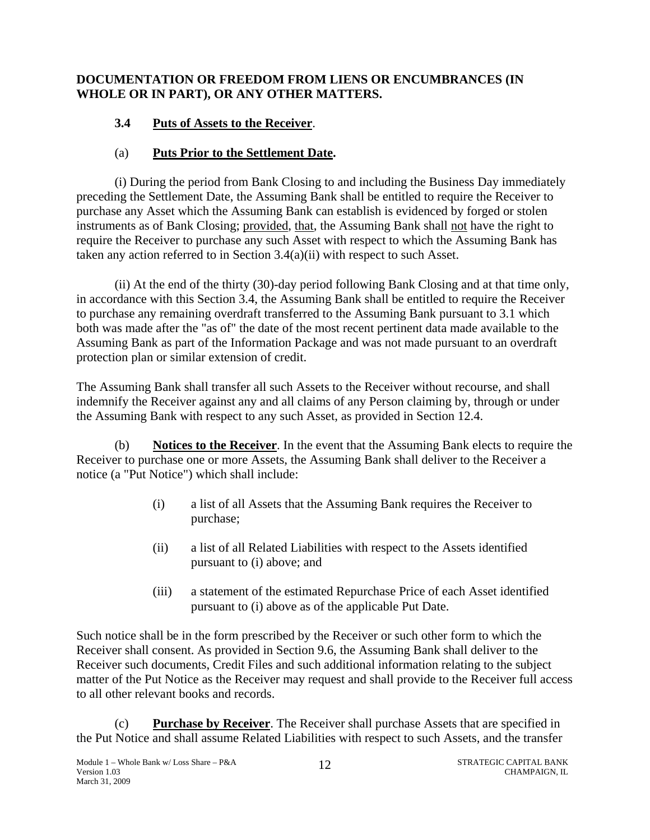### <span id="page-15-0"></span>**DOCUMENTATION OR FREEDOM FROM LIENS OR ENCUMBRANCES (IN WHOLE OR IN PART), OR ANY OTHER MATTERS.**

## **3.4 Puts of Assets to the Receiver**.

## (a) **Puts Prior to the Settlement Date.**

(i) During the period from Bank Closing to and including the Business Day immediately preceding the Settlement Date, the Assuming Bank shall be entitled to require the Receiver to purchase any Asset which the Assuming Bank can establish is evidenced by forged or stolen instruments as of Bank Closing; provided, that, the Assuming Bank shall not have the right to require the Receiver to purchase any such Asset with respect to which the Assuming Bank has taken any action referred to in Section 3.4(a)(ii) with respect to such Asset.

(ii) At the end of the thirty (30)-day period following Bank Closing and at that time only, in accordance with this Section 3.4, the Assuming Bank shall be entitled to require the Receiver to purchase any remaining overdraft transferred to the Assuming Bank pursuant to 3.1 which both was made after the "as of" the date of the most recent pertinent data made available to the Assuming Bank as part of the Information Package and was not made pursuant to an overdraft protection plan or similar extension of credit.

The Assuming Bank shall transfer all such Assets to the Receiver without recourse, and shall indemnify the Receiver against any and all claims of any Person claiming by, through or under the Assuming Bank with respect to any such Asset, as provided in Section 12.4.

(b) **Notices to the Receiver**. In the event that the Assuming Bank elects to require the Receiver to purchase one or more Assets, the Assuming Bank shall deliver to the Receiver a notice (a "Put Notice") which shall include:

- (i) a list of all Assets that the Assuming Bank requires the Receiver to purchase;
- (ii) a list of all Related Liabilities with respect to the Assets identified pursuant to (i) above; and
- (iii) a statement of the estimated Repurchase Price of each Asset identified pursuant to (i) above as of the applicable Put Date.

Such notice shall be in the form prescribed by the Receiver or such other form to which the Receiver shall consent. As provided in Section 9.6, the Assuming Bank shall deliver to the Receiver such documents, Credit Files and such additional information relating to the subject matter of the Put Notice as the Receiver may request and shall provide to the Receiver full access to all other relevant books and records.

(c) **Purchase by Receiver**. The Receiver shall purchase Assets that are specified in the Put Notice and shall assume Related Liabilities with respect to such Assets, and the transfer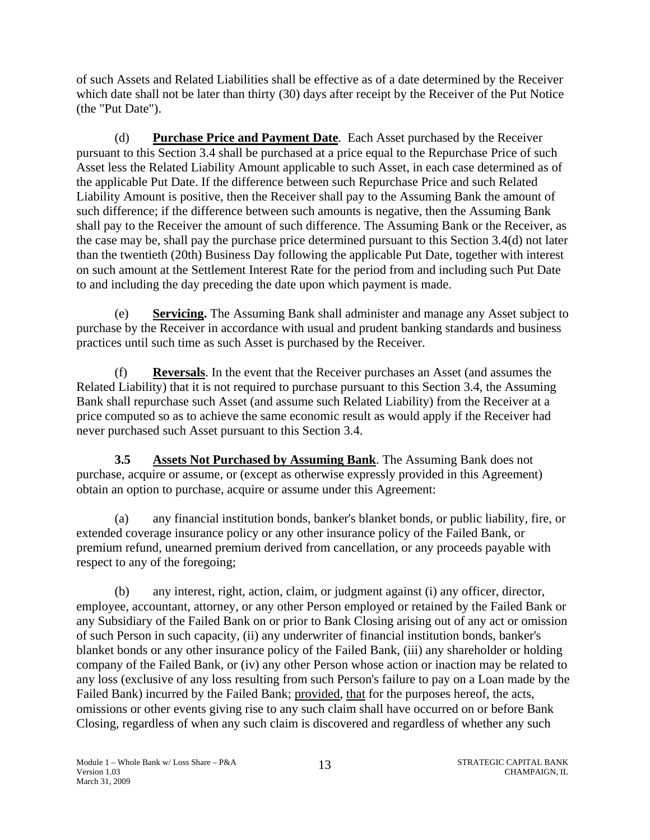<span id="page-16-0"></span>of such Assets and Related Liabilities shall be effective as of a date determined by the Receiver which date shall not be later than thirty (30) days after receipt by the Receiver of the Put Notice (the "Put Date").

(d) **Purchase Price and Payment Date**. Each Asset purchased by the Receiver pursuant to this Section 3.4 shall be purchased at a price equal to the Repurchase Price of such Asset less the Related Liability Amount applicable to such Asset, in each case determined as of the applicable Put Date. If the difference between such Repurchase Price and such Related Liability Amount is positive, then the Receiver shall pay to the Assuming Bank the amount of such difference; if the difference between such amounts is negative, then the Assuming Bank shall pay to the Receiver the amount of such difference. The Assuming Bank or the Receiver, as the case may be, shall pay the purchase price determined pursuant to this Section 3.4(d) not later than the twentieth (20th) Business Day following the applicable Put Date, together with interest on such amount at the Settlement Interest Rate for the period from and including such Put Date to and including the day preceding the date upon which payment is made.

(e) **Servicing.** The Assuming Bank shall administer and manage any Asset subject to purchase by the Receiver in accordance with usual and prudent banking standards and business practices until such time as such Asset is purchased by the Receiver.

(f) **Reversals**. In the event that the Receiver purchases an Asset (and assumes the Related Liability) that it is not required to purchase pursuant to this Section 3.4, the Assuming Bank shall repurchase such Asset (and assume such Related Liability) from the Receiver at a price computed so as to achieve the same economic result as would apply if the Receiver had never purchased such Asset pursuant to this Section 3.4.

**3.5 Assets Not Purchased by Assuming Bank**. The Assuming Bank does not purchase, acquire or assume, or (except as otherwise expressly provided in this Agreement) obtain an option to purchase, acquire or assume under this Agreement:

(a) any financial institution bonds, banker's blanket bonds, or public liability, fire, or extended coverage insurance policy or any other insurance policy of the Failed Bank, or premium refund, unearned premium derived from cancellation, or any proceeds payable with respect to any of the foregoing;

(b) any interest, right, action, claim, or judgment against (i) any officer, director, employee, accountant, attorney, or any other Person employed or retained by the Failed Bank or any Subsidiary of the Failed Bank on or prior to Bank Closing arising out of any act or omission of such Person in such capacity, (ii) any underwriter of financial institution bonds, banker's blanket bonds or any other insurance policy of the Failed Bank, (iii) any shareholder or holding company of the Failed Bank, or (iv) any other Person whose action or inaction may be related to any loss (exclusive of any loss resulting from such Person's failure to pay on a Loan made by the Failed Bank) incurred by the Failed Bank; provided, that for the purposes hereof, the acts, omissions or other events giving rise to any such claim shall have occurred on or before Bank Closing, regardless of when any such claim is discovered and regardless of whether any such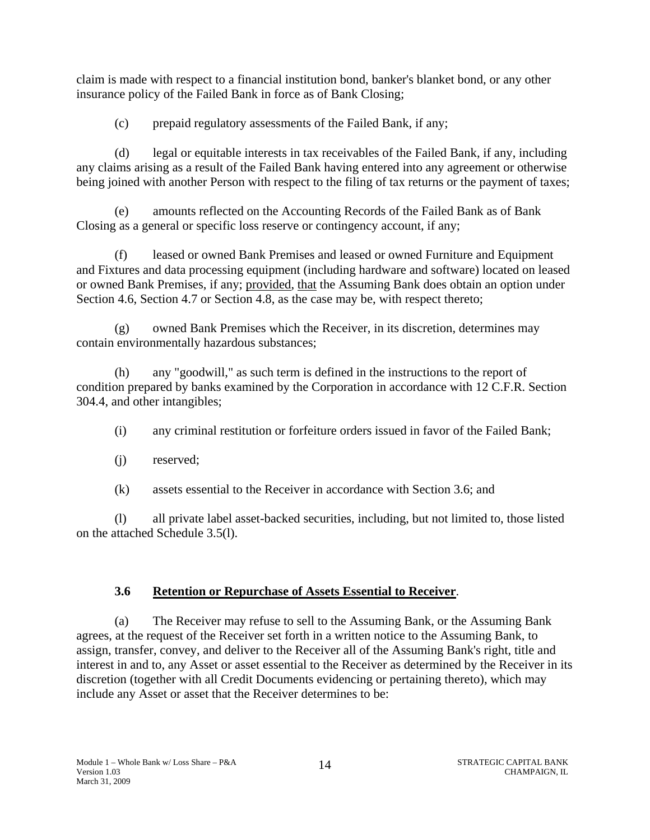<span id="page-17-0"></span>claim is made with respect to a financial institution bond, banker's blanket bond, or any other insurance policy of the Failed Bank in force as of Bank Closing;

(c) prepaid regulatory assessments of the Failed Bank, if any;

(d) legal or equitable interests in tax receivables of the Failed Bank, if any, including any claims arising as a result of the Failed Bank having entered into any agreement or otherwise being joined with another Person with respect to the filing of tax returns or the payment of taxes;

(e) amounts reflected on the Accounting Records of the Failed Bank as of Bank Closing as a general or specific loss reserve or contingency account, if any;

(f) leased or owned Bank Premises and leased or owned Furniture and Equipment and Fixtures and data processing equipment (including hardware and software) located on leased or owned Bank Premises, if any; provided, that the Assuming Bank does obtain an option under Section 4.6, Section 4.7 or Section 4.8, as the case may be, with respect thereto;

(g) owned Bank Premises which the Receiver, in its discretion, determines may contain environmentally hazardous substances;

(h) any "goodwill," as such term is defined in the instructions to the report of condition prepared by banks examined by the Corporation in accordance with 12 C.F.R. Section 304.4, and other intangibles;

- (i) any criminal restitution or forfeiture orders issued in favor of the Failed Bank;
- (j) reserved;
- (k) assets essential to the Receiver in accordance with Section 3.6; and

(l) all private label asset-backed securities, including, but not limited to, those listed on the attached Schedule 3.5(l).

## **3.6 Retention or Repurchase of Assets Essential to Receiver**.

(a) The Receiver may refuse to sell to the Assuming Bank, or the Assuming Bank agrees, at the request of the Receiver set forth in a written notice to the Assuming Bank, to assign, transfer, convey, and deliver to the Receiver all of the Assuming Bank's right, title and interest in and to, any Asset or asset essential to the Receiver as determined by the Receiver in its discretion (together with all Credit Documents evidencing or pertaining thereto), which may include any Asset or asset that the Receiver determines to be: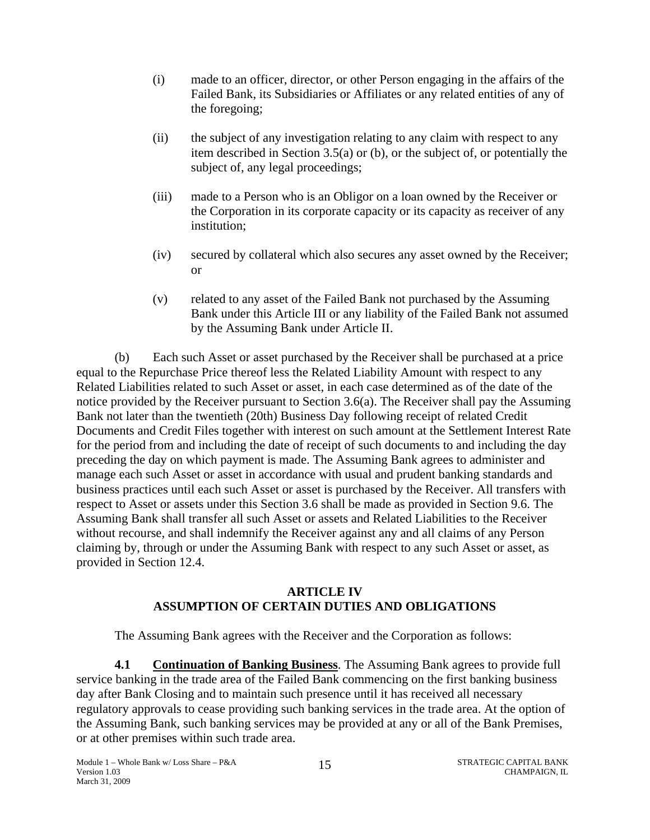- (i) made to an officer, director, or other Person engaging in the affairs of the Failed Bank, its Subsidiaries or Affiliates or any related entities of any of the foregoing;
- (ii) the subject of any investigation relating to any claim with respect to any item described in Section 3.5(a) or (b), or the subject of, or potentially the subject of, any legal proceedings;
- (iii) made to a Person who is an Obligor on a loan owned by the Receiver or the Corporation in its corporate capacity or its capacity as receiver of any institution;
- (iv) secured by collateral which also secures any asset owned by the Receiver; or
- (v) related to any asset of the Failed Bank not purchased by the Assuming Bank under this Article III or any liability of the Failed Bank not assumed by the Assuming Bank under Article II.

(b) Each such Asset or asset purchased by the Receiver shall be purchased at a price equal to the Repurchase Price thereof less the Related Liability Amount with respect to any Related Liabilities related to such Asset or asset, in each case determined as of the date of the notice provided by the Receiver pursuant to Section 3.6(a). The Receiver shall pay the Assuming Bank not later than the twentieth (20th) Business Day following receipt of related Credit Documents and Credit Files together with interest on such amount at the Settlement Interest Rate for the period from and including the date of receipt of such documents to and including the day preceding the day on which payment is made. The Assuming Bank agrees to administer and manage each such Asset or asset in accordance with usual and prudent banking standards and business practices until each such Asset or asset is purchased by the Receiver. All transfers with respect to Asset or assets under this Section 3.6 shall be made as provided in Section 9.6. The Assuming Bank shall transfer all such Asset or assets and Related Liabilities to the Receiver without recourse, and shall indemnify the Receiver against any and all claims of any Person claiming by, through or under the Assuming Bank with respect to any such Asset or asset, as provided in Section 12.4.

## **ARTICLE IV ASSUMPTION OF CERTAIN DUTIES AND OBLIGATIONS**

The Assuming Bank agrees with the Receiver and the Corporation as follows:

**4.1** Continuation of Banking Business. The Assuming Bank agrees to provide full service banking in the trade area of the Failed Bank commencing on the first banking business day after Bank Closing and to maintain such presence until it has received all necessary regulatory approvals to cease providing such banking services in the trade area. At the option of the Assuming Bank, such banking services may be provided at any or all of the Bank Premises, or at other premises within such trade area.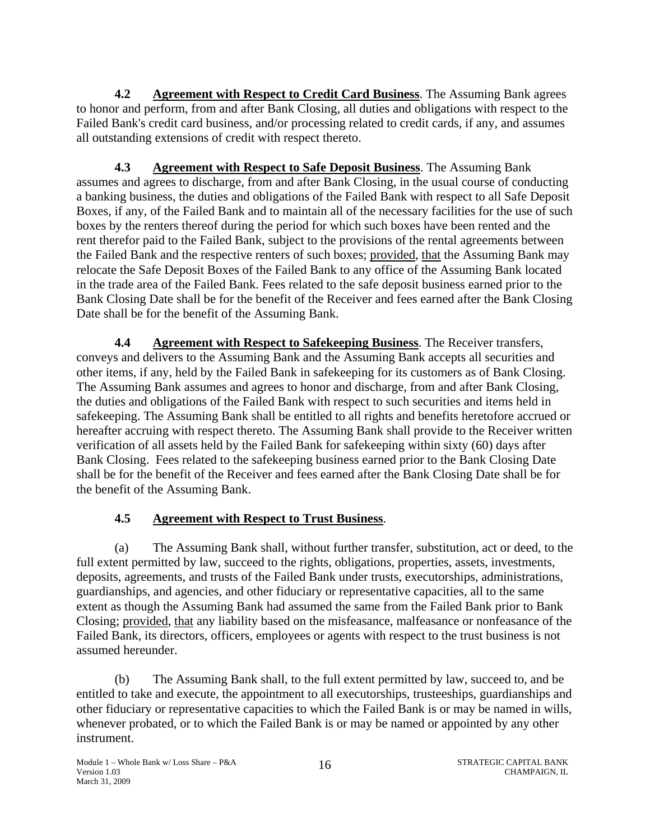<span id="page-19-0"></span>**4.2** Agreement with Respect to Credit Card Business. The Assuming Bank agrees to honor and perform, from and after Bank Closing, all duties and obligations with respect to the Failed Bank's credit card business, and/or processing related to credit cards, if any, and assumes all outstanding extensions of credit with respect thereto.

**4.3 Agreement with Respect to Safe Deposit Business**. The Assuming Bank assumes and agrees to discharge, from and after Bank Closing, in the usual course of conducting a banking business, the duties and obligations of the Failed Bank with respect to all Safe Deposit Boxes, if any, of the Failed Bank and to maintain all of the necessary facilities for the use of such boxes by the renters thereof during the period for which such boxes have been rented and the rent therefor paid to the Failed Bank, subject to the provisions of the rental agreements between the Failed Bank and the respective renters of such boxes; provided, that the Assuming Bank may relocate the Safe Deposit Boxes of the Failed Bank to any office of the Assuming Bank located in the trade area of the Failed Bank. Fees related to the safe deposit business earned prior to the Bank Closing Date shall be for the benefit of the Receiver and fees earned after the Bank Closing Date shall be for the benefit of the Assuming Bank.

**4.4 Agreement with Respect to Safekeeping Business**. The Receiver transfers, conveys and delivers to the Assuming Bank and the Assuming Bank accepts all securities and other items, if any, held by the Failed Bank in safekeeping for its customers as of Bank Closing. The Assuming Bank assumes and agrees to honor and discharge, from and after Bank Closing, the duties and obligations of the Failed Bank with respect to such securities and items held in safekeeping. The Assuming Bank shall be entitled to all rights and benefits heretofore accrued or hereafter accruing with respect thereto. The Assuming Bank shall provide to the Receiver written verification of all assets held by the Failed Bank for safekeeping within sixty (60) days after Bank Closing. Fees related to the safekeeping business earned prior to the Bank Closing Date shall be for the benefit of the Receiver and fees earned after the Bank Closing Date shall be for the benefit of the Assuming Bank.

# **4.5 Agreement with Respect to Trust Business**.

(a) The Assuming Bank shall, without further transfer, substitution, act or deed, to the full extent permitted by law, succeed to the rights, obligations, properties, assets, investments, deposits, agreements, and trusts of the Failed Bank under trusts, executorships, administrations, guardianships, and agencies, and other fiduciary or representative capacities, all to the same extent as though the Assuming Bank had assumed the same from the Failed Bank prior to Bank Closing; provided, that any liability based on the misfeasance, malfeasance or nonfeasance of the Failed Bank, its directors, officers, employees or agents with respect to the trust business is not assumed hereunder.

(b) The Assuming Bank shall, to the full extent permitted by law, succeed to, and be entitled to take and execute, the appointment to all executorships, trusteeships, guardianships and other fiduciary or representative capacities to which the Failed Bank is or may be named in wills, whenever probated, or to which the Failed Bank is or may be named or appointed by any other instrument.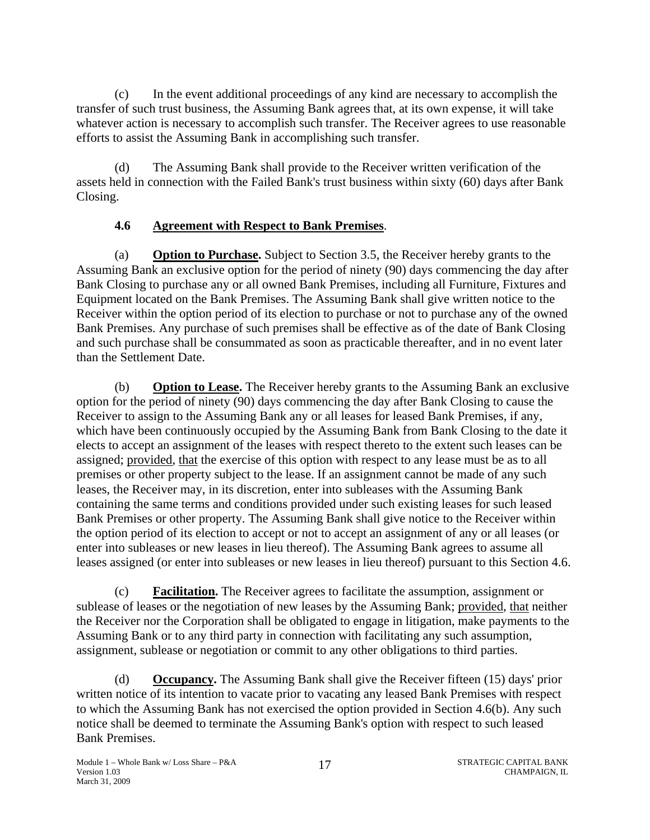<span id="page-20-0"></span>(c) In the event additional proceedings of any kind are necessary to accomplish the transfer of such trust business, the Assuming Bank agrees that, at its own expense, it will take whatever action is necessary to accomplish such transfer. The Receiver agrees to use reasonable efforts to assist the Assuming Bank in accomplishing such transfer.

(d) The Assuming Bank shall provide to the Receiver written verification of the assets held in connection with the Failed Bank's trust business within sixty (60) days after Bank Closing.

## **4.6 Agreement with Respect to Bank Premises**.

(a) **Option to Purchase.** Subject to Section 3.5, the Receiver hereby grants to the Assuming Bank an exclusive option for the period of ninety (90) days commencing the day after Bank Closing to purchase any or all owned Bank Premises, including all Furniture, Fixtures and Equipment located on the Bank Premises. The Assuming Bank shall give written notice to the Receiver within the option period of its election to purchase or not to purchase any of the owned Bank Premises. Any purchase of such premises shall be effective as of the date of Bank Closing and such purchase shall be consummated as soon as practicable thereafter, and in no event later than the Settlement Date.

(b) **Option to Lease.** The Receiver hereby grants to the Assuming Bank an exclusive option for the period of ninety (90) days commencing the day after Bank Closing to cause the Receiver to assign to the Assuming Bank any or all leases for leased Bank Premises, if any, which have been continuously occupied by the Assuming Bank from Bank Closing to the date it elects to accept an assignment of the leases with respect thereto to the extent such leases can be assigned; provided, that the exercise of this option with respect to any lease must be as to all premises or other property subject to the lease. If an assignment cannot be made of any such leases, the Receiver may, in its discretion, enter into subleases with the Assuming Bank containing the same terms and conditions provided under such existing leases for such leased Bank Premises or other property. The Assuming Bank shall give notice to the Receiver within the option period of its election to accept or not to accept an assignment of any or all leases (or enter into subleases or new leases in lieu thereof). The Assuming Bank agrees to assume all leases assigned (or enter into subleases or new leases in lieu thereof) pursuant to this Section 4.6.

(c) **Facilitation.** The Receiver agrees to facilitate the assumption, assignment or sublease of leases or the negotiation of new leases by the Assuming Bank; provided, that neither the Receiver nor the Corporation shall be obligated to engage in litigation, make payments to the Assuming Bank or to any third party in connection with facilitating any such assumption, assignment, sublease or negotiation or commit to any other obligations to third parties.

(d) **Occupancy.** The Assuming Bank shall give the Receiver fifteen (15) days' prior written notice of its intention to vacate prior to vacating any leased Bank Premises with respect to which the Assuming Bank has not exercised the option provided in Section 4.6(b). Any such notice shall be deemed to terminate the Assuming Bank's option with respect to such leased Bank Premises.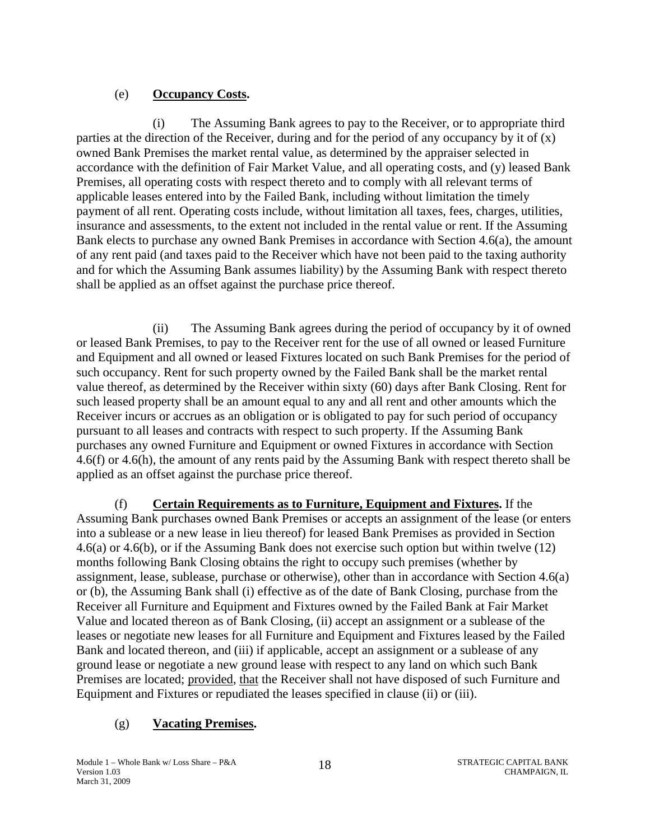## (e) **Occupancy Costs.**

(i) The Assuming Bank agrees to pay to the Receiver, or to appropriate third parties at the direction of the Receiver, during and for the period of any occupancy by it of  $(x)$ owned Bank Premises the market rental value, as determined by the appraiser selected in accordance with the definition of Fair Market Value, and all operating costs, and (y) leased Bank Premises, all operating costs with respect thereto and to comply with all relevant terms of applicable leases entered into by the Failed Bank, including without limitation the timely payment of all rent. Operating costs include, without limitation all taxes, fees, charges, utilities, insurance and assessments, to the extent not included in the rental value or rent. If the Assuming Bank elects to purchase any owned Bank Premises in accordance with Section 4.6(a), the amount of any rent paid (and taxes paid to the Receiver which have not been paid to the taxing authority and for which the Assuming Bank assumes liability) by the Assuming Bank with respect thereto shall be applied as an offset against the purchase price thereof.

(ii) The Assuming Bank agrees during the period of occupancy by it of owned or leased Bank Premises, to pay to the Receiver rent for the use of all owned or leased Furniture and Equipment and all owned or leased Fixtures located on such Bank Premises for the period of such occupancy. Rent for such property owned by the Failed Bank shall be the market rental value thereof, as determined by the Receiver within sixty (60) days after Bank Closing. Rent for such leased property shall be an amount equal to any and all rent and other amounts which the Receiver incurs or accrues as an obligation or is obligated to pay for such period of occupancy pursuant to all leases and contracts with respect to such property. If the Assuming Bank purchases any owned Furniture and Equipment or owned Fixtures in accordance with Section 4.6(f) or 4.6(h), the amount of any rents paid by the Assuming Bank with respect thereto shall be applied as an offset against the purchase price thereof.

(f) **Certain Requirements as to Furniture, Equipment and Fixtures.** If the Assuming Bank purchases owned Bank Premises or accepts an assignment of the lease (or enters into a sublease or a new lease in lieu thereof) for leased Bank Premises as provided in Section 4.6(a) or 4.6(b), or if the Assuming Bank does not exercise such option but within twelve (12) months following Bank Closing obtains the right to occupy such premises (whether by assignment, lease, sublease, purchase or otherwise), other than in accordance with Section 4.6(a) or (b), the Assuming Bank shall (i) effective as of the date of Bank Closing, purchase from the Receiver all Furniture and Equipment and Fixtures owned by the Failed Bank at Fair Market Value and located thereon as of Bank Closing, (ii) accept an assignment or a sublease of the leases or negotiate new leases for all Furniture and Equipment and Fixtures leased by the Failed Bank and located thereon, and (iii) if applicable, accept an assignment or a sublease of any ground lease or negotiate a new ground lease with respect to any land on which such Bank Premises are located; provided, that the Receiver shall not have disposed of such Furniture and Equipment and Fixtures or repudiated the leases specified in clause (ii) or (iii).

## (g) **Vacating Premises.**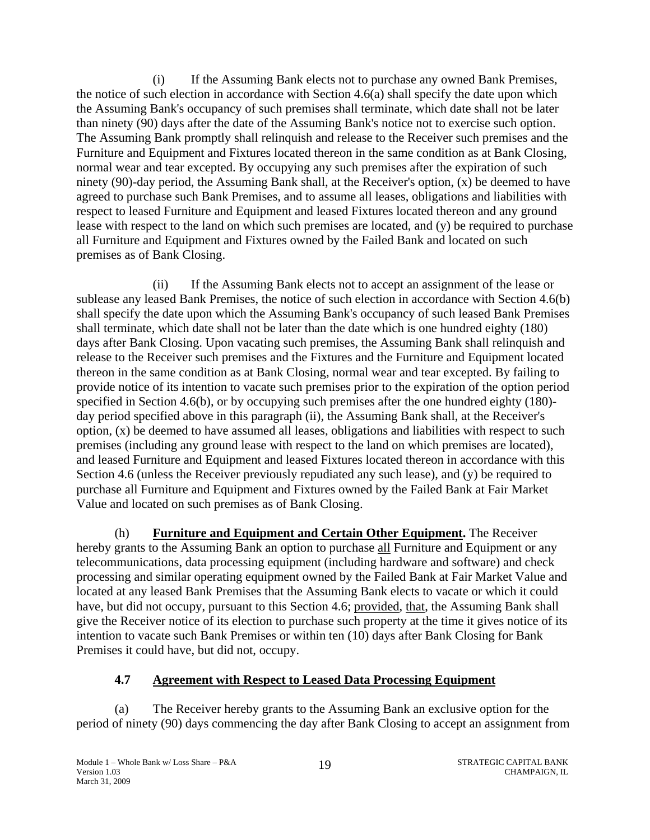<span id="page-22-0"></span>(i) If the Assuming Bank elects not to purchase any owned Bank Premises, the notice of such election in accordance with Section 4.6(a) shall specify the date upon which the Assuming Bank's occupancy of such premises shall terminate, which date shall not be later than ninety (90) days after the date of the Assuming Bank's notice not to exercise such option. The Assuming Bank promptly shall relinquish and release to the Receiver such premises and the Furniture and Equipment and Fixtures located thereon in the same condition as at Bank Closing, normal wear and tear excepted. By occupying any such premises after the expiration of such ninety (90)-day period, the Assuming Bank shall, at the Receiver's option, (x) be deemed to have agreed to purchase such Bank Premises, and to assume all leases, obligations and liabilities with respect to leased Furniture and Equipment and leased Fixtures located thereon and any ground lease with respect to the land on which such premises are located, and (y) be required to purchase all Furniture and Equipment and Fixtures owned by the Failed Bank and located on such premises as of Bank Closing.

(ii) If the Assuming Bank elects not to accept an assignment of the lease or sublease any leased Bank Premises, the notice of such election in accordance with Section 4.6(b) shall specify the date upon which the Assuming Bank's occupancy of such leased Bank Premises shall terminate, which date shall not be later than the date which is one hundred eighty (180) days after Bank Closing. Upon vacating such premises, the Assuming Bank shall relinquish and release to the Receiver such premises and the Fixtures and the Furniture and Equipment located thereon in the same condition as at Bank Closing, normal wear and tear excepted. By failing to provide notice of its intention to vacate such premises prior to the expiration of the option period specified in Section 4.6(b), or by occupying such premises after the one hundred eighty (180) day period specified above in this paragraph (ii), the Assuming Bank shall, at the Receiver's option, (x) be deemed to have assumed all leases, obligations and liabilities with respect to such premises (including any ground lease with respect to the land on which premises are located), and leased Furniture and Equipment and leased Fixtures located thereon in accordance with this Section 4.6 (unless the Receiver previously repudiated any such lease), and (y) be required to purchase all Furniture and Equipment and Fixtures owned by the Failed Bank at Fair Market Value and located on such premises as of Bank Closing.

(h) **Furniture and Equipment and Certain Other Equipment.** The Receiver hereby grants to the Assuming Bank an option to purchase all Furniture and Equipment or any telecommunications, data processing equipment (including hardware and software) and check processing and similar operating equipment owned by the Failed Bank at Fair Market Value and located at any leased Bank Premises that the Assuming Bank elects to vacate or which it could have, but did not occupy, pursuant to this Section 4.6; provided, that, the Assuming Bank shall give the Receiver notice of its election to purchase such property at the time it gives notice of its intention to vacate such Bank Premises or within ten (10) days after Bank Closing for Bank Premises it could have, but did not, occupy.

## **4.7 Agreement with Respect to Leased Data Processing Equipment**

(a) The Receiver hereby grants to the Assuming Bank an exclusive option for the period of ninety (90) days commencing the day after Bank Closing to accept an assignment from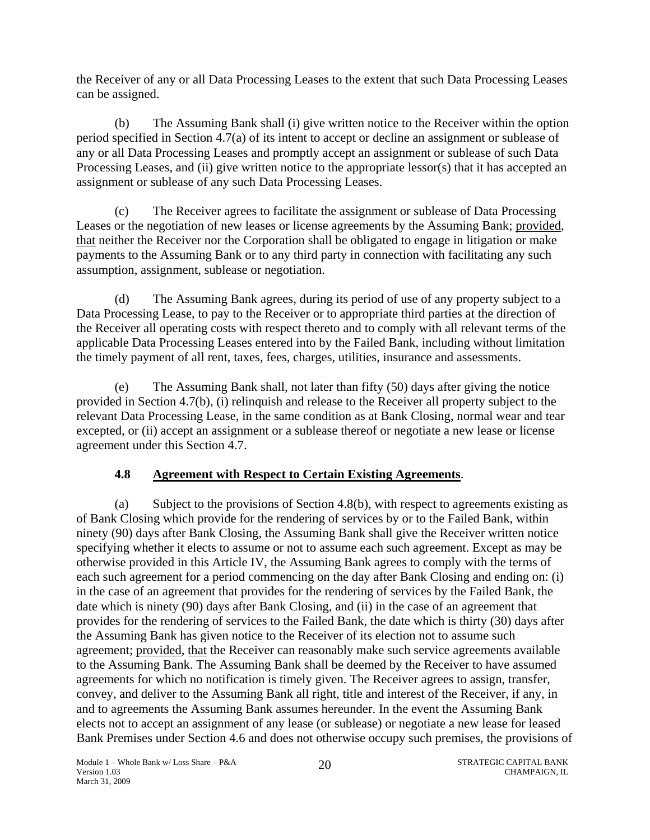<span id="page-23-0"></span>the Receiver of any or all Data Processing Leases to the extent that such Data Processing Leases can be assigned.

(b) The Assuming Bank shall (i) give written notice to the Receiver within the option period specified in Section 4.7(a) of its intent to accept or decline an assignment or sublease of any or all Data Processing Leases and promptly accept an assignment or sublease of such Data Processing Leases, and (ii) give written notice to the appropriate lessor(s) that it has accepted an assignment or sublease of any such Data Processing Leases.

(c) The Receiver agrees to facilitate the assignment or sublease of Data Processing Leases or the negotiation of new leases or license agreements by the Assuming Bank; provided, that neither the Receiver nor the Corporation shall be obligated to engage in litigation or make payments to the Assuming Bank or to any third party in connection with facilitating any such assumption, assignment, sublease or negotiation.

(d) The Assuming Bank agrees, during its period of use of any property subject to a Data Processing Lease, to pay to the Receiver or to appropriate third parties at the direction of the Receiver all operating costs with respect thereto and to comply with all relevant terms of the applicable Data Processing Leases entered into by the Failed Bank, including without limitation the timely payment of all rent, taxes, fees, charges, utilities, insurance and assessments.

(e) The Assuming Bank shall, not later than fifty (50) days after giving the notice provided in Section 4.7(b), (i) relinquish and release to the Receiver all property subject to the relevant Data Processing Lease, in the same condition as at Bank Closing, normal wear and tear excepted, or (ii) accept an assignment or a sublease thereof or negotiate a new lease or license agreement under this Section 4.7.

## **4.8 Agreement with Respect to Certain Existing Agreements**.

(a) Subject to the provisions of Section 4.8(b), with respect to agreements existing as of Bank Closing which provide for the rendering of services by or to the Failed Bank, within ninety (90) days after Bank Closing, the Assuming Bank shall give the Receiver written notice specifying whether it elects to assume or not to assume each such agreement. Except as may be otherwise provided in this Article IV, the Assuming Bank agrees to comply with the terms of each such agreement for a period commencing on the day after Bank Closing and ending on: (i) in the case of an agreement that provides for the rendering of services by the Failed Bank, the date which is ninety (90) days after Bank Closing, and (ii) in the case of an agreement that provides for the rendering of services to the Failed Bank, the date which is thirty (30) days after the Assuming Bank has given notice to the Receiver of its election not to assume such agreement; provided, that the Receiver can reasonably make such service agreements available to the Assuming Bank. The Assuming Bank shall be deemed by the Receiver to have assumed agreements for which no notification is timely given. The Receiver agrees to assign, transfer, convey, and deliver to the Assuming Bank all right, title and interest of the Receiver, if any, in and to agreements the Assuming Bank assumes hereunder. In the event the Assuming Bank elects not to accept an assignment of any lease (or sublease) or negotiate a new lease for leased Bank Premises under Section 4.6 and does not otherwise occupy such premises, the provisions of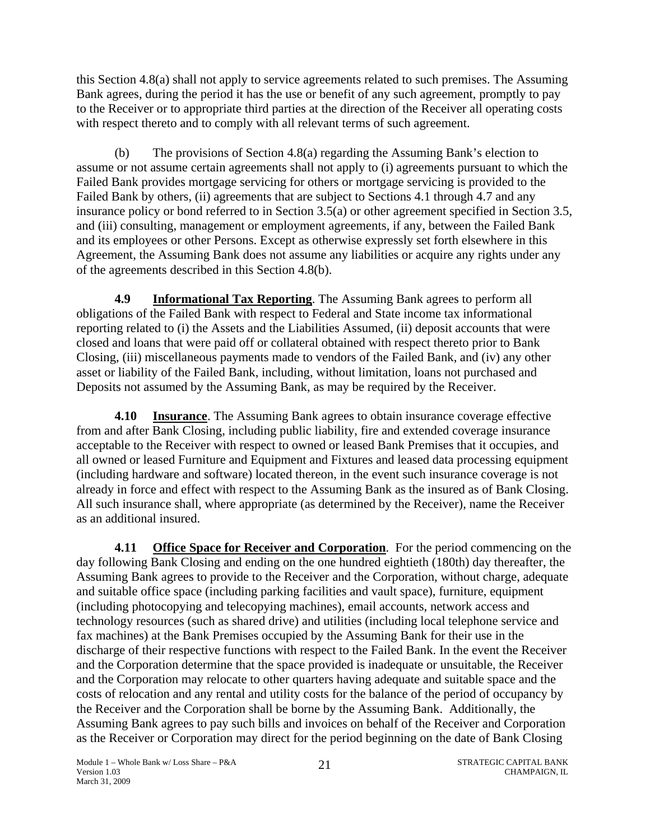<span id="page-24-0"></span>this Section 4.8(a) shall not apply to service agreements related to such premises. The Assuming Bank agrees, during the period it has the use or benefit of any such agreement, promptly to pay to the Receiver or to appropriate third parties at the direction of the Receiver all operating costs with respect thereto and to comply with all relevant terms of such agreement.

(b) The provisions of Section 4.8(a) regarding the Assuming Bank's election to assume or not assume certain agreements shall not apply to (i) agreements pursuant to which the Failed Bank provides mortgage servicing for others or mortgage servicing is provided to the Failed Bank by others, (ii) agreements that are subject to Sections 4.1 through 4.7 and any insurance policy or bond referred to in Section 3.5(a) or other agreement specified in Section 3.5, and (iii) consulting, management or employment agreements, if any, between the Failed Bank and its employees or other Persons. Except as otherwise expressly set forth elsewhere in this Agreement, the Assuming Bank does not assume any liabilities or acquire any rights under any of the agreements described in this Section 4.8(b).

**4.9** Informational Tax Reporting. The Assuming Bank agrees to perform all obligations of the Failed Bank with respect to Federal and State income tax informational reporting related to (i) the Assets and the Liabilities Assumed, (ii) deposit accounts that were closed and loans that were paid off or collateral obtained with respect thereto prior to Bank Closing, (iii) miscellaneous payments made to vendors of the Failed Bank, and (iv) any other asset or liability of the Failed Bank, including, without limitation, loans not purchased and Deposits not assumed by the Assuming Bank, as may be required by the Receiver.

**4.10 Insurance**. The Assuming Bank agrees to obtain insurance coverage effective from and after Bank Closing, including public liability, fire and extended coverage insurance acceptable to the Receiver with respect to owned or leased Bank Premises that it occupies, and all owned or leased Furniture and Equipment and Fixtures and leased data processing equipment (including hardware and software) located thereon, in the event such insurance coverage is not already in force and effect with respect to the Assuming Bank as the insured as of Bank Closing. All such insurance shall, where appropriate (as determined by the Receiver), name the Receiver as an additional insured.

**4.11** Office Space for Receiver and Corporation. For the period commencing on the day following Bank Closing and ending on the one hundred eightieth (180th) day thereafter, the Assuming Bank agrees to provide to the Receiver and the Corporation, without charge, adequate and suitable office space (including parking facilities and vault space), furniture, equipment (including photocopying and telecopying machines), email accounts, network access and technology resources (such as shared drive) and utilities (including local telephone service and fax machines) at the Bank Premises occupied by the Assuming Bank for their use in the discharge of their respective functions with respect to the Failed Bank. In the event the Receiver and the Corporation determine that the space provided is inadequate or unsuitable, the Receiver and the Corporation may relocate to other quarters having adequate and suitable space and the costs of relocation and any rental and utility costs for the balance of the period of occupancy by the Receiver and the Corporation shall be borne by the Assuming Bank. Additionally, the Assuming Bank agrees to pay such bills and invoices on behalf of the Receiver and Corporation as the Receiver or Corporation may direct for the period beginning on the date of Bank Closing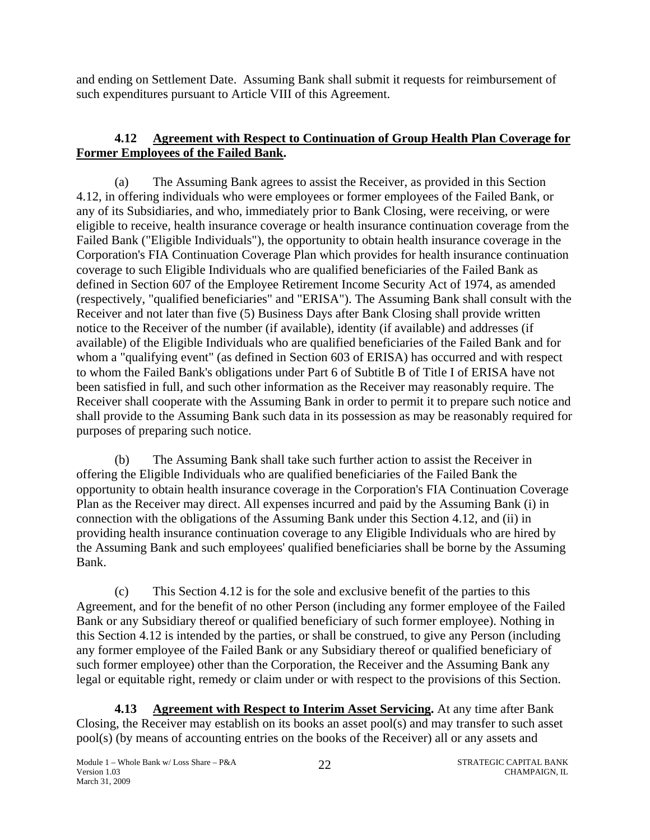<span id="page-25-0"></span>and ending on Settlement Date. Assuming Bank shall submit it requests for reimbursement of such expenditures pursuant to Article VIII of this Agreement.

## **4.12 Agreement with Respect to Continuation of Group Health Plan Coverage for Former Employees of the Failed Bank.**

(a) The Assuming Bank agrees to assist the Receiver, as provided in this Section 4.12, in offering individuals who were employees or former employees of the Failed Bank, or any of its Subsidiaries, and who, immediately prior to Bank Closing, were receiving, or were eligible to receive, health insurance coverage or health insurance continuation coverage from the Failed Bank ("Eligible Individuals"), the opportunity to obtain health insurance coverage in the Corporation's FIA Continuation Coverage Plan which provides for health insurance continuation coverage to such Eligible Individuals who are qualified beneficiaries of the Failed Bank as defined in Section 607 of the Employee Retirement Income Security Act of 1974, as amended (respectively, "qualified beneficiaries" and "ERISA"). The Assuming Bank shall consult with the Receiver and not later than five (5) Business Days after Bank Closing shall provide written notice to the Receiver of the number (if available), identity (if available) and addresses (if available) of the Eligible Individuals who are qualified beneficiaries of the Failed Bank and for whom a "qualifying event" (as defined in Section 603 of ERISA) has occurred and with respect to whom the Failed Bank's obligations under Part 6 of Subtitle B of Title I of ERISA have not been satisfied in full, and such other information as the Receiver may reasonably require. The Receiver shall cooperate with the Assuming Bank in order to permit it to prepare such notice and shall provide to the Assuming Bank such data in its possession as may be reasonably required for purposes of preparing such notice.

(b) The Assuming Bank shall take such further action to assist the Receiver in offering the Eligible Individuals who are qualified beneficiaries of the Failed Bank the opportunity to obtain health insurance coverage in the Corporation's FIA Continuation Coverage Plan as the Receiver may direct. All expenses incurred and paid by the Assuming Bank (i) in connection with the obligations of the Assuming Bank under this Section 4.12, and (ii) in providing health insurance continuation coverage to any Eligible Individuals who are hired by the Assuming Bank and such employees' qualified beneficiaries shall be borne by the Assuming Bank.

(c) This Section 4.12 is for the sole and exclusive benefit of the parties to this Agreement, and for the benefit of no other Person (including any former employee of the Failed Bank or any Subsidiary thereof or qualified beneficiary of such former employee). Nothing in this Section 4.12 is intended by the parties, or shall be construed, to give any Person (including any former employee of the Failed Bank or any Subsidiary thereof or qualified beneficiary of such former employee) other than the Corporation, the Receiver and the Assuming Bank any legal or equitable right, remedy or claim under or with respect to the provisions of this Section.

**4.13 Agreement with Respect to Interim Asset Servicing.** At any time after Bank Closing, the Receiver may establish on its books an asset pool(s) and may transfer to such asset pool(s) (by means of accounting entries on the books of the Receiver) all or any assets and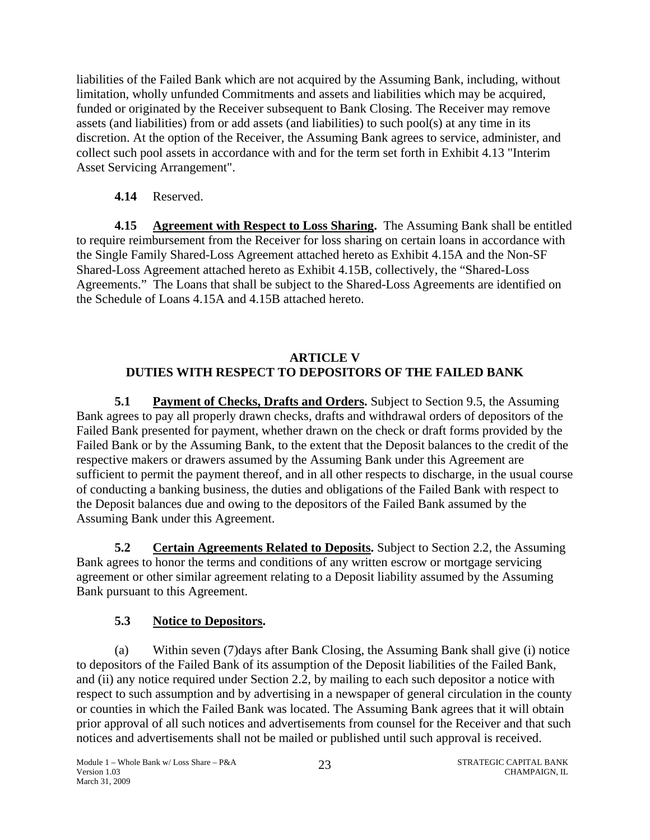<span id="page-26-0"></span>liabilities of the Failed Bank which are not acquired by the Assuming Bank, including, without limitation, wholly unfunded Commitments and assets and liabilities which may be acquired, funded or originated by the Receiver subsequent to Bank Closing. The Receiver may remove assets (and liabilities) from or add assets (and liabilities) to such pool(s) at any time in its discretion. At the option of the Receiver, the Assuming Bank agrees to service, administer, and collect such pool assets in accordance with and for the term set forth in Exhibit 4.13 "Interim Asset Servicing Arrangement".

## **4.14** Reserved.

**4.15 Agreement with Respect to Loss Sharing.** The Assuming Bank shall be entitled to require reimbursement from the Receiver for loss sharing on certain loans in accordance with the Single Family Shared-Loss Agreement attached hereto as Exhibit 4.15A and the Non-SF Shared-Loss Agreement attached hereto as Exhibit 4.15B, collectively, the "Shared-Loss Agreements." The Loans that shall be subject to the Shared-Loss Agreements are identified on the Schedule of Loans 4.15A and 4.15B attached hereto.

## **ARTICLE V DUTIES WITH RESPECT TO DEPOSITORS OF THE FAILED BANK**

**5.1 Payment of Checks, Drafts and Orders.** Subject to Section 9.5, the Assuming Bank agrees to pay all properly drawn checks, drafts and withdrawal orders of depositors of the Failed Bank presented for payment, whether drawn on the check or draft forms provided by the Failed Bank or by the Assuming Bank, to the extent that the Deposit balances to the credit of the respective makers or drawers assumed by the Assuming Bank under this Agreement are sufficient to permit the payment thereof, and in all other respects to discharge, in the usual course of conducting a banking business, the duties and obligations of the Failed Bank with respect to the Deposit balances due and owing to the depositors of the Failed Bank assumed by the Assuming Bank under this Agreement.

**5.2 Certain Agreements Related to Deposits.** Subject to Section 2.2, the Assuming Bank agrees to honor the terms and conditions of any written escrow or mortgage servicing agreement or other similar agreement relating to a Deposit liability assumed by the Assuming Bank pursuant to this Agreement.

## **5.3 Notice to Depositors.**

(a) Within seven (7)days after Bank Closing, the Assuming Bank shall give (i) notice to depositors of the Failed Bank of its assumption of the Deposit liabilities of the Failed Bank, and (ii) any notice required under Section 2.2, by mailing to each such depositor a notice with respect to such assumption and by advertising in a newspaper of general circulation in the county or counties in which the Failed Bank was located. The Assuming Bank agrees that it will obtain prior approval of all such notices and advertisements from counsel for the Receiver and that such notices and advertisements shall not be mailed or published until such approval is received.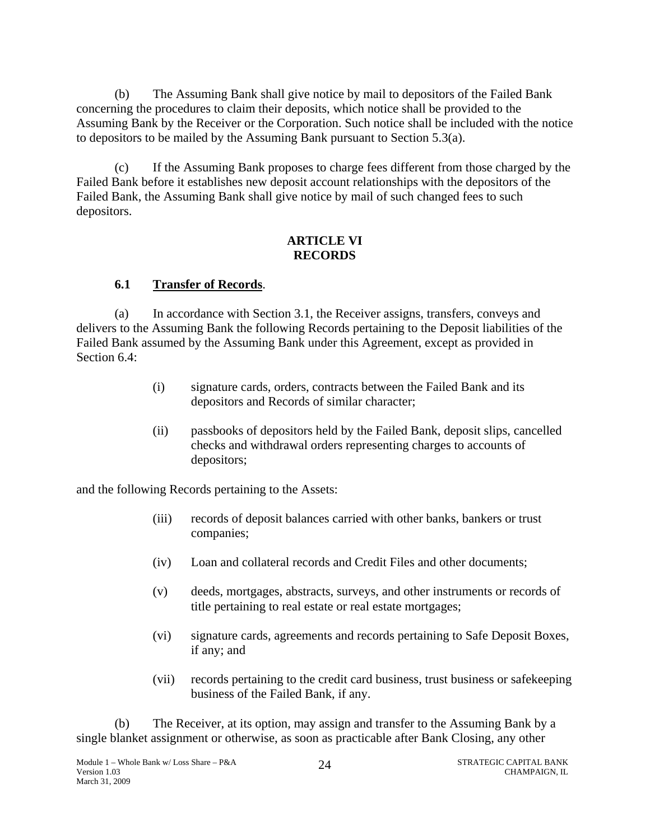<span id="page-27-0"></span>(b) The Assuming Bank shall give notice by mail to depositors of the Failed Bank concerning the procedures to claim their deposits, which notice shall be provided to the Assuming Bank by the Receiver or the Corporation. Such notice shall be included with the notice to depositors to be mailed by the Assuming Bank pursuant to Section 5.3(a).

(c) If the Assuming Bank proposes to charge fees different from those charged by the Failed Bank before it establishes new deposit account relationships with the depositors of the Failed Bank, the Assuming Bank shall give notice by mail of such changed fees to such depositors.

### **ARTICLE VI RECORDS**

## **6.1 Transfer of Records**.

(a) In accordance with Section 3.1, the Receiver assigns, transfers, conveys and delivers to the Assuming Bank the following Records pertaining to the Deposit liabilities of the Failed Bank assumed by the Assuming Bank under this Agreement, except as provided in Section 6.4:

- (i) signature cards, orders, contracts between the Failed Bank and its depositors and Records of similar character;
- (ii) passbooks of depositors held by the Failed Bank, deposit slips, cancelled checks and withdrawal orders representing charges to accounts of depositors;

and the following Records pertaining to the Assets:

- (iii) records of deposit balances carried with other banks, bankers or trust companies;
- (iv) Loan and collateral records and Credit Files and other documents;
- (v) deeds, mortgages, abstracts, surveys, and other instruments or records of title pertaining to real estate or real estate mortgages;
- (vi) signature cards, agreements and records pertaining to Safe Deposit Boxes, if any; and
- (vii) records pertaining to the credit card business, trust business or safekeeping business of the Failed Bank, if any.

(b) The Receiver, at its option, may assign and transfer to the Assuming Bank by a single blanket assignment or otherwise, as soon as practicable after Bank Closing, any other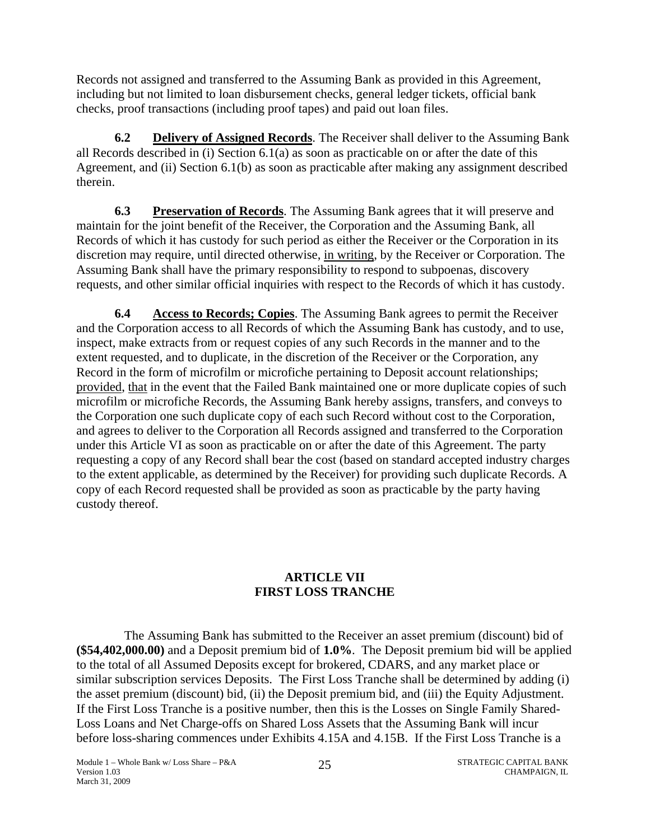<span id="page-28-0"></span>Records not assigned and transferred to the Assuming Bank as provided in this Agreement, including but not limited to loan disbursement checks, general ledger tickets, official bank checks, proof transactions (including proof tapes) and paid out loan files.

**6.2** Delivery of Assigned Records. The Receiver shall deliver to the Assuming Bank all Records described in (i) Section 6.1(a) as soon as practicable on or after the date of this Agreement, and (ii) Section 6.1(b) as soon as practicable after making any assignment described therein.

**6.3 Preservation of Records**. The Assuming Bank agrees that it will preserve and maintain for the joint benefit of the Receiver, the Corporation and the Assuming Bank, all Records of which it has custody for such period as either the Receiver or the Corporation in its discretion may require, until directed otherwise, in writing, by the Receiver or Corporation. The Assuming Bank shall have the primary responsibility to respond to subpoenas, discovery requests, and other similar official inquiries with respect to the Records of which it has custody.

**6.4** Access to Records; Copies. The Assuming Bank agrees to permit the Receiver and the Corporation access to all Records of which the Assuming Bank has custody, and to use, inspect, make extracts from or request copies of any such Records in the manner and to the extent requested, and to duplicate, in the discretion of the Receiver or the Corporation, any Record in the form of microfilm or microfiche pertaining to Deposit account relationships; provided, that in the event that the Failed Bank maintained one or more duplicate copies of such microfilm or microfiche Records, the Assuming Bank hereby assigns, transfers, and conveys to the Corporation one such duplicate copy of each such Record without cost to the Corporation, and agrees to deliver to the Corporation all Records assigned and transferred to the Corporation under this Article VI as soon as practicable on or after the date of this Agreement. The party requesting a copy of any Record shall bear the cost (based on standard accepted industry charges to the extent applicable, as determined by the Receiver) for providing such duplicate Records. A copy of each Record requested shall be provided as soon as practicable by the party having custody thereof.

### **ARTICLE VII FIRST LOSS TRANCHE**

 The Assuming Bank has submitted to the Receiver an asset premium (discount) bid of **(\$54,402,000.00)** and a Deposit premium bid of **1.0%**. The Deposit premium bid will be applied to the total of all Assumed Deposits except for brokered, CDARS, and any market place or similar subscription services Deposits. The First Loss Tranche shall be determined by adding (i) the asset premium (discount) bid, (ii) the Deposit premium bid, and (iii) the Equity Adjustment. If the First Loss Tranche is a positive number, then this is the Losses on Single Family Shared-Loss Loans and Net Charge-offs on Shared Loss Assets that the Assuming Bank will incur before loss-sharing commences under Exhibits 4.15A and 4.15B. If the First Loss Tranche is a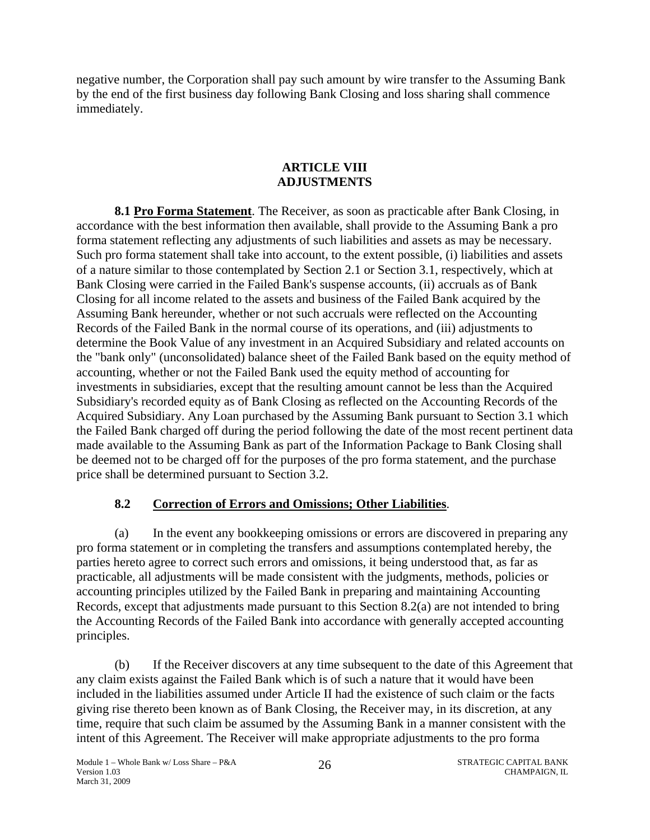<span id="page-29-0"></span>negative number, the Corporation shall pay such amount by wire transfer to the Assuming Bank by the end of the first business day following Bank Closing and loss sharing shall commence immediately.

### **ARTICLE VIII ADJUSTMENTS**

**8.1 Pro Forma Statement**. The Receiver, as soon as practicable after Bank Closing, in accordance with the best information then available, shall provide to the Assuming Bank a pro forma statement reflecting any adjustments of such liabilities and assets as may be necessary. Such pro forma statement shall take into account, to the extent possible, (i) liabilities and assets of a nature similar to those contemplated by Section 2.1 or Section 3.1, respectively, which at Bank Closing were carried in the Failed Bank's suspense accounts, (ii) accruals as of Bank Closing for all income related to the assets and business of the Failed Bank acquired by the Assuming Bank hereunder, whether or not such accruals were reflected on the Accounting Records of the Failed Bank in the normal course of its operations, and (iii) adjustments to determine the Book Value of any investment in an Acquired Subsidiary and related accounts on the "bank only" (unconsolidated) balance sheet of the Failed Bank based on the equity method of accounting, whether or not the Failed Bank used the equity method of accounting for investments in subsidiaries, except that the resulting amount cannot be less than the Acquired Subsidiary's recorded equity as of Bank Closing as reflected on the Accounting Records of the Acquired Subsidiary. Any Loan purchased by the Assuming Bank pursuant to Section 3.1 which the Failed Bank charged off during the period following the date of the most recent pertinent data made available to the Assuming Bank as part of the Information Package to Bank Closing shall be deemed not to be charged off for the purposes of the pro forma statement, and the purchase price shall be determined pursuant to Section 3.2.

## **8.2 Correction of Errors and Omissions; Other Liabilities**.

(a) In the event any bookkeeping omissions or errors are discovered in preparing any pro forma statement or in completing the transfers and assumptions contemplated hereby, the parties hereto agree to correct such errors and omissions, it being understood that, as far as practicable, all adjustments will be made consistent with the judgments, methods, policies or accounting principles utilized by the Failed Bank in preparing and maintaining Accounting Records, except that adjustments made pursuant to this Section 8.2(a) are not intended to bring the Accounting Records of the Failed Bank into accordance with generally accepted accounting principles.

(b) If the Receiver discovers at any time subsequent to the date of this Agreement that any claim exists against the Failed Bank which is of such a nature that it would have been included in the liabilities assumed under Article II had the existence of such claim or the facts giving rise thereto been known as of Bank Closing, the Receiver may, in its discretion, at any time, require that such claim be assumed by the Assuming Bank in a manner consistent with the intent of this Agreement. The Receiver will make appropriate adjustments to the pro forma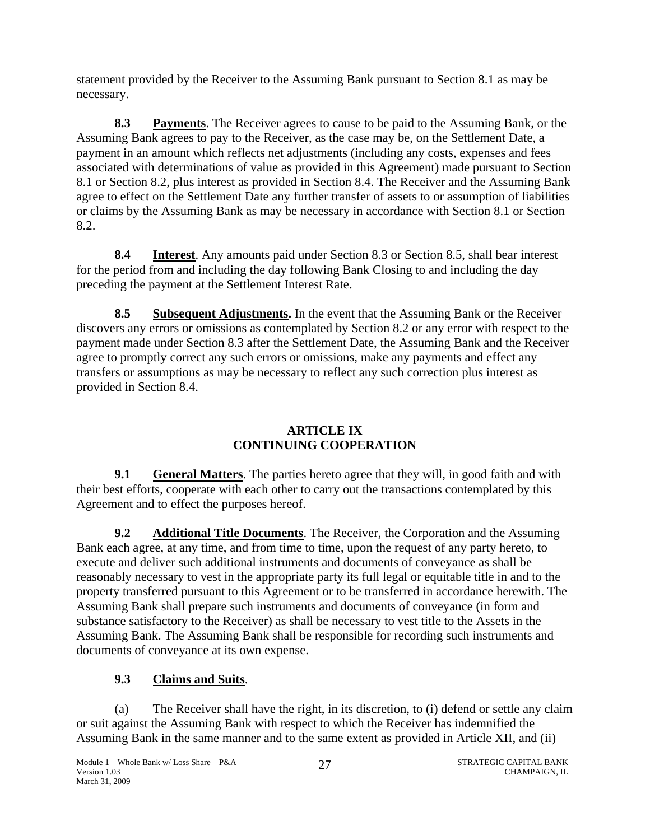<span id="page-30-0"></span>statement provided by the Receiver to the Assuming Bank pursuant to Section 8.1 as may be necessary.

**8.3 Payments**. The Receiver agrees to cause to be paid to the Assuming Bank, or the Assuming Bank agrees to pay to the Receiver, as the case may be, on the Settlement Date, a payment in an amount which reflects net adjustments (including any costs, expenses and fees associated with determinations of value as provided in this Agreement) made pursuant to Section 8.1 or Section 8.2, plus interest as provided in Section 8.4. The Receiver and the Assuming Bank agree to effect on the Settlement Date any further transfer of assets to or assumption of liabilities or claims by the Assuming Bank as may be necessary in accordance with Section 8.1 or Section 8.2.

**8.4 Interest**. Any amounts paid under Section 8.3 or Section 8.5, shall bear interest for the period from and including the day following Bank Closing to and including the day preceding the payment at the Settlement Interest Rate.

**8.5** Subsequent Adjustments. In the event that the Assuming Bank or the Receiver discovers any errors or omissions as contemplated by Section 8.2 or any error with respect to the payment made under Section 8.3 after the Settlement Date, the Assuming Bank and the Receiver agree to promptly correct any such errors or omissions, make any payments and effect any transfers or assumptions as may be necessary to reflect any such correction plus interest as provided in Section 8.4.

## **ARTICLE IX CONTINUING COOPERATION**

**9.1** General Matters. The parties hereto agree that they will, in good faith and with their best efforts, cooperate with each other to carry out the transactions contemplated by this Agreement and to effect the purposes hereof.

**9.2 Additional Title Documents**. The Receiver, the Corporation and the Assuming Bank each agree, at any time, and from time to time, upon the request of any party hereto, to execute and deliver such additional instruments and documents of conveyance as shall be reasonably necessary to vest in the appropriate party its full legal or equitable title in and to the property transferred pursuant to this Agreement or to be transferred in accordance herewith. The Assuming Bank shall prepare such instruments and documents of conveyance (in form and substance satisfactory to the Receiver) as shall be necessary to vest title to the Assets in the Assuming Bank. The Assuming Bank shall be responsible for recording such instruments and documents of conveyance at its own expense.

# **9.3 Claims and Suits**.

(a) The Receiver shall have the right, in its discretion, to (i) defend or settle any claim or suit against the Assuming Bank with respect to which the Receiver has indemnified the Assuming Bank in the same manner and to the same extent as provided in Article XII, and (ii)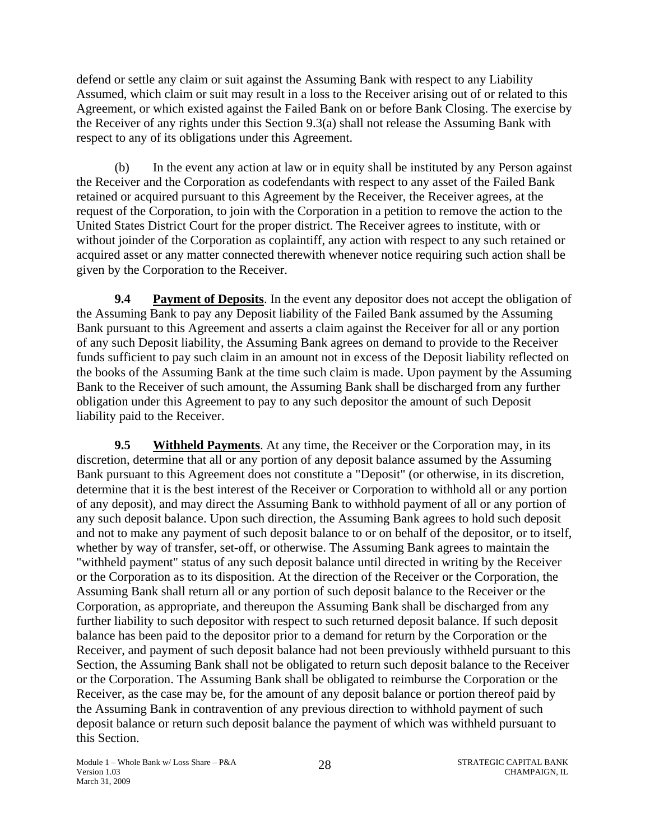<span id="page-31-0"></span>defend or settle any claim or suit against the Assuming Bank with respect to any Liability Assumed, which claim or suit may result in a loss to the Receiver arising out of or related to this Agreement, or which existed against the Failed Bank on or before Bank Closing. The exercise by the Receiver of any rights under this Section 9.3(a) shall not release the Assuming Bank with respect to any of its obligations under this Agreement.

(b) In the event any action at law or in equity shall be instituted by any Person against the Receiver and the Corporation as codefendants with respect to any asset of the Failed Bank retained or acquired pursuant to this Agreement by the Receiver, the Receiver agrees, at the request of the Corporation, to join with the Corporation in a petition to remove the action to the United States District Court for the proper district. The Receiver agrees to institute, with or without joinder of the Corporation as coplaintiff, any action with respect to any such retained or acquired asset or any matter connected therewith whenever notice requiring such action shall be given by the Corporation to the Receiver.

**9.4 Payment of Deposits**. In the event any depositor does not accept the obligation of the Assuming Bank to pay any Deposit liability of the Failed Bank assumed by the Assuming Bank pursuant to this Agreement and asserts a claim against the Receiver for all or any portion of any such Deposit liability, the Assuming Bank agrees on demand to provide to the Receiver funds sufficient to pay such claim in an amount not in excess of the Deposit liability reflected on the books of the Assuming Bank at the time such claim is made. Upon payment by the Assuming Bank to the Receiver of such amount, the Assuming Bank shall be discharged from any further obligation under this Agreement to pay to any such depositor the amount of such Deposit liability paid to the Receiver.

**9.5 Withheld Payments**. At any time, the Receiver or the Corporation may, in its discretion, determine that all or any portion of any deposit balance assumed by the Assuming Bank pursuant to this Agreement does not constitute a "Deposit" (or otherwise, in its discretion, determine that it is the best interest of the Receiver or Corporation to withhold all or any portion of any deposit), and may direct the Assuming Bank to withhold payment of all or any portion of any such deposit balance. Upon such direction, the Assuming Bank agrees to hold such deposit and not to make any payment of such deposit balance to or on behalf of the depositor, or to itself, whether by way of transfer, set-off, or otherwise. The Assuming Bank agrees to maintain the "withheld payment" status of any such deposit balance until directed in writing by the Receiver or the Corporation as to its disposition. At the direction of the Receiver or the Corporation, the Assuming Bank shall return all or any portion of such deposit balance to the Receiver or the Corporation, as appropriate, and thereupon the Assuming Bank shall be discharged from any further liability to such depositor with respect to such returned deposit balance. If such deposit balance has been paid to the depositor prior to a demand for return by the Corporation or the Receiver, and payment of such deposit balance had not been previously withheld pursuant to this Section, the Assuming Bank shall not be obligated to return such deposit balance to the Receiver or the Corporation. The Assuming Bank shall be obligated to reimburse the Corporation or the Receiver, as the case may be, for the amount of any deposit balance or portion thereof paid by the Assuming Bank in contravention of any previous direction to withhold payment of such deposit balance or return such deposit balance the payment of which was withheld pursuant to this Section.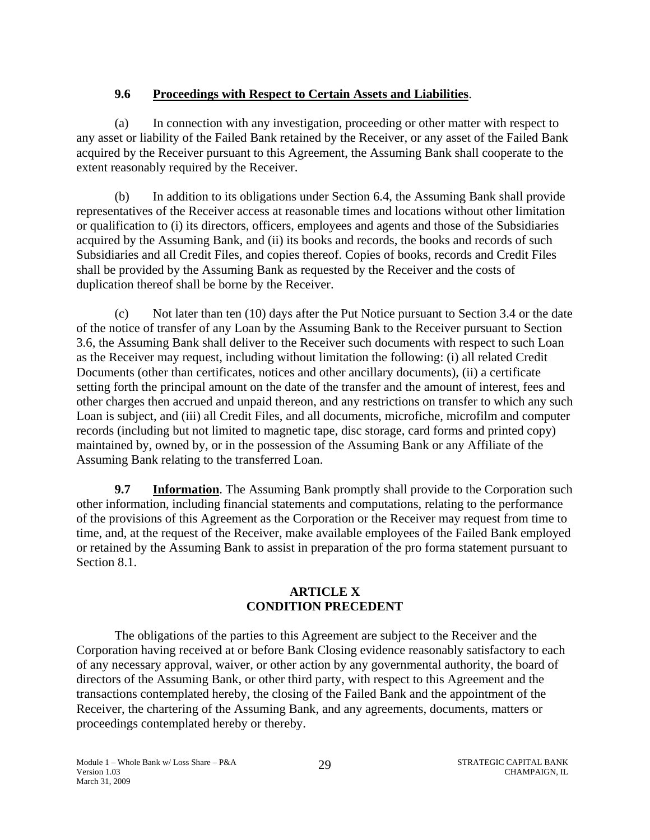## **9.6 Proceedings with Respect to Certain Assets and Liabilities**.

<span id="page-32-0"></span>(a) In connection with any investigation, proceeding or other matter with respect to any asset or liability of the Failed Bank retained by the Receiver, or any asset of the Failed Bank acquired by the Receiver pursuant to this Agreement, the Assuming Bank shall cooperate to the extent reasonably required by the Receiver.

(b) In addition to its obligations under Section 6.4, the Assuming Bank shall provide representatives of the Receiver access at reasonable times and locations without other limitation or qualification to (i) its directors, officers, employees and agents and those of the Subsidiaries acquired by the Assuming Bank, and (ii) its books and records, the books and records of such Subsidiaries and all Credit Files, and copies thereof. Copies of books, records and Credit Files shall be provided by the Assuming Bank as requested by the Receiver and the costs of duplication thereof shall be borne by the Receiver.

(c) Not later than ten (10) days after the Put Notice pursuant to Section 3.4 or the date of the notice of transfer of any Loan by the Assuming Bank to the Receiver pursuant to Section 3.6, the Assuming Bank shall deliver to the Receiver such documents with respect to such Loan as the Receiver may request, including without limitation the following: (i) all related Credit Documents (other than certificates, notices and other ancillary documents), (ii) a certificate setting forth the principal amount on the date of the transfer and the amount of interest, fees and other charges then accrued and unpaid thereon, and any restrictions on transfer to which any such Loan is subject, and (iii) all Credit Files, and all documents, microfiche, microfilm and computer records (including but not limited to magnetic tape, disc storage, card forms and printed copy) maintained by, owned by, or in the possession of the Assuming Bank or any Affiliate of the Assuming Bank relating to the transferred Loan.

**9.7** Information. The Assuming Bank promptly shall provide to the Corporation such other information, including financial statements and computations, relating to the performance of the provisions of this Agreement as the Corporation or the Receiver may request from time to time, and, at the request of the Receiver, make available employees of the Failed Bank employed or retained by the Assuming Bank to assist in preparation of the pro forma statement pursuant to Section 8.1.

## **ARTICLE X CONDITION PRECEDENT**

The obligations of the parties to this Agreement are subject to the Receiver and the Corporation having received at or before Bank Closing evidence reasonably satisfactory to each of any necessary approval, waiver, or other action by any governmental authority, the board of directors of the Assuming Bank, or other third party, with respect to this Agreement and the transactions contemplated hereby, the closing of the Failed Bank and the appointment of the Receiver, the chartering of the Assuming Bank, and any agreements, documents, matters or proceedings contemplated hereby or thereby.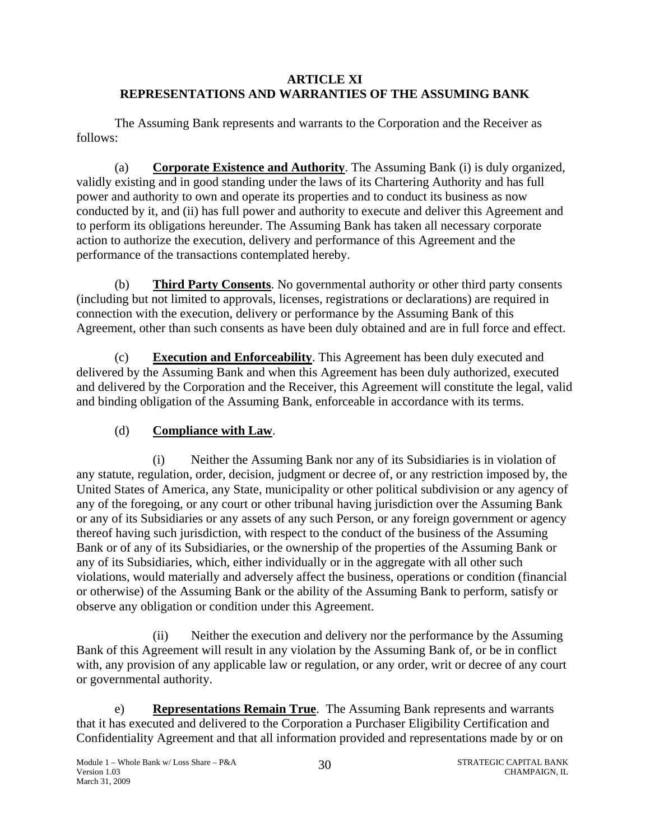### **ARTICLE XI REPRESENTATIONS AND WARRANTIES OF THE ASSUMING BANK**

<span id="page-33-0"></span>The Assuming Bank represents and warrants to the Corporation and the Receiver as follows:

(a) **Corporate Existence and Authority**. The Assuming Bank (i) is duly organized, validly existing and in good standing under the laws of its Chartering Authority and has full power and authority to own and operate its properties and to conduct its business as now conducted by it, and (ii) has full power and authority to execute and deliver this Agreement and to perform its obligations hereunder. The Assuming Bank has taken all necessary corporate action to authorize the execution, delivery and performance of this Agreement and the performance of the transactions contemplated hereby.

(b) **Third Party Consents**. No governmental authority or other third party consents (including but not limited to approvals, licenses, registrations or declarations) are required in connection with the execution, delivery or performance by the Assuming Bank of this Agreement, other than such consents as have been duly obtained and are in full force and effect.

(c) **Execution and Enforceability**. This Agreement has been duly executed and delivered by the Assuming Bank and when this Agreement has been duly authorized, executed and delivered by the Corporation and the Receiver, this Agreement will constitute the legal, valid and binding obligation of the Assuming Bank, enforceable in accordance with its terms.

## (d) **Compliance with Law**.

(i) Neither the Assuming Bank nor any of its Subsidiaries is in violation of any statute, regulation, order, decision, judgment or decree of, or any restriction imposed by, the United States of America, any State, municipality or other political subdivision or any agency of any of the foregoing, or any court or other tribunal having jurisdiction over the Assuming Bank or any of its Subsidiaries or any assets of any such Person, or any foreign government or agency thereof having such jurisdiction, with respect to the conduct of the business of the Assuming Bank or of any of its Subsidiaries, or the ownership of the properties of the Assuming Bank or any of its Subsidiaries, which, either individually or in the aggregate with all other such violations, would materially and adversely affect the business, operations or condition (financial or otherwise) of the Assuming Bank or the ability of the Assuming Bank to perform, satisfy or observe any obligation or condition under this Agreement.

(ii) Neither the execution and delivery nor the performance by the Assuming Bank of this Agreement will result in any violation by the Assuming Bank of, or be in conflict with, any provision of any applicable law or regulation, or any order, writ or decree of any court or governmental authority.

e) **Representations Remain True**. The Assuming Bank represents and warrants that it has executed and delivered to the Corporation a Purchaser Eligibility Certification and Confidentiality Agreement and that all information provided and representations made by or on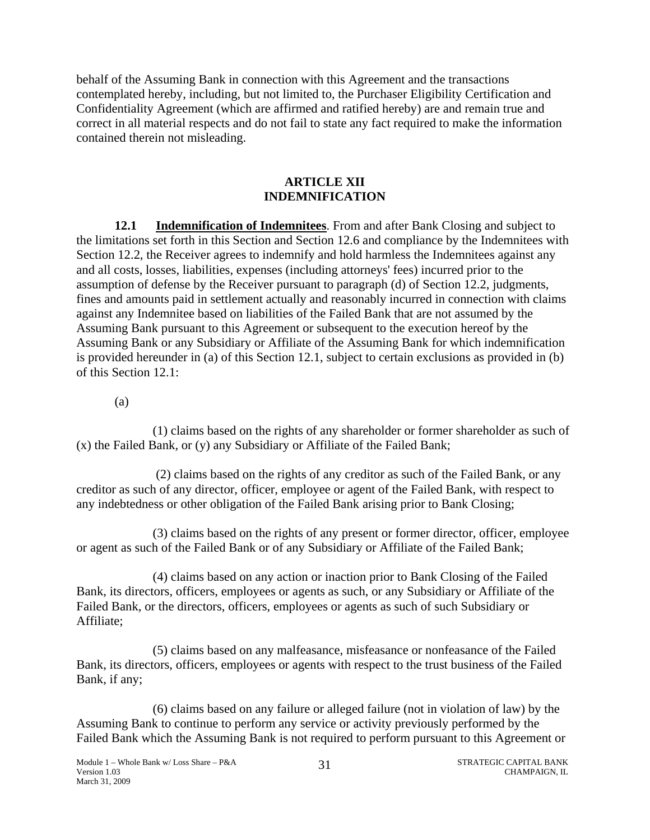<span id="page-34-0"></span>behalf of the Assuming Bank in connection with this Agreement and the transactions contemplated hereby, including, but not limited to, the Purchaser Eligibility Certification and Confidentiality Agreement (which are affirmed and ratified hereby) are and remain true and correct in all material respects and do not fail to state any fact required to make the information contained therein not misleading.

#### **ARTICLE XII INDEMNIFICATION**

**12.1** Indemnification of Indemnitees. From and after Bank Closing and subject to the limitations set forth in this Section and Section 12.6 and compliance by the Indemnitees with Section 12.2, the Receiver agrees to indemnify and hold harmless the Indemnitees against any and all costs, losses, liabilities, expenses (including attorneys' fees) incurred prior to the assumption of defense by the Receiver pursuant to paragraph (d) of Section 12.2, judgments, fines and amounts paid in settlement actually and reasonably incurred in connection with claims against any Indemnitee based on liabilities of the Failed Bank that are not assumed by the Assuming Bank pursuant to this Agreement or subsequent to the execution hereof by the Assuming Bank or any Subsidiary or Affiliate of the Assuming Bank for which indemnification is provided hereunder in (a) of this Section 12.1, subject to certain exclusions as provided in (b) of this Section 12.1:

(a)

(1) claims based on the rights of any shareholder or former shareholder as such of (x) the Failed Bank, or (y) any Subsidiary or Affiliate of the Failed Bank;

(2) claims based on the rights of any creditor as such of the Failed Bank, or any creditor as such of any director, officer, employee or agent of the Failed Bank, with respect to any indebtedness or other obligation of the Failed Bank arising prior to Bank Closing;

(3) claims based on the rights of any present or former director, officer, employee or agent as such of the Failed Bank or of any Subsidiary or Affiliate of the Failed Bank;

(4) claims based on any action or inaction prior to Bank Closing of the Failed Bank, its directors, officers, employees or agents as such, or any Subsidiary or Affiliate of the Failed Bank, or the directors, officers, employees or agents as such of such Subsidiary or Affiliate;

(5) claims based on any malfeasance, misfeasance or nonfeasance of the Failed Bank, its directors, officers, employees or agents with respect to the trust business of the Failed Bank, if any;

(6) claims based on any failure or alleged failure (not in violation of law) by the Assuming Bank to continue to perform any service or activity previously performed by the Failed Bank which the Assuming Bank is not required to perform pursuant to this Agreement or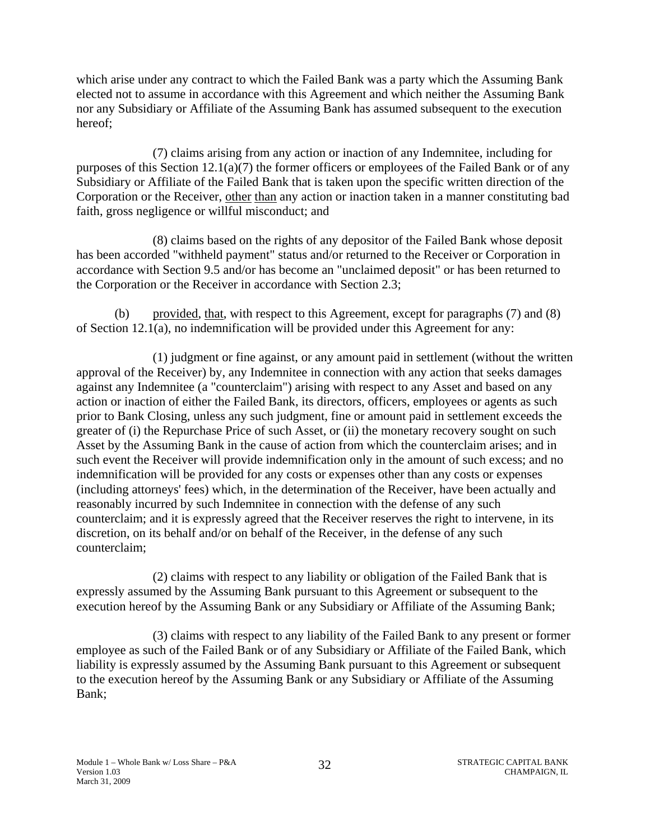which arise under any contract to which the Failed Bank was a party which the Assuming Bank elected not to assume in accordance with this Agreement and which neither the Assuming Bank nor any Subsidiary or Affiliate of the Assuming Bank has assumed subsequent to the execution hereof;

(7) claims arising from any action or inaction of any Indemnitee, including for purposes of this Section 12.1(a)(7) the former officers or employees of the Failed Bank or of any Subsidiary or Affiliate of the Failed Bank that is taken upon the specific written direction of the Corporation or the Receiver, other than any action or inaction taken in a manner constituting bad faith, gross negligence or willful misconduct; and

(8) claims based on the rights of any depositor of the Failed Bank whose deposit has been accorded "withheld payment" status and/or returned to the Receiver or Corporation in accordance with Section 9.5 and/or has become an "unclaimed deposit" or has been returned to the Corporation or the Receiver in accordance with Section 2.3;

(b) provided, that, with respect to this Agreement, except for paragraphs (7) and (8) of Section 12.1(a), no indemnification will be provided under this Agreement for any:

(1) judgment or fine against, or any amount paid in settlement (without the written approval of the Receiver) by, any Indemnitee in connection with any action that seeks damages against any Indemnitee (a "counterclaim") arising with respect to any Asset and based on any action or inaction of either the Failed Bank, its directors, officers, employees or agents as such prior to Bank Closing, unless any such judgment, fine or amount paid in settlement exceeds the greater of (i) the Repurchase Price of such Asset, or (ii) the monetary recovery sought on such Asset by the Assuming Bank in the cause of action from which the counterclaim arises; and in such event the Receiver will provide indemnification only in the amount of such excess; and no indemnification will be provided for any costs or expenses other than any costs or expenses (including attorneys' fees) which, in the determination of the Receiver, have been actually and reasonably incurred by such Indemnitee in connection with the defense of any such counterclaim; and it is expressly agreed that the Receiver reserves the right to intervene, in its discretion, on its behalf and/or on behalf of the Receiver, in the defense of any such counterclaim;

(2) claims with respect to any liability or obligation of the Failed Bank that is expressly assumed by the Assuming Bank pursuant to this Agreement or subsequent to the execution hereof by the Assuming Bank or any Subsidiary or Affiliate of the Assuming Bank;

(3) claims with respect to any liability of the Failed Bank to any present or former employee as such of the Failed Bank or of any Subsidiary or Affiliate of the Failed Bank, which liability is expressly assumed by the Assuming Bank pursuant to this Agreement or subsequent to the execution hereof by the Assuming Bank or any Subsidiary or Affiliate of the Assuming Bank;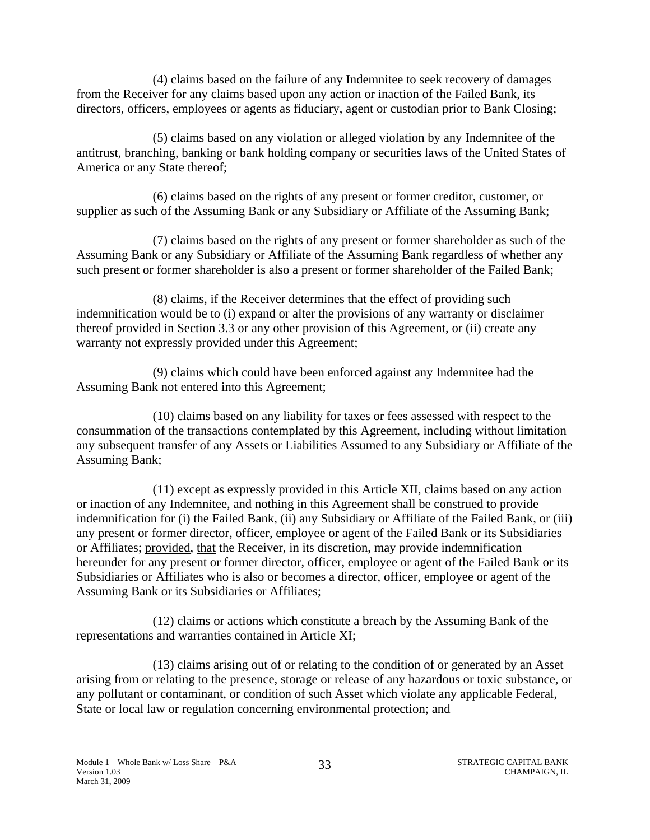(4) claims based on the failure of any Indemnitee to seek recovery of damages from the Receiver for any claims based upon any action or inaction of the Failed Bank, its directors, officers, employees or agents as fiduciary, agent or custodian prior to Bank Closing;

(5) claims based on any violation or alleged violation by any Indemnitee of the antitrust, branching, banking or bank holding company or securities laws of the United States of America or any State thereof;

(6) claims based on the rights of any present or former creditor, customer, or supplier as such of the Assuming Bank or any Subsidiary or Affiliate of the Assuming Bank;

(7) claims based on the rights of any present or former shareholder as such of the Assuming Bank or any Subsidiary or Affiliate of the Assuming Bank regardless of whether any such present or former shareholder is also a present or former shareholder of the Failed Bank;

(8) claims, if the Receiver determines that the effect of providing such indemnification would be to (i) expand or alter the provisions of any warranty or disclaimer thereof provided in Section 3.3 or any other provision of this Agreement, or (ii) create any warranty not expressly provided under this Agreement;

(9) claims which could have been enforced against any Indemnitee had the Assuming Bank not entered into this Agreement;

(10) claims based on any liability for taxes or fees assessed with respect to the consummation of the transactions contemplated by this Agreement, including without limitation any subsequent transfer of any Assets or Liabilities Assumed to any Subsidiary or Affiliate of the Assuming Bank;

(11) except as expressly provided in this Article XII, claims based on any action or inaction of any Indemnitee, and nothing in this Agreement shall be construed to provide indemnification for (i) the Failed Bank, (ii) any Subsidiary or Affiliate of the Failed Bank, or (iii) any present or former director, officer, employee or agent of the Failed Bank or its Subsidiaries or Affiliates; provided, that the Receiver, in its discretion, may provide indemnification hereunder for any present or former director, officer, employee or agent of the Failed Bank or its Subsidiaries or Affiliates who is also or becomes a director, officer, employee or agent of the Assuming Bank or its Subsidiaries or Affiliates;

(12) claims or actions which constitute a breach by the Assuming Bank of the representations and warranties contained in Article XI;

(13) claims arising out of or relating to the condition of or generated by an Asset arising from or relating to the presence, storage or release of any hazardous or toxic substance, or any pollutant or contaminant, or condition of such Asset which violate any applicable Federal, State or local law or regulation concerning environmental protection; and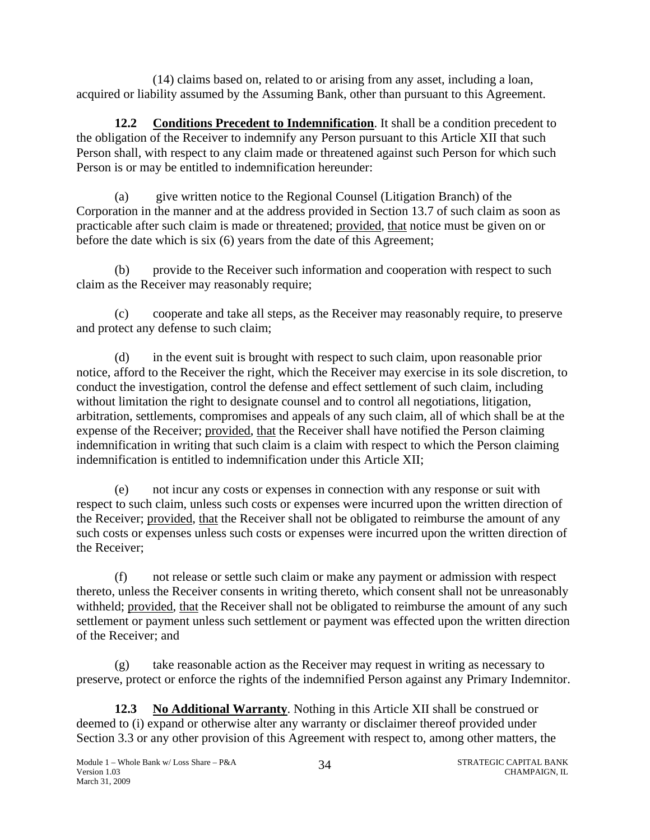(14) claims based on, related to or arising from any asset, including a loan, acquired or liability assumed by the Assuming Bank, other than pursuant to this Agreement.

**12.2 Conditions Precedent to Indemnification**. It shall be a condition precedent to the obligation of the Receiver to indemnify any Person pursuant to this Article XII that such Person shall, with respect to any claim made or threatened against such Person for which such Person is or may be entitled to indemnification hereunder:

(a) give written notice to the Regional Counsel (Litigation Branch) of the Corporation in the manner and at the address provided in Section 13.7 of such claim as soon as practicable after such claim is made or threatened; provided, that notice must be given on or before the date which is six (6) years from the date of this Agreement;

(b) provide to the Receiver such information and cooperation with respect to such claim as the Receiver may reasonably require;

(c) cooperate and take all steps, as the Receiver may reasonably require, to preserve and protect any defense to such claim;

(d) in the event suit is brought with respect to such claim, upon reasonable prior notice, afford to the Receiver the right, which the Receiver may exercise in its sole discretion, to conduct the investigation, control the defense and effect settlement of such claim, including without limitation the right to designate counsel and to control all negotiations, litigation, arbitration, settlements, compromises and appeals of any such claim, all of which shall be at the expense of the Receiver; provided, that the Receiver shall have notified the Person claiming indemnification in writing that such claim is a claim with respect to which the Person claiming indemnification is entitled to indemnification under this Article XII;

(e) not incur any costs or expenses in connection with any response or suit with respect to such claim, unless such costs or expenses were incurred upon the written direction of the Receiver; provided, that the Receiver shall not be obligated to reimburse the amount of any such costs or expenses unless such costs or expenses were incurred upon the written direction of the Receiver;

(f) not release or settle such claim or make any payment or admission with respect thereto, unless the Receiver consents in writing thereto, which consent shall not be unreasonably withheld; provided, that the Receiver shall not be obligated to reimburse the amount of any such settlement or payment unless such settlement or payment was effected upon the written direction of the Receiver; and

(g) take reasonable action as the Receiver may request in writing as necessary to preserve, protect or enforce the rights of the indemnified Person against any Primary Indemnitor.

**12.3 No Additional Warranty**. Nothing in this Article XII shall be construed or deemed to (i) expand or otherwise alter any warranty or disclaimer thereof provided under Section 3.3 or any other provision of this Agreement with respect to, among other matters, the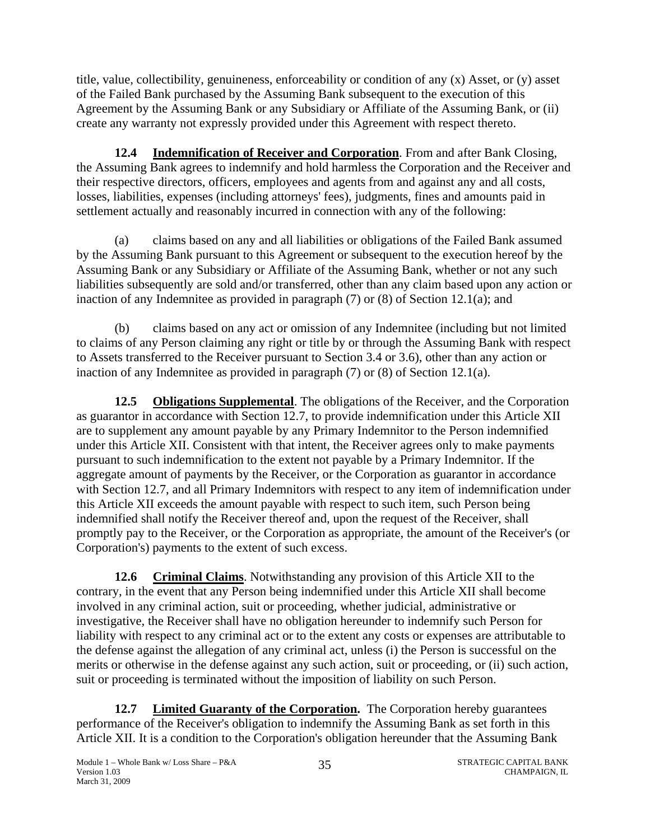title, value, collectibility, genuineness, enforceability or condition of any (x) Asset, or (y) asset of the Failed Bank purchased by the Assuming Bank subsequent to the execution of this Agreement by the Assuming Bank or any Subsidiary or Affiliate of the Assuming Bank, or (ii) create any warranty not expressly provided under this Agreement with respect thereto.

**12.4 Indemnification of Receiver and Corporation**. From and after Bank Closing, the Assuming Bank agrees to indemnify and hold harmless the Corporation and the Receiver and their respective directors, officers, employees and agents from and against any and all costs, losses, liabilities, expenses (including attorneys' fees), judgments, fines and amounts paid in settlement actually and reasonably incurred in connection with any of the following:

(a) claims based on any and all liabilities or obligations of the Failed Bank assumed by the Assuming Bank pursuant to this Agreement or subsequent to the execution hereof by the Assuming Bank or any Subsidiary or Affiliate of the Assuming Bank, whether or not any such liabilities subsequently are sold and/or transferred, other than any claim based upon any action or inaction of any Indemnitee as provided in paragraph (7) or (8) of Section 12.1(a); and

(b) claims based on any act or omission of any Indemnitee (including but not limited to claims of any Person claiming any right or title by or through the Assuming Bank with respect to Assets transferred to the Receiver pursuant to Section 3.4 or 3.6), other than any action or inaction of any Indemnitee as provided in paragraph (7) or (8) of Section 12.1(a).

**12.5 Obligations Supplemental**. The obligations of the Receiver, and the Corporation as guarantor in accordance with Section 12.7, to provide indemnification under this Article XII are to supplement any amount payable by any Primary Indemnitor to the Person indemnified under this Article XII. Consistent with that intent, the Receiver agrees only to make payments pursuant to such indemnification to the extent not payable by a Primary Indemnitor. If the aggregate amount of payments by the Receiver, or the Corporation as guarantor in accordance with Section 12.7, and all Primary Indemnitors with respect to any item of indemnification under this Article XII exceeds the amount payable with respect to such item, such Person being indemnified shall notify the Receiver thereof and, upon the request of the Receiver, shall promptly pay to the Receiver, or the Corporation as appropriate, the amount of the Receiver's (or Corporation's) payments to the extent of such excess.

**12.6 Criminal Claims**. Notwithstanding any provision of this Article XII to the contrary, in the event that any Person being indemnified under this Article XII shall become involved in any criminal action, suit or proceeding, whether judicial, administrative or investigative, the Receiver shall have no obligation hereunder to indemnify such Person for liability with respect to any criminal act or to the extent any costs or expenses are attributable to the defense against the allegation of any criminal act, unless (i) the Person is successful on the merits or otherwise in the defense against any such action, suit or proceeding, or (ii) such action, suit or proceeding is terminated without the imposition of liability on such Person.

**12.7 Limited Guaranty of the Corporation.** The Corporation hereby guarantees performance of the Receiver's obligation to indemnify the Assuming Bank as set forth in this Article XII. It is a condition to the Corporation's obligation hereunder that the Assuming Bank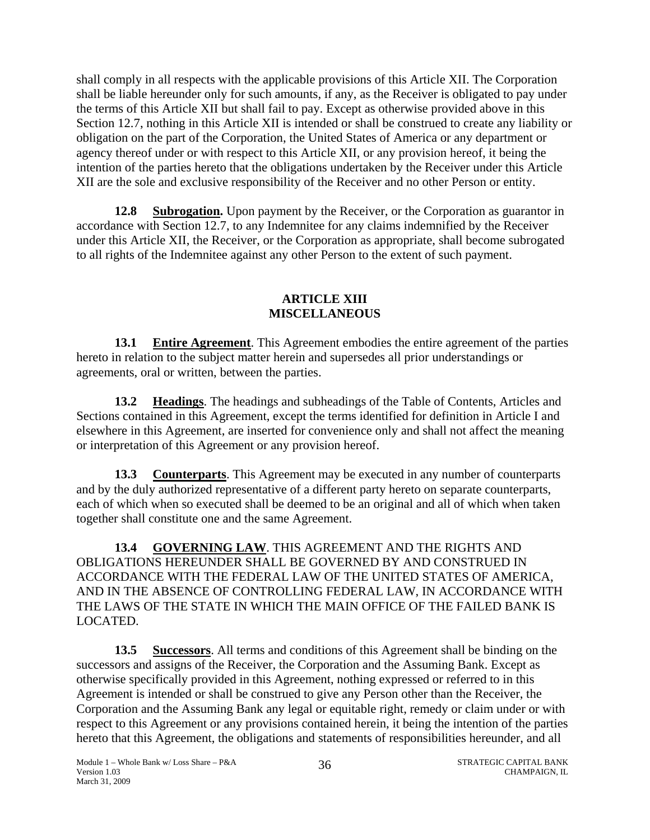shall comply in all respects with the applicable provisions of this Article XII. The Corporation shall be liable hereunder only for such amounts, if any, as the Receiver is obligated to pay under the terms of this Article XII but shall fail to pay. Except as otherwise provided above in this Section 12.7, nothing in this Article XII is intended or shall be construed to create any liability or obligation on the part of the Corporation, the United States of America or any department or agency thereof under or with respect to this Article XII, or any provision hereof, it being the intention of the parties hereto that the obligations undertaken by the Receiver under this Article XII are the sole and exclusive responsibility of the Receiver and no other Person or entity.

**12.8 Subrogation.** Upon payment by the Receiver, or the Corporation as guarantor in accordance with Section 12.7, to any Indemnitee for any claims indemnified by the Receiver under this Article XII, the Receiver, or the Corporation as appropriate, shall become subrogated to all rights of the Indemnitee against any other Person to the extent of such payment.

### **ARTICLE XIII MISCELLANEOUS**

**13.1 Entire Agreement**. This Agreement embodies the entire agreement of the parties hereto in relation to the subject matter herein and supersedes all prior understandings or agreements, oral or written, between the parties.

**13.2 Headings**. The headings and subheadings of the Table of Contents, Articles and Sections contained in this Agreement, except the terms identified for definition in Article I and elsewhere in this Agreement, are inserted for convenience only and shall not affect the meaning or interpretation of this Agreement or any provision hereof.

**13.3 Counterparts**. This Agreement may be executed in any number of counterparts and by the duly authorized representative of a different party hereto on separate counterparts, each of which when so executed shall be deemed to be an original and all of which when taken together shall constitute one and the same Agreement.

**13.4 GOVERNING LAW**. THIS AGREEMENT AND THE RIGHTS AND OBLIGATIONS HEREUNDER SHALL BE GOVERNED BY AND CONSTRUED IN ACCORDANCE WITH THE FEDERAL LAW OF THE UNITED STATES OF AMERICA, AND IN THE ABSENCE OF CONTROLLING FEDERAL LAW, IN ACCORDANCE WITH THE LAWS OF THE STATE IN WHICH THE MAIN OFFICE OF THE FAILED BANK IS LOCATED.

 **13.5 Successors**. All terms and conditions of this Agreement shall be binding on the successors and assigns of the Receiver, the Corporation and the Assuming Bank. Except as otherwise specifically provided in this Agreement, nothing expressed or referred to in this Agreement is intended or shall be construed to give any Person other than the Receiver, the Corporation and the Assuming Bank any legal or equitable right, remedy or claim under or with respect to this Agreement or any provisions contained herein, it being the intention of the parties hereto that this Agreement, the obligations and statements of responsibilities hereunder, and all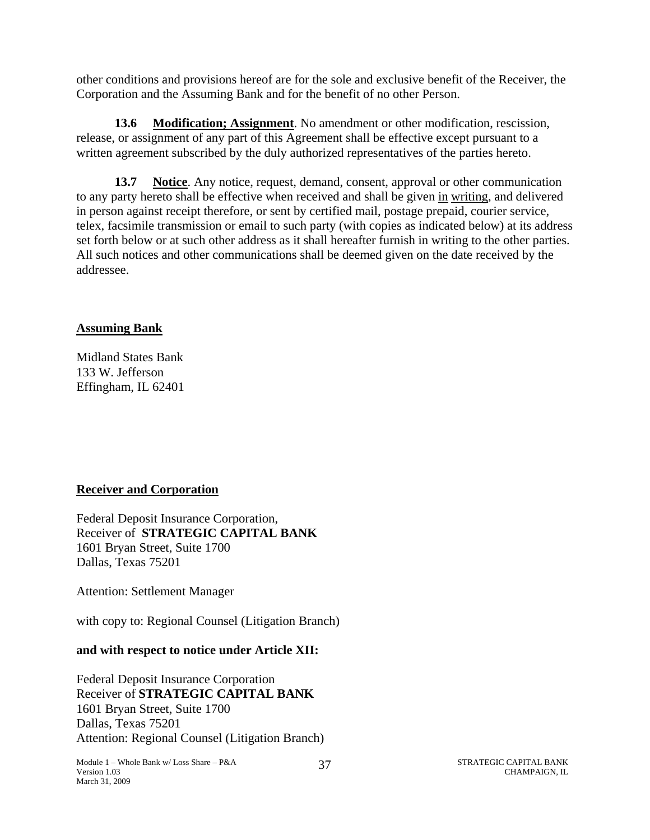other conditions and provisions hereof are for the sole and exclusive benefit of the Receiver, the Corporation and the Assuming Bank and for the benefit of no other Person.

**13.6 Modification; Assignment**. No amendment or other modification, rescission, release, or assignment of any part of this Agreement shall be effective except pursuant to a written agreement subscribed by the duly authorized representatives of the parties hereto.

**13.7 Notice**. Any notice, request, demand, consent, approval or other communication to any party hereto shall be effective when received and shall be given in writing, and delivered in person against receipt therefore, or sent by certified mail, postage prepaid, courier service, telex, facsimile transmission or email to such party (with copies as indicated below) at its address set forth below or at such other address as it shall hereafter furnish in writing to the other parties. All such notices and other communications shall be deemed given on the date received by the addressee.

### **Assuming Bank**

Midland States Bank 133 W. Jefferson Effingham, IL 62401

### **Receiver and Corporation**

 Receiver of **STRATEGIC CAPITAL BANK** Federal Deposit Insurance Corporation, 1601 Bryan Street, Suite 1700 Dallas, Texas 75201

Attention: Settlement Manager

with copy to: Regional Counsel (Litigation Branch)

### **and with respect to notice under Article XII:**

Federal Deposit Insurance Corporation Receiver of **STRATEGIC CAPITAL BANK**  1601 Bryan Street, Suite 1700 Dallas, Texas 75201 Attention: Regional Counsel (Litigation Branch)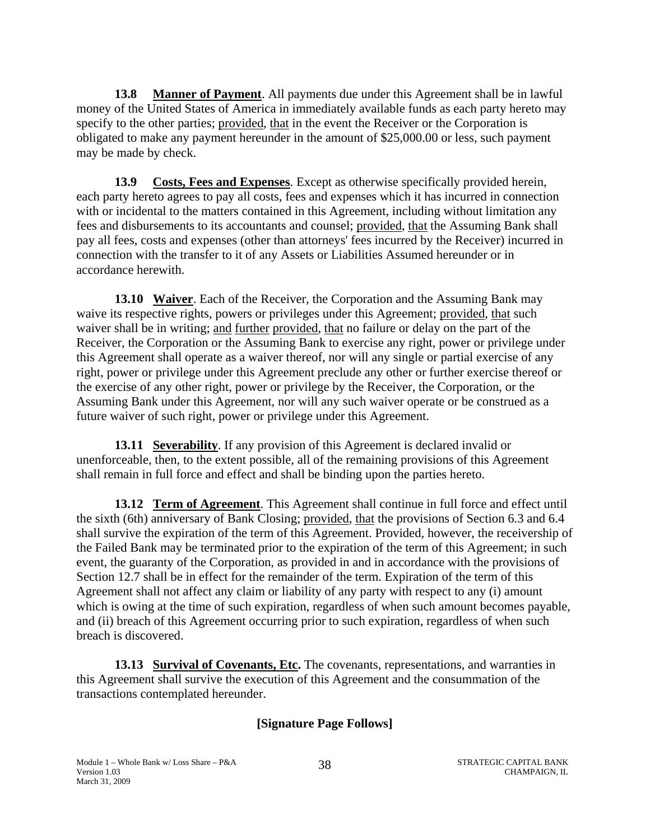**13.8 Manner of Payment**. All payments due under this Agreement shall be in lawful money of the United States of America in immediately available funds as each party hereto may specify to the other parties; provided, that in the event the Receiver or the Corporation is obligated to make any payment hereunder in the amount of \$25,000.00 or less, such payment may be made by check.

**13.9 Costs, Fees and Expenses**. Except as otherwise specifically provided herein, each party hereto agrees to pay all costs, fees and expenses which it has incurred in connection with or incidental to the matters contained in this Agreement, including without limitation any fees and disbursements to its accountants and counsel; provided, that the Assuming Bank shall pay all fees, costs and expenses (other than attorneys' fees incurred by the Receiver) incurred in connection with the transfer to it of any Assets or Liabilities Assumed hereunder or in accordance herewith.

**13.10 Waiver**. Each of the Receiver, the Corporation and the Assuming Bank may waive its respective rights, powers or privileges under this Agreement; provided, that such waiver shall be in writing; and further provided, that no failure or delay on the part of the Receiver, the Corporation or the Assuming Bank to exercise any right, power or privilege under this Agreement shall operate as a waiver thereof, nor will any single or partial exercise of any right, power or privilege under this Agreement preclude any other or further exercise thereof or the exercise of any other right, power or privilege by the Receiver, the Corporation, or the Assuming Bank under this Agreement, nor will any such waiver operate or be construed as a future waiver of such right, power or privilege under this Agreement.

**13.11 Severability**. If any provision of this Agreement is declared invalid or unenforceable, then, to the extent possible, all of the remaining provisions of this Agreement shall remain in full force and effect and shall be binding upon the parties hereto.

**13.12 Term of Agreement**. This Agreement shall continue in full force and effect until the sixth (6th) anniversary of Bank Closing; provided, that the provisions of Section 6.3 and 6.4 shall survive the expiration of the term of this Agreement. Provided, however, the receivership of the Failed Bank may be terminated prior to the expiration of the term of this Agreement; in such event, the guaranty of the Corporation, as provided in and in accordance with the provisions of Section 12.7 shall be in effect for the remainder of the term. Expiration of the term of this Agreement shall not affect any claim or liability of any party with respect to any (i) amount which is owing at the time of such expiration, regardless of when such amount becomes payable, and (ii) breach of this Agreement occurring prior to such expiration, regardless of when such breach is discovered.

**13.13 Survival of Covenants, Etc.** The covenants, representations, and warranties in this Agreement shall survive the execution of this Agreement and the consummation of the transactions contemplated hereunder.

# **[Signature Page Follows]**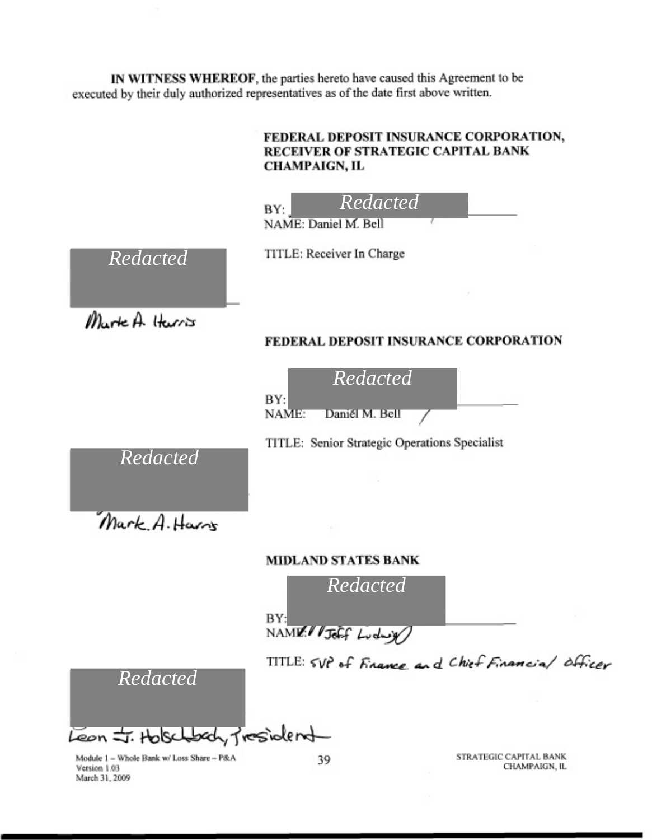**IN WITNESS WHEREOF,** the parties hereto have caused this Agreement to be executed by their duly authorized representatives as of the date first above written.

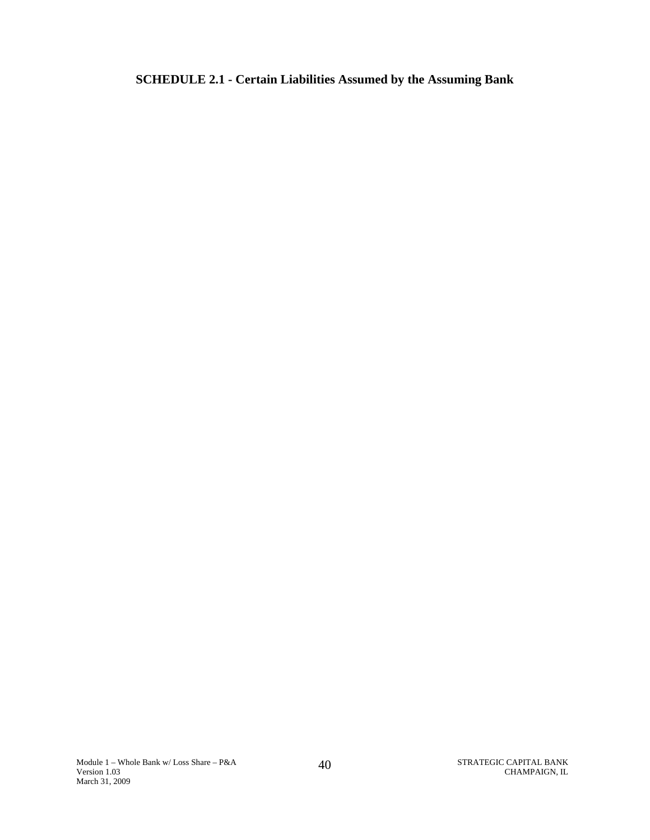**SCHEDULE 2.1 - Certain Liabilities Assumed by the Assuming Bank**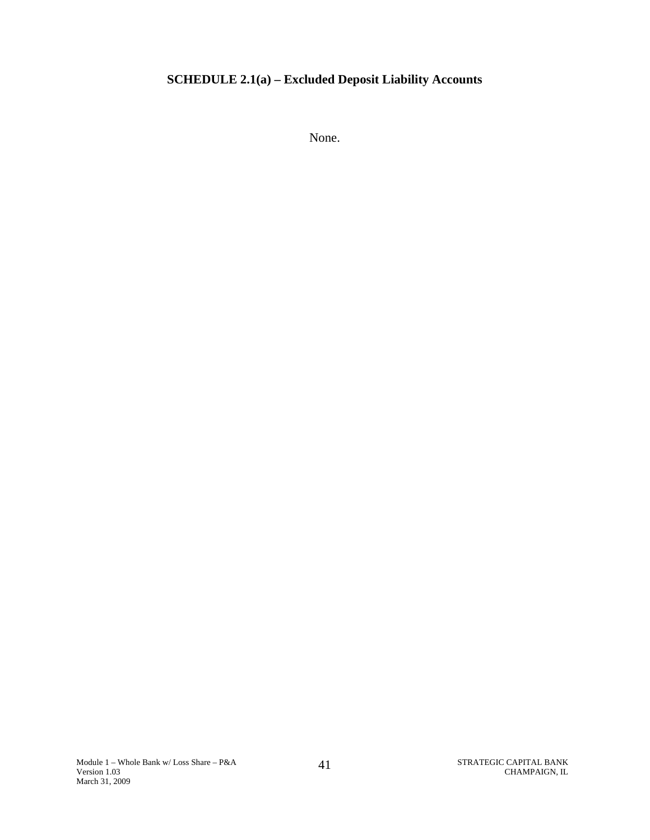# **SCHEDULE 2.1(a) – Excluded Deposit Liability Accounts**

None.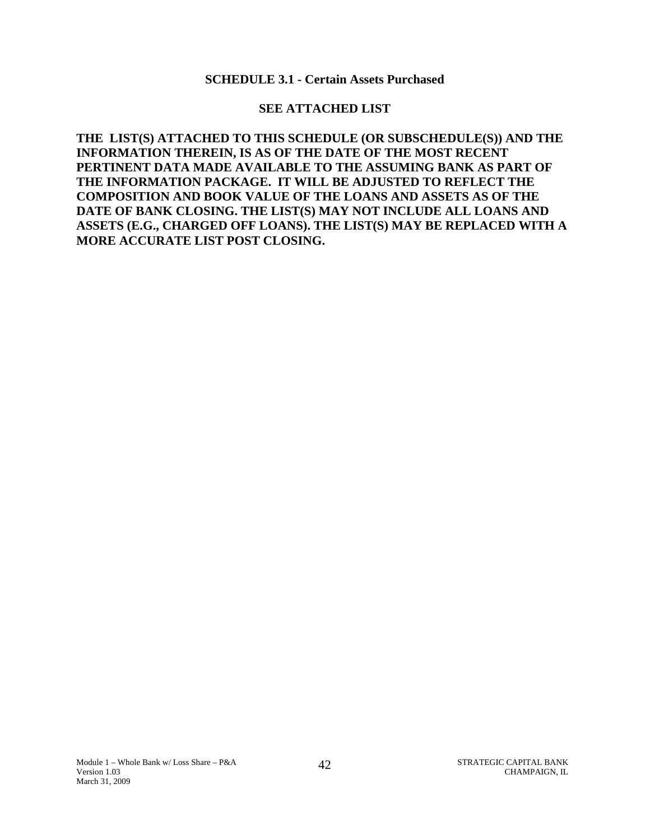#### **SCHEDULE 3.1 - Certain Assets Purchased**

#### **SEE ATTACHED LIST**

THE LIST(S) ATTACHED TO THIS SCHEDULE (OR SUBSCHEDULE(S)) AND THE **INFORMATION THEREIN, IS AS OF THE DATE OF THE MOST RECENT PERTINENT DATA MADE AVAILABLE TO THE ASSUMING BANK AS PART OF THE INFORMATION PACKAGE. IT WILL BE ADJUSTED TO REFLECT THE COMPOSITION AND BOOK VALUE OF THE LOANS AND ASSETS AS OF THE DATE OF BANK CLOSING. THE LIST(S) MAY NOT INCLUDE ALL LOANS AND ASSETS (E.G., CHARGED OFF LOANS). THE LIST(S) MAY BE REPLACED WITH A MORE ACCURATE LIST POST CLOSING.**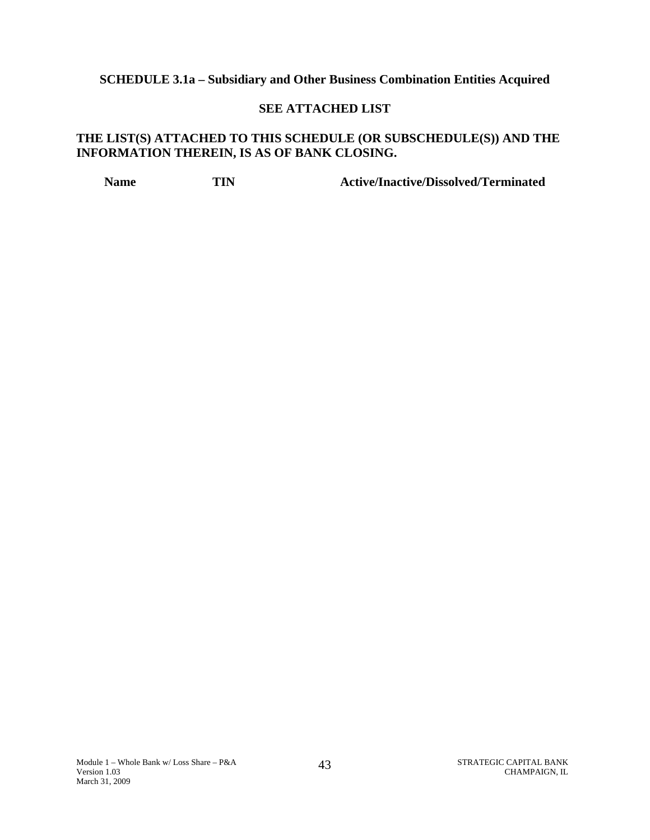### **SCHEDULE 3.1a – Subsidiary and Other Business Combination Entities Acquired**

#### **SEE ATTACHED LIST**

### **THE LIST(S) ATTACHED TO THIS SCHEDULE (OR SUBSCHEDULE(S)) AND THE INFORMATION THEREIN, IS AS OF BANK CLOSING.**

**Name TIN Active/Inactive/Dissolved/Terminated**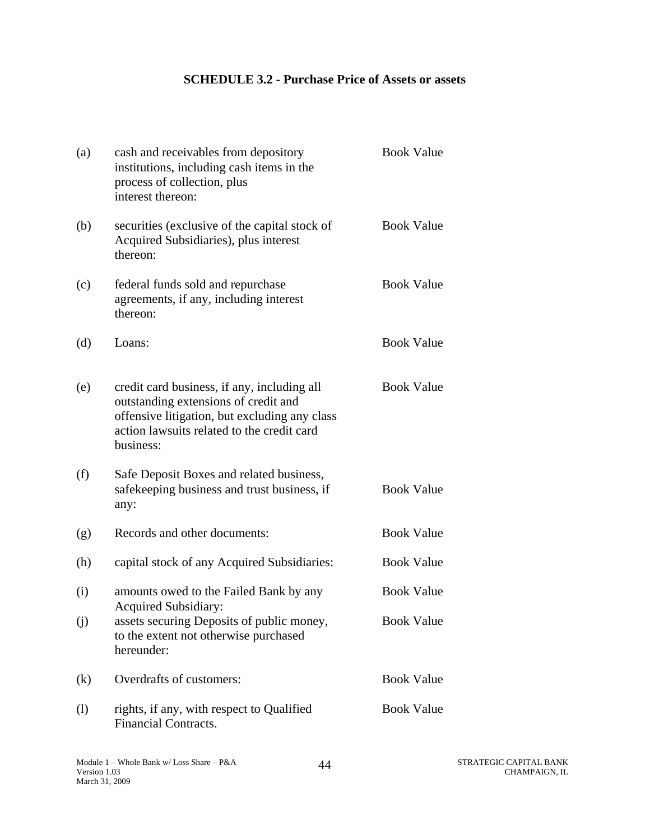# **SCHEDULE 3.2 - Purchase Price of Assets or assets**

| (a)                        | cash and receivables from depository<br>institutions, including cash items in the<br>process of collection, plus<br>interest thereon:                                                           | <b>Book Value</b> |
|----------------------------|-------------------------------------------------------------------------------------------------------------------------------------------------------------------------------------------------|-------------------|
| (b)                        | securities (exclusive of the capital stock of<br>Acquired Subsidiaries), plus interest<br>thereon:                                                                                              | <b>Book Value</b> |
| (c)                        | federal funds sold and repurchase<br>agreements, if any, including interest<br>thereon:                                                                                                         | <b>Book Value</b> |
| (d)                        | Loans:                                                                                                                                                                                          | <b>Book Value</b> |
| (e)                        | credit card business, if any, including all<br>outstanding extensions of credit and<br>offensive litigation, but excluding any class<br>action lawsuits related to the credit card<br>business: | <b>Book Value</b> |
| (f)                        | Safe Deposit Boxes and related business,<br>safekeeping business and trust business, if<br>any:                                                                                                 | <b>Book Value</b> |
| (g)                        | Records and other documents:                                                                                                                                                                    | <b>Book Value</b> |
| (h)                        | capital stock of any Acquired Subsidiaries:                                                                                                                                                     | <b>Book Value</b> |
| (i)                        | amounts owed to the Failed Bank by any<br><b>Acquired Subsidiary:</b>                                                                                                                           | <b>Book Value</b> |
| (j)                        | assets securing Deposits of public money,<br>to the extent not otherwise purchased<br>hereunder:                                                                                                | <b>Book Value</b> |
| (k)                        | Overdrafts of customers:                                                                                                                                                                        | <b>Book Value</b> |
| $\left( \mathrm{l}\right)$ | rights, if any, with respect to Qualified<br><b>Financial Contracts.</b>                                                                                                                        | <b>Book Value</b> |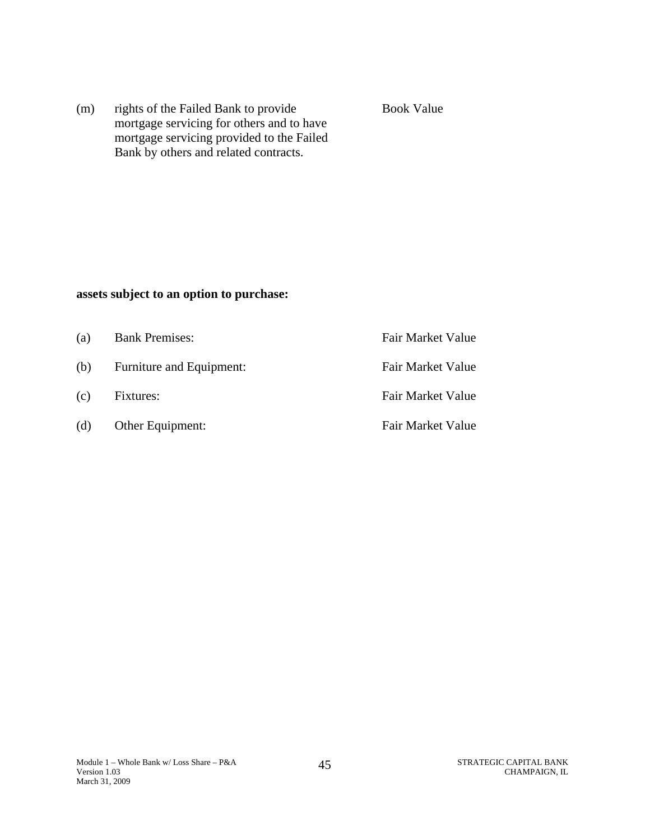| (m) | rights of the Failed Bank to provide      | <b>Book Value</b> |
|-----|-------------------------------------------|-------------------|
|     | mortgage servicing for others and to have |                   |
|     | mortgage servicing provided to the Failed |                   |
|     | Bank by others and related contracts.     |                   |

# **assets subject to an option to purchase:**

| (a) | <b>Bank Premises:</b>    | Fair Market Value |
|-----|--------------------------|-------------------|
| (b) | Furniture and Equipment: | Fair Market Value |
| (c) | Fixtures:                | Fair Market Value |
| (d) | Other Equipment:         | Fair Market Value |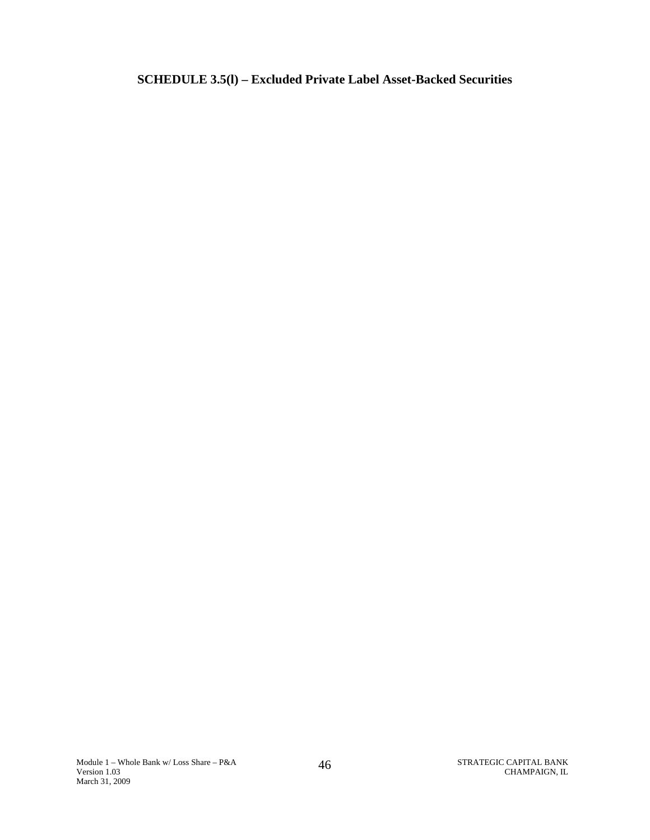# **SCHEDULE 3.5(l) – Excluded Private Label Asset-Backed Securities**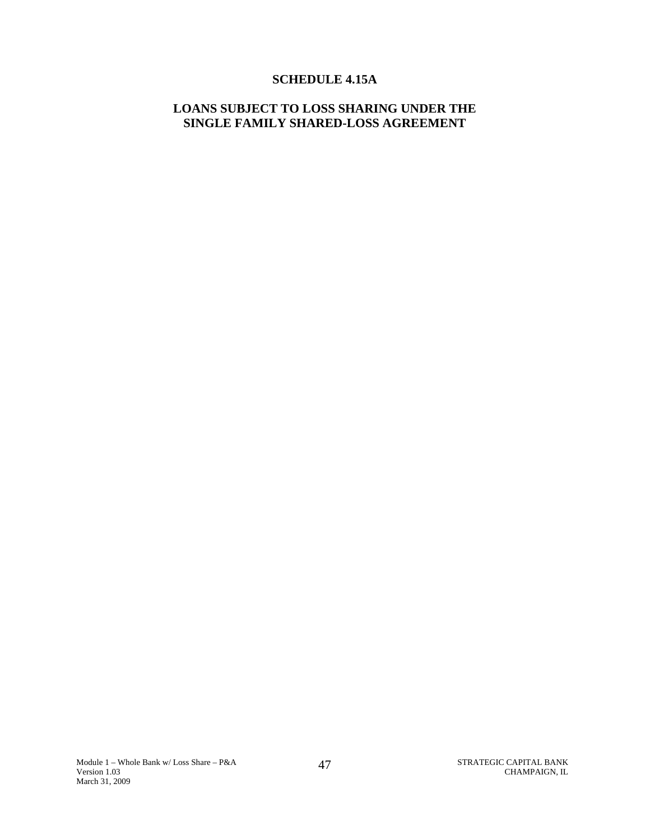#### **SCHEDULE 4.15A**

### **LOANS SUBJECT TO LOSS SHARING UNDER THE SINGLE FAMILY SHARED-LOSS AGREEMENT**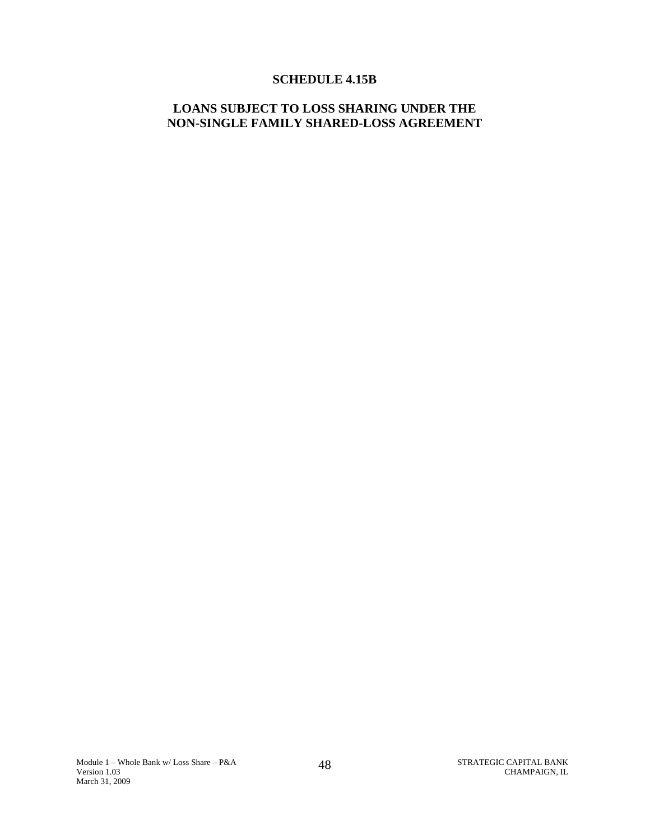#### **SCHEDULE 4.15B**

### **LOANS SUBJECT TO LOSS SHARING UNDER THE NON-SINGLE FAMILY SHARED-LOSS AGREEMENT**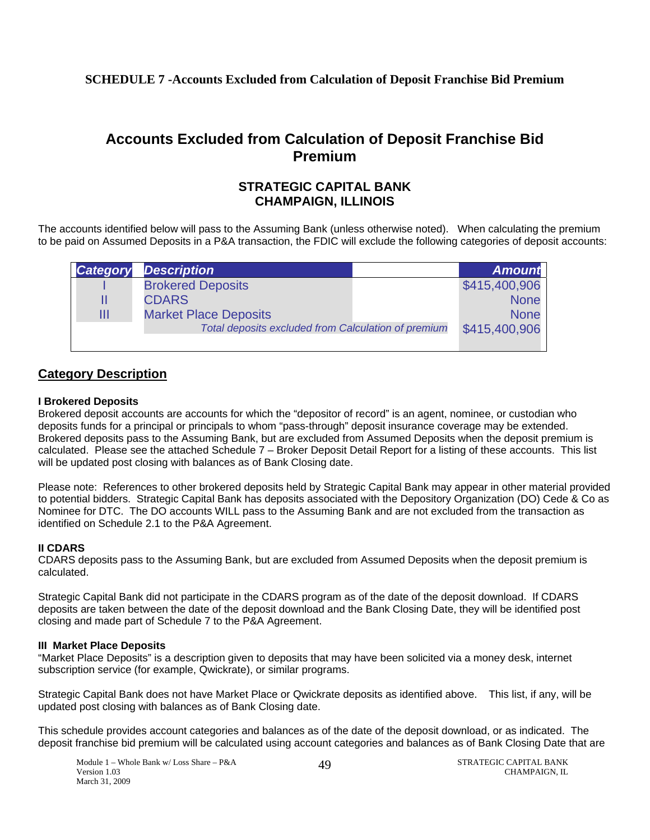### **SCHEDULE 7 -Accounts Excluded from Calculation of Deposit Franchise Bid Premium**

# **Premium Accounts Excluded from Calculation of Deposit Franchise Bid**

### **STRATEGIC CAPITAL BANK CHAMPAIGN, ILLINOIS**

The accounts identified below will pass to the Assuming Bank (unless otherwise noted). When calculating the premium to be paid on Assumed Deposits in a P&A transaction, the FDIC will exclude the following categories of deposit accounts:

| <b>Category</b> | <b>Description</b>                                  | <b>Amount</b> |
|-----------------|-----------------------------------------------------|---------------|
|                 | <b>Brokered Deposits</b>                            | \$415,400,906 |
| Ш               | <b>CDARS</b>                                        | <b>None</b>   |
| Ш               | <b>Market Place Deposits</b>                        | <b>None</b>   |
|                 | Total deposits excluded from Calculation of premium | \$415,400,906 |
|                 |                                                     |               |

### **Category Description**

#### **I Brokered Deposits**

Brokered deposit accounts are accounts for which the "depositor of record" is an agent, nominee, or custodian who deposits funds for a principal or principals to whom "pass-through" deposit insurance coverage may be extended. Brokered deposits pass to the Assuming Bank, but are excluded from Assumed Deposits when the deposit premium is calculated. Please see the attached Schedule 7 – Broker Deposit Detail Report for a listing of these accounts. This list will be updated post closing with balances as of Bank Closing date.

Please note: References to other brokered deposits held by Strategic Capital Bank may appear in other material provided to potential bidders. Strategic Capital Bank has deposits associated with the Depository Organization (DO) Cede & Co as Nominee for DTC. The DO accounts WILL pass to the Assuming Bank and are not excluded from the transaction as identified on Schedule 2.1 to the P&A Agreement.

#### **II CDARS**

CDARS deposits pass to the Assuming Bank, but are excluded from Assumed Deposits when the deposit premium is calculated.

Strategic Capital Bank did not participate in the CDARS program as of the date of the deposit download. If CDARS deposits are taken between the date of the deposit download and the Bank Closing Date, they will be identified post closing and made part of Schedule 7 to the P&A Agreement.

#### **III Market Place Deposits**

"Market Place Deposits" is a description given to deposits that may have been solicited via a money desk, internet subscription service (for example, Qwickrate), or similar programs.

Strategic Capital Bank does not have Market Place or Qwickrate deposits as identified above. This list, if any, will be updated post closing with balances as of Bank Closing date.

This schedule provides account categories and balances as of the date of the deposit download, or as indicated. The deposit franchise bid premium will be calculated using account categories and balances as of Bank Closing Date that are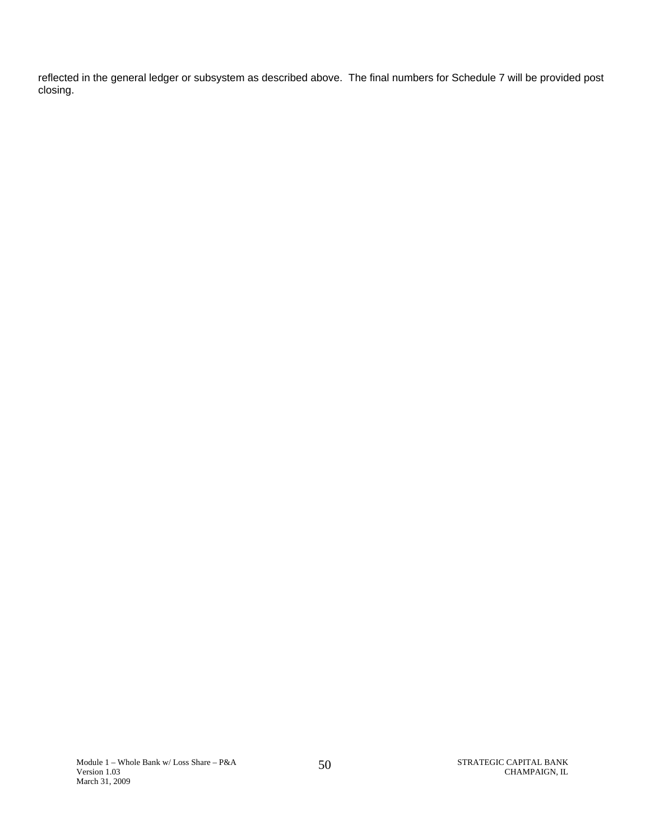reflected in the general ledger or subsystem as described above. The final numbers for Schedule 7 will be provided post closing.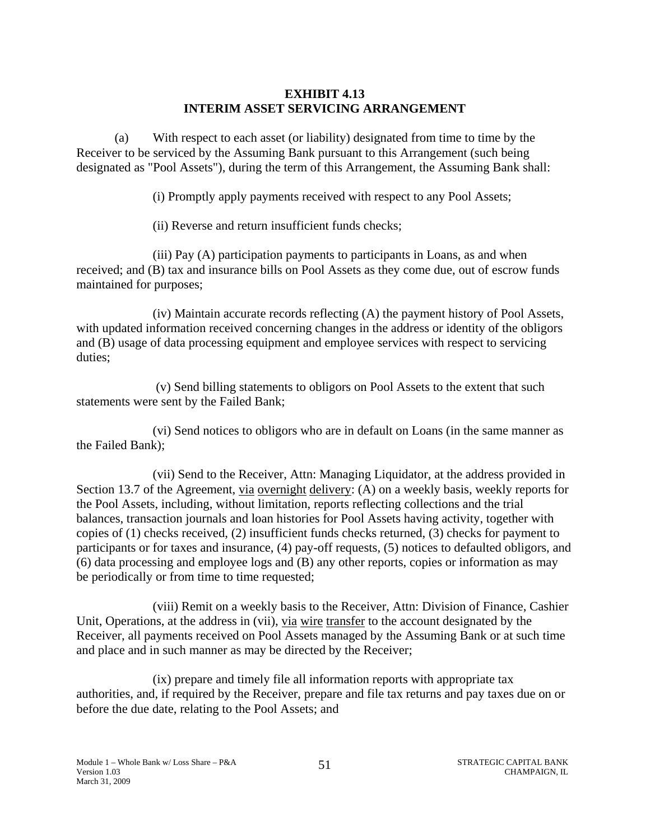### **EXHIBIT 4.13 INTERIM ASSET SERVICING ARRANGEMENT**

(a) With respect to each asset (or liability) designated from time to time by the Receiver to be serviced by the Assuming Bank pursuant to this Arrangement (such being designated as "Pool Assets"), during the term of this Arrangement, the Assuming Bank shall:

(i) Promptly apply payments received with respect to any Pool Assets;

(ii) Reverse and return insufficient funds checks;

(iii) Pay (A) participation payments to participants in Loans, as and when received; and (B) tax and insurance bills on Pool Assets as they come due, out of escrow funds maintained for purposes;

(iv) Maintain accurate records reflecting (A) the payment history of Pool Assets, with updated information received concerning changes in the address or identity of the obligors and (B) usage of data processing equipment and employee services with respect to servicing duties;

 (v) Send billing statements to obligors on Pool Assets to the extent that such statements were sent by the Failed Bank;

(vi) Send notices to obligors who are in default on Loans (in the same manner as the Failed Bank);

(vii) Send to the Receiver, Attn: Managing Liquidator, at the address provided in Section 13.7 of the Agreement, via overnight delivery: (A) on a weekly basis, weekly reports for the Pool Assets, including, without limitation, reports reflecting collections and the trial balances, transaction journals and loan histories for Pool Assets having activity, together with copies of (1) checks received, (2) insufficient funds checks returned, (3) checks for payment to participants or for taxes and insurance, (4) pay-off requests, (5) notices to defaulted obligors, and (6) data processing and employee logs and (B) any other reports, copies or information as may be periodically or from time to time requested;

(viii) Remit on a weekly basis to the Receiver, Attn: Division of Finance, Cashier Unit, Operations, at the address in (vii), via wire transfer to the account designated by the Receiver, all payments received on Pool Assets managed by the Assuming Bank or at such time and place and in such manner as may be directed by the Receiver;

(ix) prepare and timely file all information reports with appropriate tax authorities, and, if required by the Receiver, prepare and file tax returns and pay taxes due on or before the due date, relating to the Pool Assets; and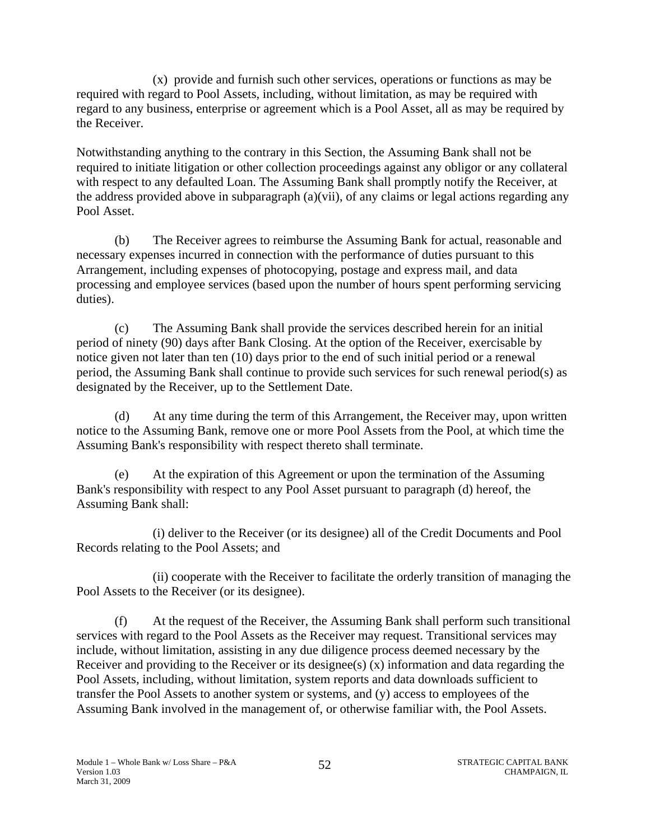(x) provide and furnish such other services, operations or functions as may be required with regard to Pool Assets, including, without limitation, as may be required with regard to any business, enterprise or agreement which is a Pool Asset, all as may be required by the Receiver.

Notwithstanding anything to the contrary in this Section, the Assuming Bank shall not be required to initiate litigation or other collection proceedings against any obligor or any collateral with respect to any defaulted Loan. The Assuming Bank shall promptly notify the Receiver, at the address provided above in subparagraph (a)(vii), of any claims or legal actions regarding any Pool Asset.

(b) The Receiver agrees to reimburse the Assuming Bank for actual, reasonable and necessary expenses incurred in connection with the performance of duties pursuant to this Arrangement, including expenses of photocopying, postage and express mail, and data processing and employee services (based upon the number of hours spent performing servicing duties).

(c) The Assuming Bank shall provide the services described herein for an initial period of ninety (90) days after Bank Closing. At the option of the Receiver, exercisable by notice given not later than ten (10) days prior to the end of such initial period or a renewal period, the Assuming Bank shall continue to provide such services for such renewal period(s) as designated by the Receiver, up to the Settlement Date.

(d) At any time during the term of this Arrangement, the Receiver may, upon written notice to the Assuming Bank, remove one or more Pool Assets from the Pool, at which time the Assuming Bank's responsibility with respect thereto shall terminate.

(e) At the expiration of this Agreement or upon the termination of the Assuming Bank's responsibility with respect to any Pool Asset pursuant to paragraph (d) hereof, the Assuming Bank shall:

(i) deliver to the Receiver (or its designee) all of the Credit Documents and Pool Records relating to the Pool Assets; and

(ii) cooperate with the Receiver to facilitate the orderly transition of managing the Pool Assets to the Receiver (or its designee).

(f) At the request of the Receiver, the Assuming Bank shall perform such transitional services with regard to the Pool Assets as the Receiver may request. Transitional services may include, without limitation, assisting in any due diligence process deemed necessary by the Receiver and providing to the Receiver or its designee(s) (x) information and data regarding the Pool Assets, including, without limitation, system reports and data downloads sufficient to transfer the Pool Assets to another system or systems, and (y) access to employees of the Assuming Bank involved in the management of, or otherwise familiar with, the Pool Assets.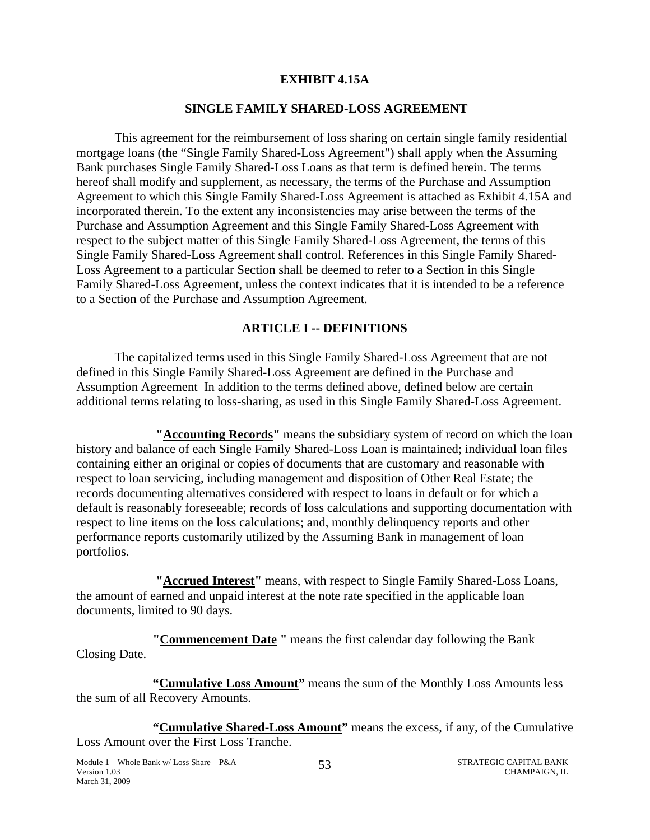#### **EXHIBIT 4.15A**

#### **SINGLE FAMILY SHARED-LOSS AGREEMENT**

This agreement for the reimbursement of loss sharing on certain single family residential mortgage loans (the "Single Family Shared-Loss Agreement") shall apply when the Assuming Bank purchases Single Family Shared-Loss Loans as that term is defined herein. The terms hereof shall modify and supplement, as necessary, the terms of the Purchase and Assumption Agreement to which this Single Family Shared-Loss Agreement is attached as Exhibit 4.15A and incorporated therein. To the extent any inconsistencies may arise between the terms of the Purchase and Assumption Agreement and this Single Family Shared-Loss Agreement with respect to the subject matter of this Single Family Shared-Loss Agreement, the terms of this Single Family Shared-Loss Agreement shall control. References in this Single Family Shared-Loss Agreement to a particular Section shall be deemed to refer to a Section in this Single Family Shared-Loss Agreement, unless the context indicates that it is intended to be a reference to a Section of the Purchase and Assumption Agreement.

#### **ARTICLE I -- DEFINITIONS**

The capitalized terms used in this Single Family Shared-Loss Agreement that are not defined in this Single Family Shared-Loss Agreement are defined in the Purchase and Assumption Agreement In addition to the terms defined above, defined below are certain additional terms relating to loss-sharing, as used in this Single Family Shared-Loss Agreement.

**"Accounting Records"** means the subsidiary system of record on which the loan history and balance of each Single Family Shared-Loss Loan is maintained; individual loan files containing either an original or copies of documents that are customary and reasonable with respect to loan servicing, including management and disposition of Other Real Estate; the records documenting alternatives considered with respect to loans in default or for which a default is reasonably foreseeable; records of loss calculations and supporting documentation with respect to line items on the loss calculations; and, monthly delinquency reports and other performance reports customarily utilized by the Assuming Bank in management of loan portfolios.

**"Accrued Interest"** means, with respect to Single Family Shared-Loss Loans, the amount of earned and unpaid interest at the note rate specified in the applicable loan documents, limited to 90 days.

**"Commencement Date "** means the first calendar day following the Bank Closing Date.

**"Cumulative Loss Amount"** means the sum of the Monthly Loss Amounts less the sum of all Recovery Amounts.

**"Cumulative Shared-Loss Amount"** means the excess, if any, of the Cumulative Loss Amount over the First Loss Tranche.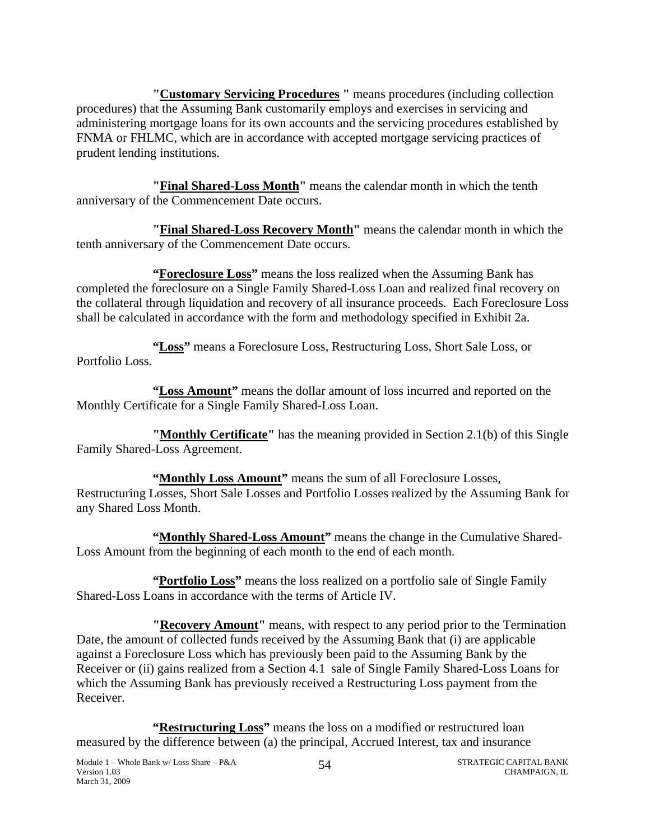**"Customary Servicing Procedures "** means procedures (including collection procedures) that the Assuming Bank customarily employs and exercises in servicing and administering mortgage loans for its own accounts and the servicing procedures established by FNMA or FHLMC, which are in accordance with accepted mortgage servicing practices of prudent lending institutions.

 anniversary of the Commencement Date occurs. **"Final Shared-Loss Month"** means the calendar month in which the tenth

**"Final Shared-Loss Recovery Month"** means the calendar month in which the tenth anniversary of the Commencement Date occurs.

**"Foreclosure Loss"** means the loss realized when the Assuming Bank has completed the foreclosure on a Single Family Shared-Loss Loan and realized final recovery on the collateral through liquidation and recovery of all insurance proceeds. Each Foreclosure Loss shall be calculated in accordance with the form and methodology specified in Exhibit 2a.

**"Loss"** means a Foreclosure Loss, Restructuring Loss, Short Sale Loss, or Portfolio Loss.

**"Loss Amount"** means the dollar amount of loss incurred and reported on the Monthly Certificate for a Single Family Shared-Loss Loan.

**"Monthly Certificate"** has the meaning provided in Section 2.1(b) of this Single Family Shared-Loss Agreement.

**"Monthly Loss Amount"** means the sum of all Foreclosure Losses, Restructuring Losses, Short Sale Losses and Portfolio Losses realized by the Assuming Bank for any Shared Loss Month.

**"Monthly Shared-Loss Amount"** means the change in the Cumulative Shared-Loss Amount from the beginning of each month to the end of each month.

**"Portfolio Loss"** means the loss realized on a portfolio sale of Single Family Shared-Loss Loans in accordance with the terms of Article IV.

**"Recovery Amount"** means, with respect to any period prior to the Termination Date, the amount of collected funds received by the Assuming Bank that (i) are applicable against a Foreclosure Loss which has previously been paid to the Assuming Bank by the Receiver or (ii) gains realized from a Section 4.1 sale of Single Family Shared-Loss Loans for which the Assuming Bank has previously received a Restructuring Loss payment from the Receiver.

"Restructuring Loss" means the loss on a modified or restructured loan measured by the difference between (a) the principal, Accrued Interest, tax and insurance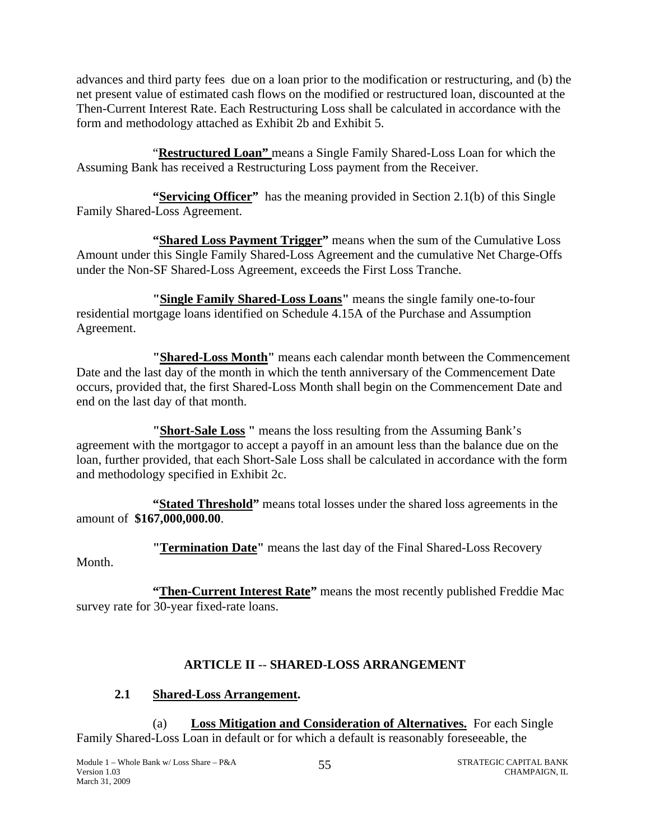advances and third party fees due on a loan prior to the modification or restructuring, and (b) the net present value of estimated cash flows on the modified or restructured loan, discounted at the Then-Current Interest Rate. Each Restructuring Loss shall be calculated in accordance with the form and methodology attached as Exhibit 2b and Exhibit 5.

"**Restructured Loan"** means a Single Family Shared-Loss Loan for which the Assuming Bank has received a Restructuring Loss payment from the Receiver.

**"Servicing Officer"** has the meaning provided in Section 2.1(b) of this Single Family Shared-Loss Agreement.

**"Shared Loss Payment Trigger"** means when the sum of the Cumulative Loss Amount under this Single Family Shared-Loss Agreement and the cumulative Net Charge-Offs under the Non-SF Shared-Loss Agreement, exceeds the First Loss Tranche.

**"Single Family Shared-Loss Loans"** means the single family one-to-four residential mortgage loans identified on Schedule 4.15A of the Purchase and Assumption Agreement.

**"Shared-Loss Month"** means each calendar month between the Commencement Date and the last day of the month in which the tenth anniversary of the Commencement Date occurs, provided that, the first Shared-Loss Month shall begin on the Commencement Date and end on the last day of that month.

**"Short-Sale Loss "** means the loss resulting from the Assuming Bank's agreement with the mortgagor to accept a payoff in an amount less than the balance due on the loan, further provided, that each Short-Sale Loss shall be calculated in accordance with the form and methodology specified in Exhibit 2c.

**"Stated Threshold"** means total losses under the shared loss agreements in the amount of **\$167,000,000.00**.

**"Termination Date"** means the last day of the Final Shared-Loss Recovery

Month.

**"Then-Current Interest Rate"** means the most recently published Freddie Mac survey rate for 30-year fixed-rate loans.

# **ARTICLE II** -- **SHARED-LOSS ARRANGEMENT**

# **2.1 Shared-Loss Arrangement.**

 (a) **Loss Mitigation and Consideration of Alternatives.** For each Single Family Shared-Loss Loan in default or for which a default is reasonably foreseeable, the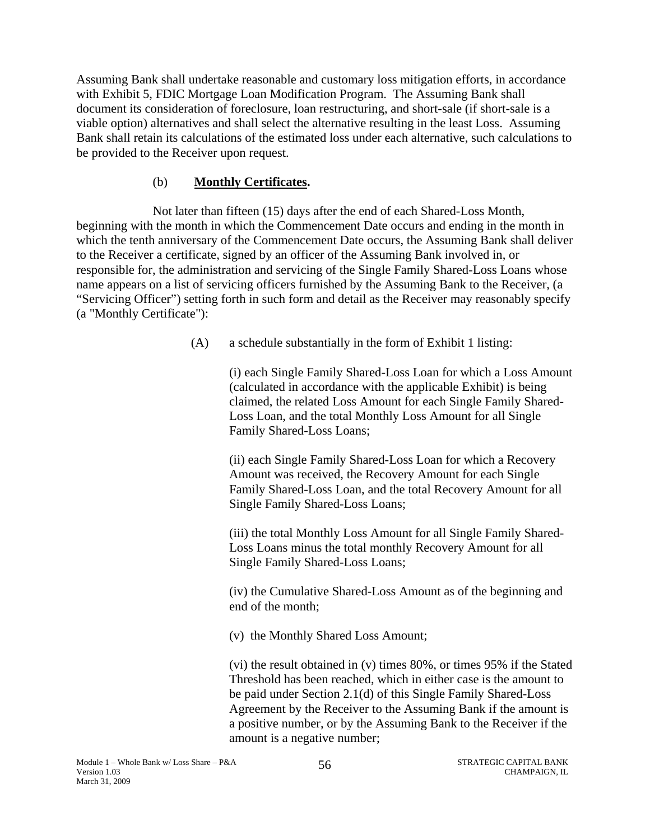Assuming Bank shall undertake reasonable and customary loss mitigation efforts, in accordance with Exhibit 5, FDIC Mortgage Loan Modification Program. The Assuming Bank shall document its consideration of foreclosure, loan restructuring, and short-sale (if short-sale is a viable option) alternatives and shall select the alternative resulting in the least Loss. Assuming Bank shall retain its calculations of the estimated loss under each alternative, such calculations to be provided to the Receiver upon request.

### (b) **Monthly Certificates.**

Not later than fifteen (15) days after the end of each Shared-Loss Month, beginning with the month in which the Commencement Date occurs and ending in the month in which the tenth anniversary of the Commencement Date occurs, the Assuming Bank shall deliver to the Receiver a certificate, signed by an officer of the Assuming Bank involved in, or responsible for, the administration and servicing of the Single Family Shared-Loss Loans whose name appears on a list of servicing officers furnished by the Assuming Bank to the Receiver, (a "Servicing Officer") setting forth in such form and detail as the Receiver may reasonably specify (a "Monthly Certificate"):

(A) a schedule substantially in the form of Exhibit 1 listing:

(i) each Single Family Shared-Loss Loan for which a Loss Amount (calculated in accordance with the applicable Exhibit) is being claimed, the related Loss Amount for each Single Family Shared-Loss Loan, and the total Monthly Loss Amount for all Single Family Shared-Loss Loans;

(ii) each Single Family Shared-Loss Loan for which a Recovery Amount was received, the Recovery Amount for each Single Family Shared-Loss Loan, and the total Recovery Amount for all Single Family Shared-Loss Loans;

(iii) the total Monthly Loss Amount for all Single Family Shared-Loss Loans minus the total monthly Recovery Amount for all Single Family Shared-Loss Loans;

(iv) the Cumulative Shared-Loss Amount as of the beginning and end of the month;

(v) the Monthly Shared Loss Amount;

(vi) the result obtained in (v) times 80%, or times 95% if the Stated Threshold has been reached, which in either case is the amount to be paid under Section 2.1(d) of this Single Family Shared-Loss Agreement by the Receiver to the Assuming Bank if the amount is a positive number, or by the Assuming Bank to the Receiver if the amount is a negative number;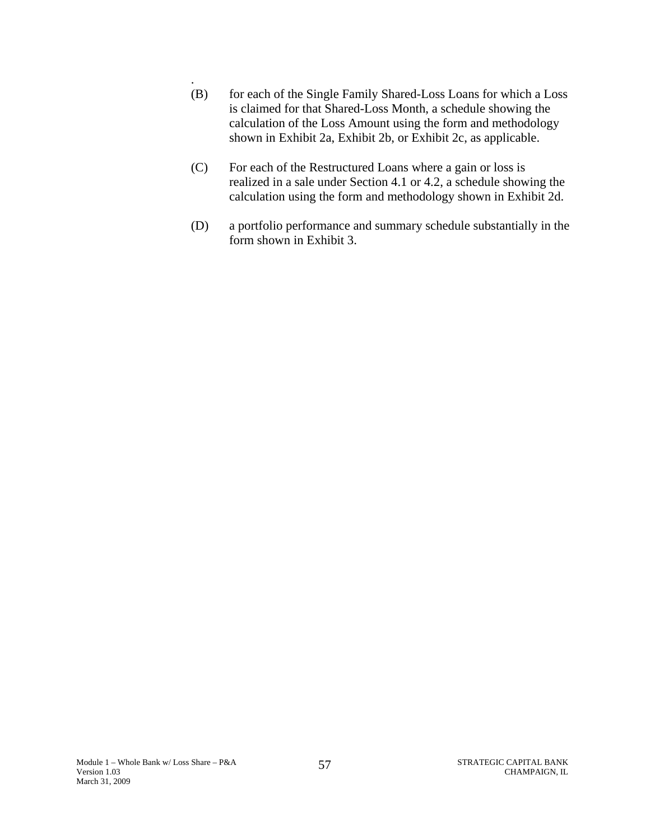- (B) for each of the Single Family Shared-Loss Loans for which a Loss is claimed for that Shared-Loss Month, a schedule showing the calculation of the Loss Amount using the form and methodology shown in Exhibit 2a, Exhibit 2b, or Exhibit 2c, as applicable.
- (C) For each of the Restructured Loans where a gain or loss is realized in a sale under Section 4.1 or 4.2, a schedule showing the calculation using the form and methodology shown in Exhibit 2d.
- (D) a portfolio performance and summary schedule substantially in the form shown in Exhibit 3.

.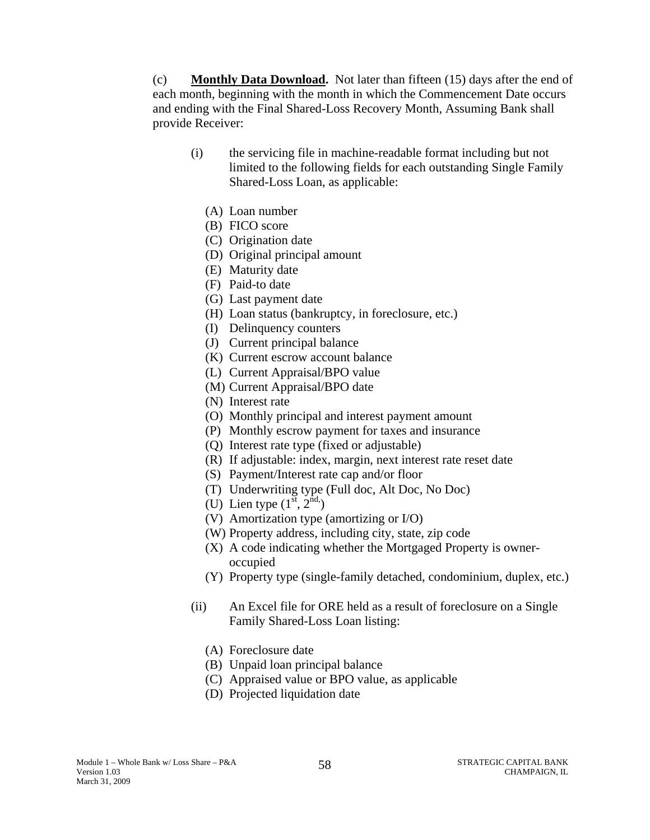(c) **Monthly Data Download.** Not later than fifteen (15) days after the end of each month, beginning with the month in which the Commencement Date occurs and ending with the Final Shared-Loss Recovery Month, Assuming Bank shall provide Receiver:

- (i) the servicing file in machine-readable format including but not limited to the following fields for each outstanding Single Family Shared-Loss Loan, as applicable:
	- (A) Loan number
	- (B) FICO score
	- (C) Origination date
	- (D) Original principal amount
	- (E) Maturity date
	- (F) Paid-to date
	- (G) Last payment date
	- (H) Loan status (bankruptcy, in foreclosure, etc.)
	- (I) Delinquency counters
	- (J) Current principal balance
	- (K) Current escrow account balance
	- (L) Current Appraisal/BPO value
	- (M) Current Appraisal/BPO date
	- (N) Interest rate
	- (O) Monthly principal and interest payment amount
	- (P) Monthly escrow payment for taxes and insurance
	- (Q) Interest rate type (fixed or adjustable)
	- (R) If adjustable: index, margin, next interest rate reset date
	- (S) Payment/Interest rate cap and/or floor
	- (T) Underwriting type (Full doc, Alt Doc, No Doc)
	- (U) Lien type  $(1<sup>st</sup>, 2<sup>nd</sup>)$
	- (V) Amortization type (amortizing or I/O)
	- (W) Property address, including city, state, zip code
	- (X) A code indicating whether the Mortgaged Property is owneroccupied
	- (Y) Property type (single-family detached, condominium, duplex, etc.)
- (ii) An Excel file for ORE held as a result of foreclosure on a Single Family Shared-Loss Loan listing:
	- (A) Foreclosure date
	- (B) Unpaid loan principal balance
	- (C) Appraised value or BPO value, as applicable
	- (D) Projected liquidation date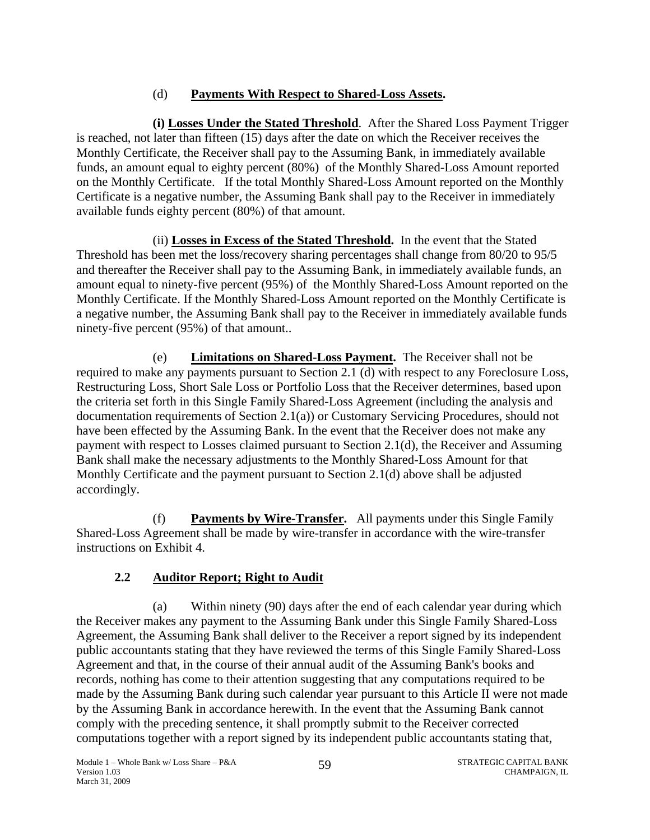# (d) **Payments With Respect to Shared-Loss Assets.**

**(i) Losses Under the Stated Threshold**. After the Shared Loss Payment Trigger is reached, not later than fifteen (15) days after the date on which the Receiver receives the Monthly Certificate, the Receiver shall pay to the Assuming Bank, in immediately available funds, an amount equal to eighty percent (80%) of the Monthly Shared-Loss Amount reported on the Monthly Certificate. If the total Monthly Shared-Loss Amount reported on the Monthly Certificate is a negative number, the Assuming Bank shall pay to the Receiver in immediately available funds eighty percent (80%) of that amount.

(ii) **Losses in Excess of the Stated Threshold.** In the event that the Stated Threshold has been met the loss/recovery sharing percentages shall change from 80/20 to 95/5 and thereafter the Receiver shall pay to the Assuming Bank, in immediately available funds, an amount equal to ninety-five percent (95%) of the Monthly Shared-Loss Amount reported on the Monthly Certificate. If the Monthly Shared-Loss Amount reported on the Monthly Certificate is a negative number, the Assuming Bank shall pay to the Receiver in immediately available funds ninety-five percent (95%) of that amount..

 accordingly. (e) **Limitations on Shared-Loss Payment.** The Receiver shall not be required to make any payments pursuant to Section 2.1 (d) with respect to any Foreclosure Loss, Restructuring Loss, Short Sale Loss or Portfolio Loss that the Receiver determines, based upon the criteria set forth in this Single Family Shared-Loss Agreement (including the analysis and documentation requirements of Section 2.1(a)) or Customary Servicing Procedures, should not have been effected by the Assuming Bank. In the event that the Receiver does not make any payment with respect to Losses claimed pursuant to Section 2.1(d), the Receiver and Assuming Bank shall make the necessary adjustments to the Monthly Shared-Loss Amount for that Monthly Certificate and the payment pursuant to Section 2.1(d) above shall be adjusted

 (f) **Payments by Wire-Transfer.** All payments under this Single Family Shared-Loss Agreement shall be made by wire-transfer in accordance with the wire-transfer instructions on Exhibit 4.

# **2.2 Auditor Report; Right to Audit**

(a) Within ninety (90) days after the end of each calendar year during which the Receiver makes any payment to the Assuming Bank under this Single Family Shared-Loss Agreement, the Assuming Bank shall deliver to the Receiver a report signed by its independent public accountants stating that they have reviewed the terms of this Single Family Shared-Loss Agreement and that, in the course of their annual audit of the Assuming Bank's books and records, nothing has come to their attention suggesting that any computations required to be made by the Assuming Bank during such calendar year pursuant to this Article II were not made by the Assuming Bank in accordance herewith. In the event that the Assuming Bank cannot comply with the preceding sentence, it shall promptly submit to the Receiver corrected computations together with a report signed by its independent public accountants stating that,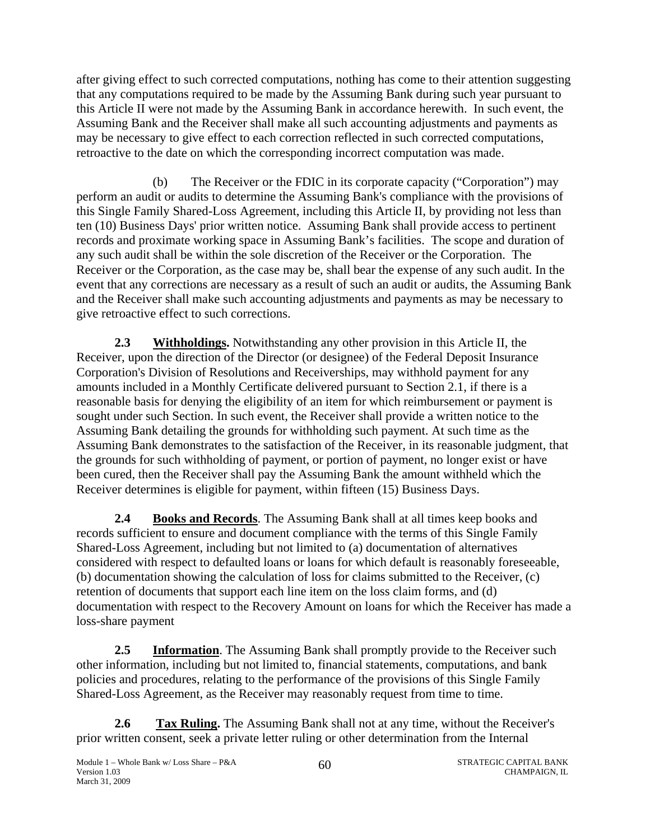after giving effect to such corrected computations, nothing has come to their attention suggesting that any computations required to be made by the Assuming Bank during such year pursuant to this Article II were not made by the Assuming Bank in accordance herewith. In such event, the Assuming Bank and the Receiver shall make all such accounting adjustments and payments as may be necessary to give effect to each correction reflected in such corrected computations, retroactive to the date on which the corresponding incorrect computation was made.

(b) The Receiver or the FDIC in its corporate capacity ("Corporation") may perform an audit or audits to determine the Assuming Bank's compliance with the provisions of this Single Family Shared-Loss Agreement, including this Article II, by providing not less than ten (10) Business Days' prior written notice. Assuming Bank shall provide access to pertinent records and proximate working space in Assuming Bank's facilities. The scope and duration of any such audit shall be within the sole discretion of the Receiver or the Corporation. The Receiver or the Corporation, as the case may be, shall bear the expense of any such audit. In the event that any corrections are necessary as a result of such an audit or audits, the Assuming Bank and the Receiver shall make such accounting adjustments and payments as may be necessary to give retroactive effect to such corrections.

**2.3 Withholdings.** Notwithstanding any other provision in this Article II, the Receiver, upon the direction of the Director (or designee) of the Federal Deposit Insurance Corporation's Division of Resolutions and Receiverships, may withhold payment for any amounts included in a Monthly Certificate delivered pursuant to Section 2.1, if there is a reasonable basis for denying the eligibility of an item for which reimbursement or payment is sought under such Section. In such event, the Receiver shall provide a written notice to the Assuming Bank detailing the grounds for withholding such payment. At such time as the Assuming Bank demonstrates to the satisfaction of the Receiver, in its reasonable judgment, that the grounds for such withholding of payment, or portion of payment, no longer exist or have been cured, then the Receiver shall pay the Assuming Bank the amount withheld which the Receiver determines is eligible for payment, within fifteen (15) Business Days.

**2.4 Books and Records**. The Assuming Bank shall at all times keep books and records sufficient to ensure and document compliance with the terms of this Single Family Shared-Loss Agreement, including but not limited to (a) documentation of alternatives considered with respect to defaulted loans or loans for which default is reasonably foreseeable, (b) documentation showing the calculation of loss for claims submitted to the Receiver, (c) retention of documents that support each line item on the loss claim forms, and (d) documentation with respect to the Recovery Amount on loans for which the Receiver has made a loss-share payment

**2.5 Information**. The Assuming Bank shall promptly provide to the Receiver such other information, including but not limited to, financial statements, computations, and bank policies and procedures, relating to the performance of the provisions of this Single Family Shared-Loss Agreement, as the Receiver may reasonably request from time to time.

**2.6 Tax Ruling.** The Assuming Bank shall not at any time, without the Receiver's prior written consent, seek a private letter ruling or other determination from the Internal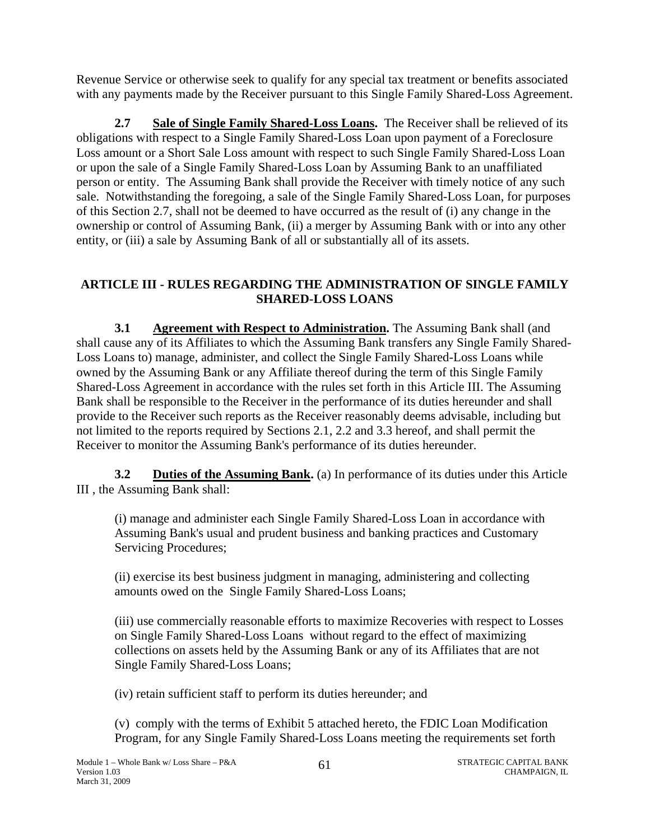Revenue Service or otherwise seek to qualify for any special tax treatment or benefits associated with any payments made by the Receiver pursuant to this Single Family Shared-Loss Agreement.

**2.7 Sale of Single Family Shared-Loss Loans.** The Receiver shall be relieved of its obligations with respect to a Single Family Shared-Loss Loan upon payment of a Foreclosure Loss amount or a Short Sale Loss amount with respect to such Single Family Shared-Loss Loan or upon the sale of a Single Family Shared-Loss Loan by Assuming Bank to an unaffiliated person or entity. The Assuming Bank shall provide the Receiver with timely notice of any such sale. Notwithstanding the foregoing, a sale of the Single Family Shared-Loss Loan, for purposes of this Section 2.7, shall not be deemed to have occurred as the result of (i) any change in the ownership or control of Assuming Bank, (ii) a merger by Assuming Bank with or into any other entity, or (iii) a sale by Assuming Bank of all or substantially all of its assets.

### **ARTICLE III - RULES REGARDING THE ADMINISTRATION OF SINGLE FAMILY SHARED-LOSS LOANS**

**3.1 Agreement with Respect to Administration.** The Assuming Bank shall (and shall cause any of its Affiliates to which the Assuming Bank transfers any Single Family Shared-Loss Loans to) manage, administer, and collect the Single Family Shared-Loss Loans while owned by the Assuming Bank or any Affiliate thereof during the term of this Single Family Shared-Loss Agreement in accordance with the rules set forth in this Article III. The Assuming Bank shall be responsible to the Receiver in the performance of its duties hereunder and shall provide to the Receiver such reports as the Receiver reasonably deems advisable, including but not limited to the reports required by Sections 2.1, 2.2 and 3.3 hereof, and shall permit the Receiver to monitor the Assuming Bank's performance of its duties hereunder.

**3.2 Duties of the Assuming Bank.** (a) In performance of its duties under this Article III , the Assuming Bank shall:

(i) manage and administer each Single Family Shared-Loss Loan in accordance with Assuming Bank's usual and prudent business and banking practices and Customary Servicing Procedures;

(ii) exercise its best business judgment in managing, administering and collecting amounts owed on the Single Family Shared-Loss Loans;

(iii) use commercially reasonable efforts to maximize Recoveries with respect to Losses on Single Family Shared-Loss Loans without regard to the effect of maximizing collections on assets held by the Assuming Bank or any of its Affiliates that are not Single Family Shared-Loss Loans;

(iv) retain sufficient staff to perform its duties hereunder; and

(v) comply with the terms of Exhibit 5 attached hereto, the FDIC Loan Modification Program, for any Single Family Shared-Loss Loans meeting the requirements set forth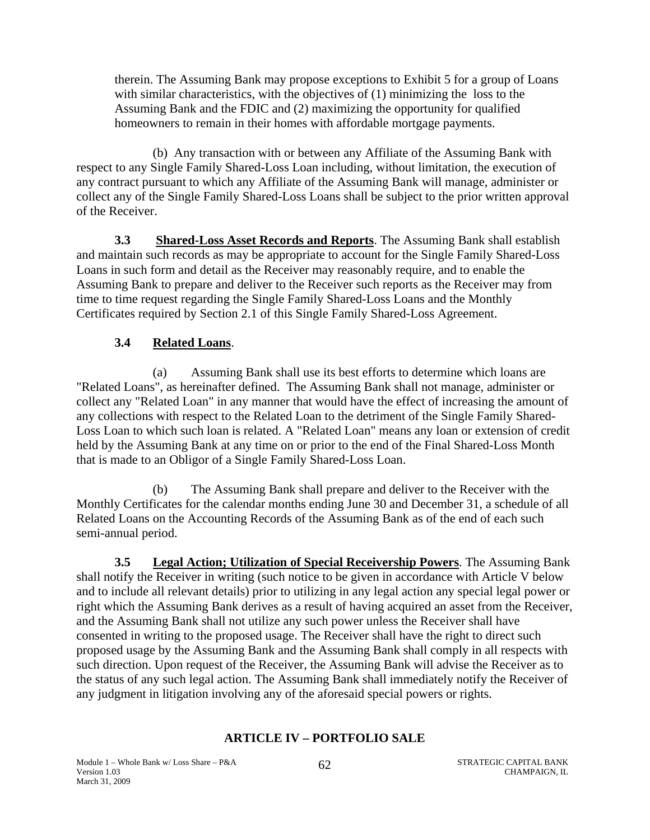therein. The Assuming Bank may propose exceptions to Exhibit 5 for a group of Loans with similar characteristics, with the objectives of (1) minimizing the loss to the Assuming Bank and the FDIC and (2) maximizing the opportunity for qualified homeowners to remain in their homes with affordable mortgage payments.

(b) Any transaction with or between any Affiliate of the Assuming Bank with respect to any Single Family Shared-Loss Loan including, without limitation, the execution of any contract pursuant to which any Affiliate of the Assuming Bank will manage, administer or collect any of the Single Family Shared-Loss Loans shall be subject to the prior written approval of the Receiver.

**3.3 Shared-Loss Asset Records and Reports**. The Assuming Bank shall establish and maintain such records as may be appropriate to account for the Single Family Shared-Loss Loans in such form and detail as the Receiver may reasonably require, and to enable the Assuming Bank to prepare and deliver to the Receiver such reports as the Receiver may from time to time request regarding the Single Family Shared-Loss Loans and the Monthly Certificates required by Section 2.1 of this Single Family Shared-Loss Agreement.

# **3.4 Related Loans**.

(a) Assuming Bank shall use its best efforts to determine which loans are "Related Loans", as hereinafter defined. The Assuming Bank shall not manage, administer or collect any "Related Loan" in any manner that would have the effect of increasing the amount of any collections with respect to the Related Loan to the detriment of the Single Family Shared-Loss Loan to which such loan is related. A "Related Loan" means any loan or extension of credit held by the Assuming Bank at any time on or prior to the end of the Final Shared-Loss Month that is made to an Obligor of a Single Family Shared-Loss Loan.

(b) The Assuming Bank shall prepare and deliver to the Receiver with the Monthly Certificates for the calendar months ending June 30 and December 31, a schedule of all Related Loans on the Accounting Records of the Assuming Bank as of the end of each such semi-annual period.

**3.5 Legal Action; Utilization of Special Receivership Powers**. The Assuming Bank shall notify the Receiver in writing (such notice to be given in accordance with Article V below and to include all relevant details) prior to utilizing in any legal action any special legal power or right which the Assuming Bank derives as a result of having acquired an asset from the Receiver, and the Assuming Bank shall not utilize any such power unless the Receiver shall have consented in writing to the proposed usage. The Receiver shall have the right to direct such proposed usage by the Assuming Bank and the Assuming Bank shall comply in all respects with such direction. Upon request of the Receiver, the Assuming Bank will advise the Receiver as to the status of any such legal action. The Assuming Bank shall immediately notify the Receiver of any judgment in litigation involving any of the aforesaid special powers or rights.

### **ARTICLE IV – PORTFOLIO SALE**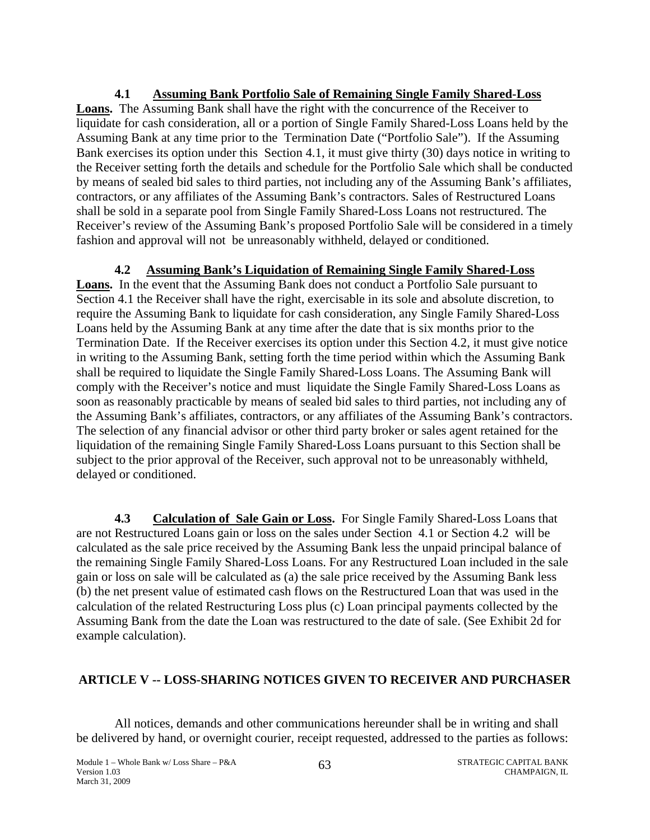**4.1 Assuming Bank Portfolio Sale of Remaining Single Family Shared-Loss Loans.** The Assuming Bank shall have the right with the concurrence of the Receiver to liquidate for cash consideration, all or a portion of Single Family Shared-Loss Loans held by the Assuming Bank at any time prior to the Termination Date ("Portfolio Sale"). If the Assuming Bank exercises its option under this Section 4.1, it must give thirty (30) days notice in writing to the Receiver setting forth the details and schedule for the Portfolio Sale which shall be conducted by means of sealed bid sales to third parties, not including any of the Assuming Bank's affiliates, contractors, or any affiliates of the Assuming Bank's contractors. Sales of Restructured Loans shall be sold in a separate pool from Single Family Shared-Loss Loans not restructured. The Receiver's review of the Assuming Bank's proposed Portfolio Sale will be considered in a timely fashion and approval will not be unreasonably withheld, delayed or conditioned.

# **4.2 Assuming Bank's Liquidation of Remaining Single Family Shared-Loss**

**Loans.** In the event that the Assuming Bank does not conduct a Portfolio Sale pursuant to Section 4.1 the Receiver shall have the right, exercisable in its sole and absolute discretion, to require the Assuming Bank to liquidate for cash consideration, any Single Family Shared-Loss Loans held by the Assuming Bank at any time after the date that is six months prior to the Termination Date. If the Receiver exercises its option under this Section 4.2, it must give notice in writing to the Assuming Bank, setting forth the time period within which the Assuming Bank shall be required to liquidate the Single Family Shared-Loss Loans. The Assuming Bank will comply with the Receiver's notice and must liquidate the Single Family Shared-Loss Loans as soon as reasonably practicable by means of sealed bid sales to third parties, not including any of the Assuming Bank's affiliates, contractors, or any affiliates of the Assuming Bank's contractors. The selection of any financial advisor or other third party broker or sales agent retained for the liquidation of the remaining Single Family Shared-Loss Loans pursuant to this Section shall be subject to the prior approval of the Receiver, such approval not to be unreasonably withheld, delayed or conditioned.

**4.3 Calculation of Sale Gain or Loss.** For Single Family Shared-Loss Loans that are not Restructured Loans gain or loss on the sales under Section 4.1 or Section 4.2 will be calculated as the sale price received by the Assuming Bank less the unpaid principal balance of the remaining Single Family Shared-Loss Loans. For any Restructured Loan included in the sale gain or loss on sale will be calculated as (a) the sale price received by the Assuming Bank less (b) the net present value of estimated cash flows on the Restructured Loan that was used in the calculation of the related Restructuring Loss plus (c) Loan principal payments collected by the Assuming Bank from the date the Loan was restructured to the date of sale. (See Exhibit 2d for example calculation).

# **ARTICLE V -- LOSS-SHARING NOTICES GIVEN TO RECEIVER AND PURCHASER**

All notices, demands and other communications hereunder shall be in writing and shall be delivered by hand, or overnight courier, receipt requested, addressed to the parties as follows: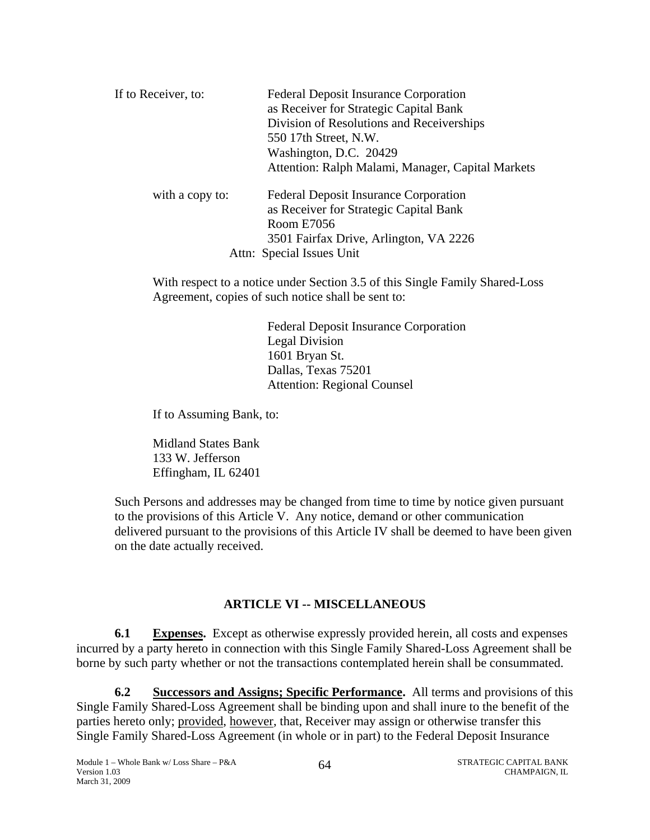| If to Receiver, to: | <b>Federal Deposit Insurance Corporation</b>      |
|---------------------|---------------------------------------------------|
|                     | as Receiver for Strategic Capital Bank            |
|                     | Division of Resolutions and Receiverships         |
|                     | 550 17th Street, N.W.                             |
|                     | Washington, D.C. 20429                            |
|                     | Attention: Ralph Malami, Manager, Capital Markets |
| with a copy to:     | <b>Federal Deposit Insurance Corporation</b>      |
|                     | as Receiver for Strategic Capital Bank            |
|                     | Room E7056                                        |
|                     | 3501 Fairfax Drive, Arlington, VA 2226            |
|                     | Attn: Special Issues Unit                         |
|                     |                                                   |

With respect to a notice under Section 3.5 of this Single Family Shared-Loss Agreement, copies of such notice shall be sent to:

> Federal Deposit Insurance Corporation Legal Division 1601 Bryan St. Dallas, Texas 75201 Attention: Regional Counsel

If to Assuming Bank, to:

Midland States Bank 133 W. Jefferson Effingham, IL 62401

Such Persons and addresses may be changed from time to time by notice given pursuant to the provisions of this Article V. Any notice, demand or other communication delivered pursuant to the provisions of this Article IV shall be deemed to have been given on the date actually received.

# **ARTICLE VI -- MISCELLANEOUS**

**6.1 Expenses.** Except as otherwise expressly provided herein, all costs and expenses incurred by a party hereto in connection with this Single Family Shared-Loss Agreement shall be borne by such party whether or not the transactions contemplated herein shall be consummated.

**6.2 Successors and Assigns; Specific Performance.** All terms and provisions of this Single Family Shared-Loss Agreement shall be binding upon and shall inure to the benefit of the parties hereto only; provided, however, that, Receiver may assign or otherwise transfer this Single Family Shared-Loss Agreement (in whole or in part) to the Federal Deposit Insurance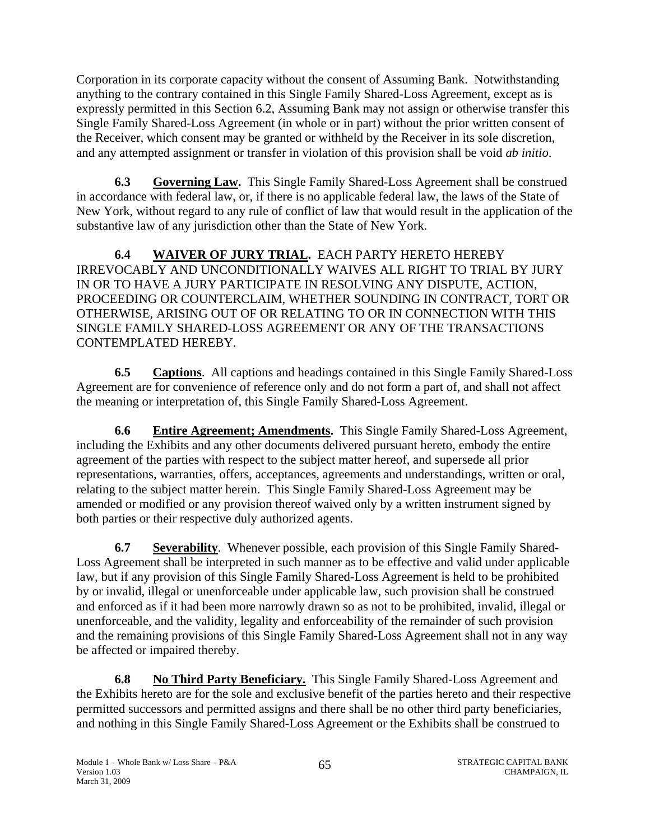Corporation in its corporate capacity without the consent of Assuming Bank. Notwithstanding anything to the contrary contained in this Single Family Shared-Loss Agreement, except as is expressly permitted in this Section 6.2, Assuming Bank may not assign or otherwise transfer this Single Family Shared-Loss Agreement (in whole or in part) without the prior written consent of the Receiver, which consent may be granted or withheld by the Receiver in its sole discretion, and any attempted assignment or transfer in violation of this provision shall be void *ab initio*.

**6.3 Governing Law.** This Single Family Shared-Loss Agreement shall be construed in accordance with federal law, or, if there is no applicable federal law, the laws of the State of New York, without regard to any rule of conflict of law that would result in the application of the substantive law of any jurisdiction other than the State of New York.

**6.4 WAIVER OF JURY TRIAL.** EACH PARTY HERETO HEREBY IRREVOCABLY AND UNCONDITIONALLY WAIVES ALL RIGHT TO TRIAL BY JURY IN OR TO HAVE A JURY PARTICIPATE IN RESOLVING ANY DISPUTE, ACTION, PROCEEDING OR COUNTERCLAIM, WHETHER SOUNDING IN CONTRACT, TORT OR OTHERWISE, ARISING OUT OF OR RELATING TO OR IN CONNECTION WITH THIS SINGLE FAMILY SHARED-LOSS AGREEMENT OR ANY OF THE TRANSACTIONS CONTEMPLATED HEREBY.

**6.5 Captions**. All captions and headings contained in this Single Family Shared-Loss Agreement are for convenience of reference only and do not form a part of, and shall not affect the meaning or interpretation of, this Single Family Shared-Loss Agreement.

**6.6 Entire Agreement; Amendments.** This Single Family Shared-Loss Agreement, including the Exhibits and any other documents delivered pursuant hereto, embody the entire agreement of the parties with respect to the subject matter hereof, and supersede all prior representations, warranties, offers, acceptances, agreements and understandings, written or oral, relating to the subject matter herein. This Single Family Shared-Loss Agreement may be amended or modified or any provision thereof waived only by a written instrument signed by both parties or their respective duly authorized agents.

**6.7 Severability**. Whenever possible, each provision of this Single Family Shared-Loss Agreement shall be interpreted in such manner as to be effective and valid under applicable law, but if any provision of this Single Family Shared-Loss Agreement is held to be prohibited by or invalid, illegal or unenforceable under applicable law, such provision shall be construed and enforced as if it had been more narrowly drawn so as not to be prohibited, invalid, illegal or unenforceable, and the validity, legality and enforceability of the remainder of such provision and the remaining provisions of this Single Family Shared-Loss Agreement shall not in any way be affected or impaired thereby.

6.8 No Third Party Beneficiary. This Single Family Shared-Loss Agreement and the Exhibits hereto are for the sole and exclusive benefit of the parties hereto and their respective permitted successors and permitted assigns and there shall be no other third party beneficiaries, and nothing in this Single Family Shared-Loss Agreement or the Exhibits shall be construed to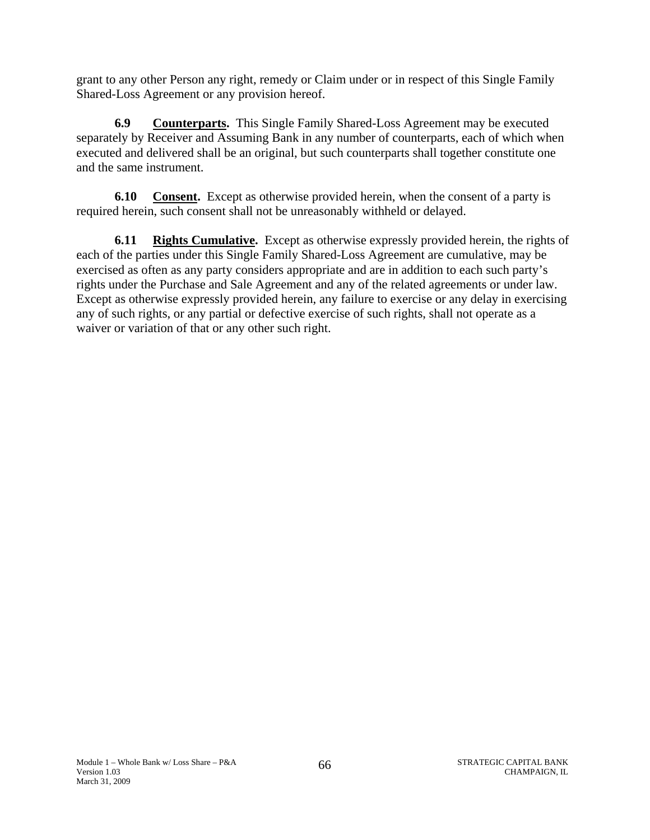grant to any other Person any right, remedy or Claim under or in respect of this Single Family Shared-Loss Agreement or any provision hereof.

**6.9 Counterparts.** This Single Family Shared-Loss Agreement may be executed separately by Receiver and Assuming Bank in any number of counterparts, each of which when executed and delivered shall be an original, but such counterparts shall together constitute one and the same instrument.

**6.10 Consent.** Except as otherwise provided herein, when the consent of a party is required herein, such consent shall not be unreasonably withheld or delayed.

**6.11 Rights Cumulative.** Except as otherwise expressly provided herein, the rights of each of the parties under this Single Family Shared-Loss Agreement are cumulative, may be exercised as often as any party considers appropriate and are in addition to each such party's rights under the Purchase and Sale Agreement and any of the related agreements or under law. Except as otherwise expressly provided herein, any failure to exercise or any delay in exercising any of such rights, or any partial or defective exercise of such rights, shall not operate as a waiver or variation of that or any other such right.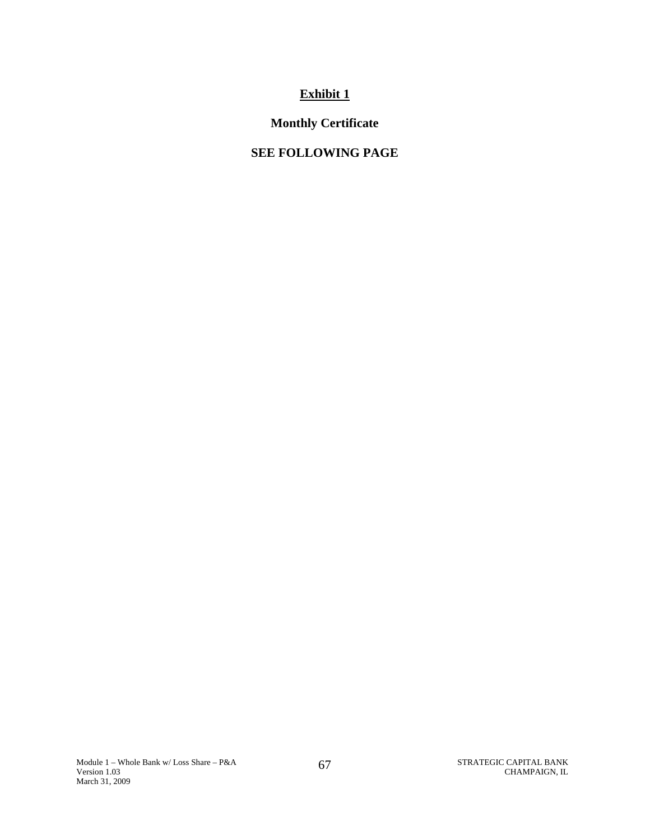# **Exhibit 1**

# **Monthly Certificate**

# **SEE FOLLOWING PAGE**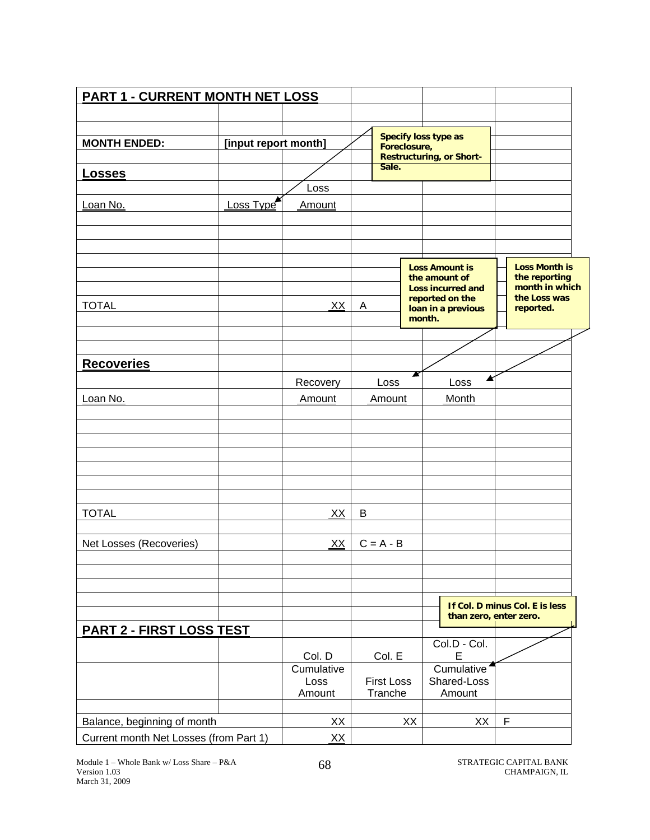| <b>PART 1 - CURRENT MONTH NET LOSS</b> |                      |                      |   |                                 |    |                                       |                                                 |
|----------------------------------------|----------------------|----------------------|---|---------------------------------|----|---------------------------------------|-------------------------------------------------|
|                                        |                      |                      |   |                                 |    |                                       |                                                 |
|                                        |                      |                      |   |                                 |    | Specify loss type as                  |                                                 |
| <b>MONTH ENDED:</b>                    | [input report month] |                      |   | Foreclosure,                    |    |                                       |                                                 |
|                                        |                      |                      |   | <b>Restructuring, or Short-</b> |    |                                       |                                                 |
| <b>Losses</b>                          |                      |                      |   | Sale.                           |    |                                       |                                                 |
|                                        |                      | Loss                 |   |                                 |    |                                       |                                                 |
| Loan No.                               | Loss Type            | Amount               |   |                                 |    |                                       |                                                 |
|                                        |                      |                      |   |                                 |    |                                       |                                                 |
|                                        |                      |                      |   |                                 |    |                                       |                                                 |
|                                        |                      |                      |   |                                 |    |                                       |                                                 |
|                                        |                      |                      |   |                                 |    | <b>Loss Amount is</b>                 | <b>Loss Month is</b>                            |
|                                        |                      |                      |   |                                 |    | the amount of                         | the reporting<br>month in which<br>the Loss was |
|                                        |                      |                      |   |                                 |    | <b>Loss incurred and</b>              |                                                 |
| <b>TOTAL</b>                           |                      | XX                   | Α |                                 |    | reported on the<br>loan in a previous | reported.                                       |
|                                        |                      |                      |   |                                 |    | month.                                |                                                 |
|                                        |                      |                      |   |                                 |    |                                       |                                                 |
|                                        |                      |                      |   |                                 |    |                                       |                                                 |
| <b>Recoveries</b>                      |                      |                      |   |                                 |    |                                       |                                                 |
|                                        |                      | Recovery             |   | Loss                            | А  | Loss                                  |                                                 |
| Loan No.                               |                      | Amount               |   | Amount                          |    | Month                                 |                                                 |
|                                        |                      |                      |   |                                 |    |                                       |                                                 |
|                                        |                      |                      |   |                                 |    |                                       |                                                 |
|                                        |                      |                      |   |                                 |    |                                       |                                                 |
|                                        |                      |                      |   |                                 |    |                                       |                                                 |
|                                        |                      |                      |   |                                 |    |                                       |                                                 |
|                                        |                      |                      |   |                                 |    |                                       |                                                 |
|                                        |                      |                      |   |                                 |    |                                       |                                                 |
| <b>TOTAL</b>                           |                      | XX                   | B |                                 |    |                                       |                                                 |
|                                        |                      |                      |   |                                 |    |                                       |                                                 |
| Net Losses (Recoveries)                |                      | <u>XX</u>            |   | $C = A - B$                     |    |                                       |                                                 |
|                                        |                      |                      |   |                                 |    |                                       |                                                 |
|                                        |                      |                      |   |                                 |    |                                       |                                                 |
|                                        |                      |                      |   |                                 |    |                                       |                                                 |
|                                        |                      |                      |   |                                 |    |                                       | If Col. D minus Col. E is less                  |
|                                        |                      |                      |   |                                 |    | than zero, enter zero.                |                                                 |
| <b>PART 2 - FIRST LOSS TEST</b>        |                      |                      |   |                                 |    |                                       |                                                 |
|                                        |                      |                      |   |                                 |    | Col.D - Col.                          |                                                 |
|                                        |                      | Col. D<br>Cumulative |   | Col. E                          |    | E<br>Cumulative                       |                                                 |
|                                        |                      | Loss                 |   | <b>First Loss</b>               |    | Shared-Loss                           |                                                 |
|                                        |                      | Amount               |   | Tranche                         |    | Amount                                |                                                 |
|                                        |                      |                      |   |                                 |    |                                       |                                                 |
| Balance, beginning of month            |                      | XX                   |   |                                 | XX | XX                                    | F                                               |
| Current month Net Losses (from Part 1) |                      | XX                   |   |                                 |    |                                       |                                                 |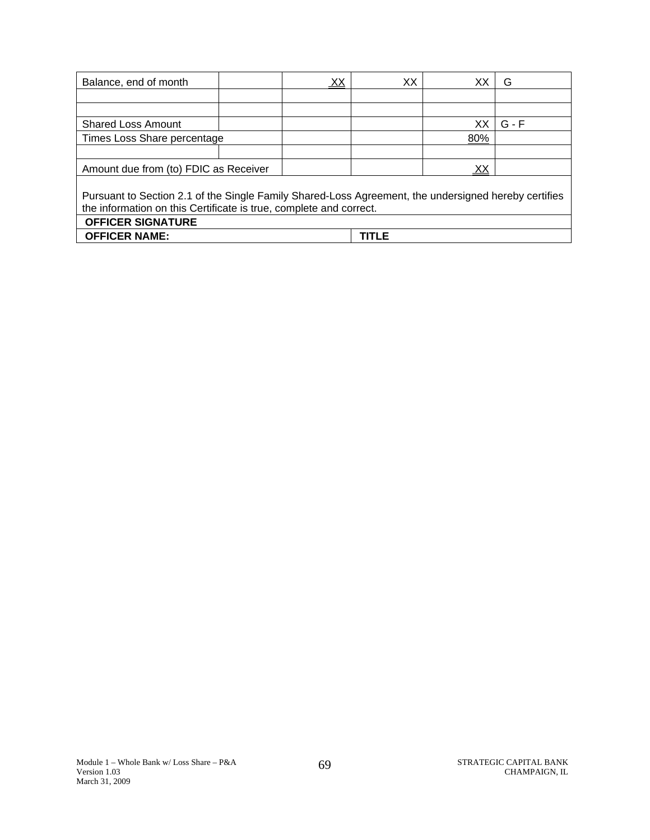| Balance, end of month                                                                                                                                                      |  | XX | XХ |     | G       |  |  |
|----------------------------------------------------------------------------------------------------------------------------------------------------------------------------|--|----|----|-----|---------|--|--|
|                                                                                                                                                                            |  |    |    |     |         |  |  |
|                                                                                                                                                                            |  |    |    |     |         |  |  |
| <b>Shared Loss Amount</b>                                                                                                                                                  |  |    |    | xх  | $G - F$ |  |  |
| Times Loss Share percentage                                                                                                                                                |  |    |    | 80% |         |  |  |
|                                                                                                                                                                            |  |    |    |     |         |  |  |
| XX<br>Amount due from (to) FDIC as Receiver                                                                                                                                |  |    |    |     |         |  |  |
| Pursuant to Section 2.1 of the Single Family Shared-Loss Agreement, the undersigned hereby certifies<br>the information on this Certificate is true, complete and correct. |  |    |    |     |         |  |  |
| <b>OFFICER SIGNATURE</b>                                                                                                                                                   |  |    |    |     |         |  |  |
| <b>OFFICER NAME:</b><br><b>TITLE</b>                                                                                                                                       |  |    |    |     |         |  |  |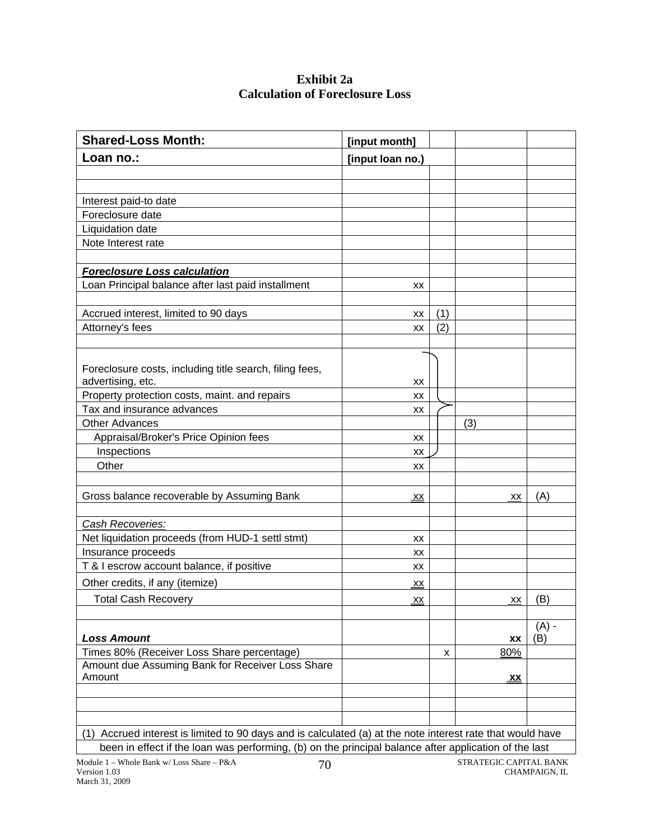# **Exhibit 2a Calculation of Foreclosure Loss**

| <b>Shared-Loss Month:</b>                                                                                  | [input month]    |     |           |         |
|------------------------------------------------------------------------------------------------------------|------------------|-----|-----------|---------|
| Loan no.:                                                                                                  | [input loan no.) |     |           |         |
|                                                                                                            |                  |     |           |         |
|                                                                                                            |                  |     |           |         |
| Interest paid-to date                                                                                      |                  |     |           |         |
| Foreclosure date                                                                                           |                  |     |           |         |
| Liquidation date                                                                                           |                  |     |           |         |
| Note Interest rate                                                                                         |                  |     |           |         |
|                                                                                                            |                  |     |           |         |
| <b>Foreclosure Loss calculation</b>                                                                        |                  |     |           |         |
| Loan Principal balance after last paid installment                                                         | XX               |     |           |         |
|                                                                                                            |                  |     |           |         |
| Accrued interest, limited to 90 days                                                                       | XX               | (1) |           |         |
| Attorney's fees                                                                                            | XX               | (2) |           |         |
|                                                                                                            |                  |     |           |         |
|                                                                                                            |                  |     |           |         |
| Foreclosure costs, including title search, filing fees,                                                    |                  |     |           |         |
| advertising, etc.                                                                                          | XX               |     |           |         |
| Property protection costs, maint. and repairs                                                              | XX               |     |           |         |
| Tax and insurance advances                                                                                 | XX               |     |           |         |
| <b>Other Advances</b>                                                                                      |                  |     | (3)       |         |
| Appraisal/Broker's Price Opinion fees                                                                      | XX               |     |           |         |
| Inspections                                                                                                | XX               |     |           |         |
| Other                                                                                                      | XX               |     |           |         |
|                                                                                                            |                  |     |           |         |
| Gross balance recoverable by Assuming Bank                                                                 | <u>XX</u>        |     | ХX        | (A)     |
|                                                                                                            |                  |     |           |         |
| Cash Recoveries:                                                                                           |                  |     |           |         |
| Net liquidation proceeds (from HUD-1 settl stmt)                                                           | XX               |     |           |         |
| Insurance proceeds                                                                                         | XX               |     |           |         |
| T & I escrow account balance, if positive                                                                  | XХ               |     |           |         |
| Other credits, if any (itemize)                                                                            | xх               |     |           |         |
| <b>Total Cash Recovery</b>                                                                                 | <u>XX</u>        |     | XX        | (B)     |
|                                                                                                            |                  |     |           |         |
|                                                                                                            |                  |     |           | $(A)$ - |
| <b>Loss Amount</b>                                                                                         |                  |     | XX        | (B)     |
| Times 80% (Receiver Loss Share percentage)                                                                 |                  | x   | 80%       |         |
| Amount due Assuming Bank for Receiver Loss Share                                                           |                  |     |           |         |
| Amount                                                                                                     |                  |     | <u>XX</u> |         |
|                                                                                                            |                  |     |           |         |
|                                                                                                            |                  |     |           |         |
|                                                                                                            |                  |     |           |         |
| (1) Accrued interest is limited to 90 days and is calculated (a) at the note interest rate that would have |                  |     |           |         |
| been in effect if the loan was performing, (b) on the principal balance after application of the last      |                  |     |           |         |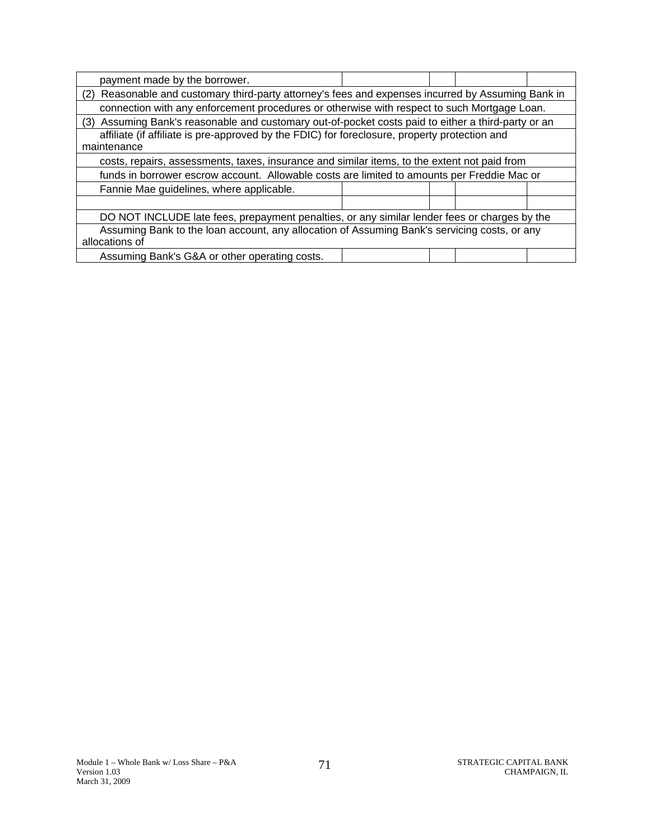| payment made by the borrower.                                                                                |                                                                                             |  |  |  |  |  |  |
|--------------------------------------------------------------------------------------------------------------|---------------------------------------------------------------------------------------------|--|--|--|--|--|--|
| (2) Reasonable and customary third-party attorney's fees and expenses incurred by Assuming Bank in           |                                                                                             |  |  |  |  |  |  |
|                                                                                                              | connection with any enforcement procedures or otherwise with respect to such Mortgage Loan. |  |  |  |  |  |  |
| (3) Assuming Bank's reasonable and customary out-of-pocket costs paid to either a third-party or an          |                                                                                             |  |  |  |  |  |  |
| affiliate (if affiliate is pre-approved by the FDIC) for foreclosure, property protection and<br>maintenance |                                                                                             |  |  |  |  |  |  |
| costs, repairs, assessments, taxes, insurance and similar items, to the extent not paid from                 |                                                                                             |  |  |  |  |  |  |
| funds in borrower escrow account. Allowable costs are limited to amounts per Freddie Mac or                  |                                                                                             |  |  |  |  |  |  |
| Fannie Mae guidelines, where applicable.                                                                     |                                                                                             |  |  |  |  |  |  |
|                                                                                                              |                                                                                             |  |  |  |  |  |  |
| DO NOT INCLUDE late fees, prepayment penalties, or any similar lender fees or charges by the                 |                                                                                             |  |  |  |  |  |  |
| Assuming Bank to the loan account, any allocation of Assuming Bank's servicing costs, or any                 |                                                                                             |  |  |  |  |  |  |
| allocations of                                                                                               |                                                                                             |  |  |  |  |  |  |
| Assuming Bank's G&A or other operating costs.                                                                |                                                                                             |  |  |  |  |  |  |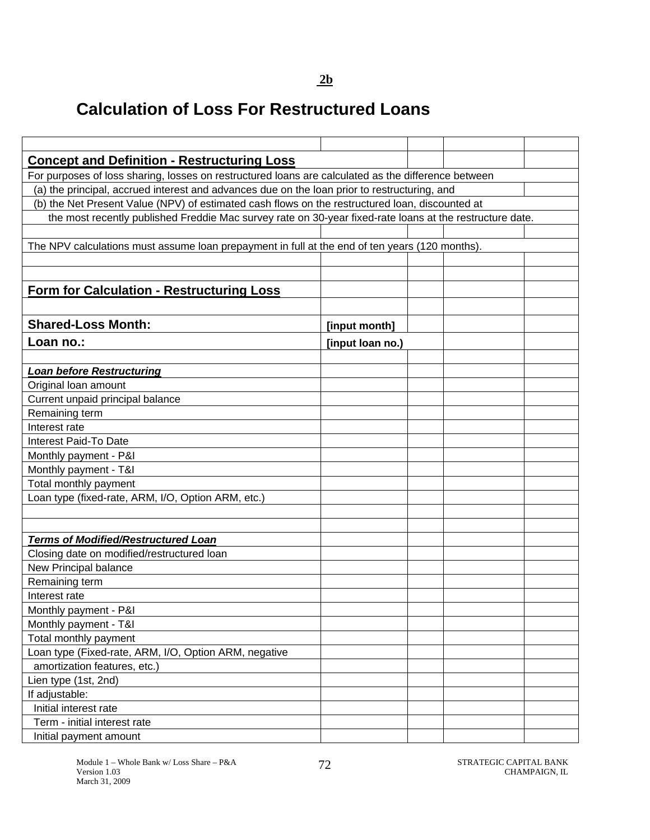# **Calculation of Loss For Restructured Loans**

| <b>Concept and Definition - Restructuring Loss</b>                                                       |                  |  |  |
|----------------------------------------------------------------------------------------------------------|------------------|--|--|
| For purposes of loss sharing, losses on restructured loans are calculated as the difference between      |                  |  |  |
| (a) the principal, accrued interest and advances due on the loan prior to restructuring, and             |                  |  |  |
| (b) the Net Present Value (NPV) of estimated cash flows on the restructured loan, discounted at          |                  |  |  |
| the most recently published Freddie Mac survey rate on 30-year fixed-rate loans at the restructure date. |                  |  |  |
|                                                                                                          |                  |  |  |
| The NPV calculations must assume loan prepayment in full at the end of ten years (120 months).           |                  |  |  |
|                                                                                                          |                  |  |  |
|                                                                                                          |                  |  |  |
| Form for Calculation - Restructuring Loss                                                                |                  |  |  |
|                                                                                                          |                  |  |  |
| <b>Shared-Loss Month:</b>                                                                                | [input month]    |  |  |
| Loan no.:                                                                                                | [input loan no.) |  |  |
|                                                                                                          |                  |  |  |
| <b>Loan before Restructuring</b>                                                                         |                  |  |  |
| Original loan amount                                                                                     |                  |  |  |
| Current unpaid principal balance                                                                         |                  |  |  |
| Remaining term                                                                                           |                  |  |  |
| Interest rate                                                                                            |                  |  |  |
| Interest Paid-To Date                                                                                    |                  |  |  |
| Monthly payment - P&I                                                                                    |                  |  |  |
| Monthly payment - T&I                                                                                    |                  |  |  |
| Total monthly payment                                                                                    |                  |  |  |
| Loan type (fixed-rate, ARM, I/O, Option ARM, etc.)                                                       |                  |  |  |
|                                                                                                          |                  |  |  |
|                                                                                                          |                  |  |  |
| <b>Terms of Modified/Restructured Loan</b>                                                               |                  |  |  |
| Closing date on modified/restructured loan                                                               |                  |  |  |
| New Principal balance                                                                                    |                  |  |  |
| Remaining term                                                                                           |                  |  |  |
| Interest rate                                                                                            |                  |  |  |
| Monthly payment - P&I                                                                                    |                  |  |  |
| Monthly payment - T&I                                                                                    |                  |  |  |
| Total monthly payment                                                                                    |                  |  |  |
| Loan type (Fixed-rate, ARM, I/O, Option ARM, negative                                                    |                  |  |  |
| amortization features, etc.)                                                                             |                  |  |  |
| Lien type (1st, 2nd)                                                                                     |                  |  |  |
| If adjustable:                                                                                           |                  |  |  |
| Initial interest rate                                                                                    |                  |  |  |
| Term - initial interest rate                                                                             |                  |  |  |
| Initial payment amount                                                                                   |                  |  |  |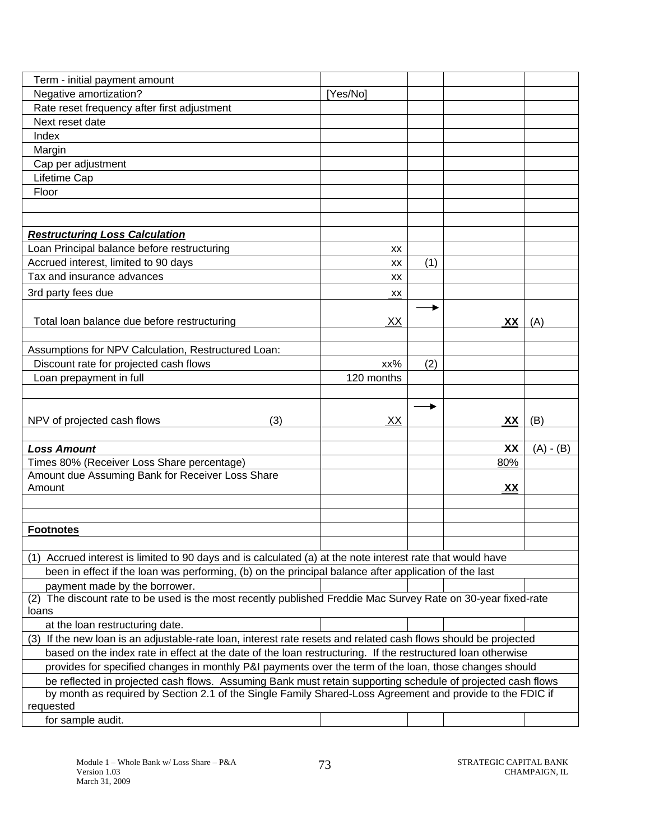| Term - initial payment amount                                                                                   |            |     |     |             |
|-----------------------------------------------------------------------------------------------------------------|------------|-----|-----|-------------|
| Negative amortization?                                                                                          | [Yes/No]   |     |     |             |
| Rate reset frequency after first adjustment                                                                     |            |     |     |             |
| Next reset date                                                                                                 |            |     |     |             |
| Index                                                                                                           |            |     |     |             |
| Margin                                                                                                          |            |     |     |             |
| Cap per adjustment                                                                                              |            |     |     |             |
| Lifetime Cap                                                                                                    |            |     |     |             |
| Floor                                                                                                           |            |     |     |             |
|                                                                                                                 |            |     |     |             |
|                                                                                                                 |            |     |     |             |
| <b>Restructuring Loss Calculation</b>                                                                           |            |     |     |             |
| Loan Principal balance before restructuring                                                                     | XX         |     |     |             |
| Accrued interest, limited to 90 days                                                                            | XX         | (1) |     |             |
| Tax and insurance advances                                                                                      | XX         |     |     |             |
|                                                                                                                 |            |     |     |             |
| 3rd party fees due                                                                                              | XX         |     |     |             |
|                                                                                                                 |            |     |     |             |
| Total loan balance due before restructuring                                                                     | XX         |     | XX  | (A)         |
|                                                                                                                 |            |     |     |             |
| Assumptions for NPV Calculation, Restructured Loan:                                                             |            |     |     |             |
| Discount rate for projected cash flows                                                                          | xx%        | (2) |     |             |
| Loan prepayment in full                                                                                         | 120 months |     |     |             |
|                                                                                                                 |            |     |     |             |
|                                                                                                                 |            |     |     |             |
| NPV of projected cash flows<br>(3)                                                                              | XX         |     | XX  | (B)         |
|                                                                                                                 |            |     |     |             |
| <b>Loss Amount</b>                                                                                              |            |     | XX  | $(A) - (B)$ |
| Times 80% (Receiver Loss Share percentage)                                                                      |            |     | 80% |             |
| Amount due Assuming Bank for Receiver Loss Share<br>Amount                                                      |            |     | XX  |             |
|                                                                                                                 |            |     |     |             |
|                                                                                                                 |            |     |     |             |
|                                                                                                                 |            |     |     |             |
| <b>Footnotes</b>                                                                                                |            |     |     |             |
| (1) Accrued interest is limited to 90 days and is calculated (a) at the note interest rate that would have      |            |     |     |             |
| been in effect if the loan was performing, (b) on the principal balance after application of the last           |            |     |     |             |
| payment made by the borrower.                                                                                   |            |     |     |             |
| (2) The discount rate to be used is the most recently published Freddie Mac Survey Rate on 30-year fixed-rate   |            |     |     |             |
| loans                                                                                                           |            |     |     |             |
| at the loan restructuring date.                                                                                 |            |     |     |             |
| (3) If the new loan is an adjustable-rate loan, interest rate resets and related cash flows should be projected |            |     |     |             |
| based on the index rate in effect at the date of the loan restructuring. If the restructured loan otherwise     |            |     |     |             |
| provides for specified changes in monthly P&I payments over the term of the loan, those changes should          |            |     |     |             |
| be reflected in projected cash flows. Assuming Bank must retain supporting schedule of projected cash flows     |            |     |     |             |
| by month as required by Section 2.1 of the Single Family Shared-Loss Agreement and provide to the FDIC if       |            |     |     |             |
| requested                                                                                                       |            |     |     |             |
| for sample audit.                                                                                               |            |     |     |             |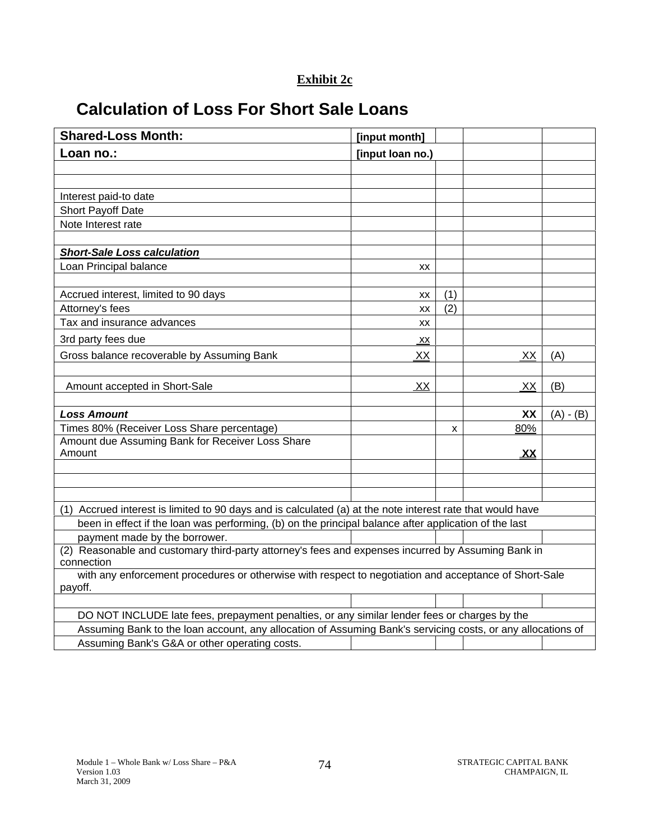| <b>Shared-Loss Month:</b>                                                                                        | [input month]    |     |           |             |
|------------------------------------------------------------------------------------------------------------------|------------------|-----|-----------|-------------|
| Loan no.:                                                                                                        | [input loan no.) |     |           |             |
|                                                                                                                  |                  |     |           |             |
|                                                                                                                  |                  |     |           |             |
| Interest paid-to date                                                                                            |                  |     |           |             |
| Short Payoff Date                                                                                                |                  |     |           |             |
| Note Interest rate                                                                                               |                  |     |           |             |
| <b>Short-Sale Loss calculation</b>                                                                               |                  |     |           |             |
| Loan Principal balance                                                                                           | XX               |     |           |             |
| Accrued interest, limited to 90 days                                                                             | XX               | (1) |           |             |
| Attorney's fees                                                                                                  | XX               | (2) |           |             |
| Tax and insurance advances                                                                                       | XX               |     |           |             |
| 3rd party fees due                                                                                               | ХX               |     |           |             |
| Gross balance recoverable by Assuming Bank                                                                       | XX               |     | XX        | (A)         |
| Amount accepted in Short-Sale                                                                                    | XX               |     | XX        | (B)         |
| <b>Loss Amount</b>                                                                                               |                  |     | XX        | $(A) - (B)$ |
| Times 80% (Receiver Loss Share percentage)                                                                       |                  | x   | 80%       |             |
| Amount due Assuming Bank for Receiver Loss Share<br>Amount                                                       |                  |     | <u>XX</u> |             |
|                                                                                                                  |                  |     |           |             |
|                                                                                                                  |                  |     |           |             |
| (1) Accrued interest is limited to 90 days and is calculated (a) at the note interest rate that would have       |                  |     |           |             |
| been in effect if the loan was performing, (b) on the principal balance after application of the last            |                  |     |           |             |
| payment made by the borrower.                                                                                    |                  |     |           |             |
| (2) Reasonable and customary third-party attorney's fees and expenses incurred by Assuming Bank in<br>connection |                  |     |           |             |
| with any enforcement procedures or otherwise with respect to negotiation and acceptance of Short-Sale<br>payoff. |                  |     |           |             |
|                                                                                                                  |                  |     |           |             |
| DO NOT INCLUDE late fees, prepayment penalties, or any similar lender fees or charges by the                     |                  |     |           |             |
| Assuming Bank to the loan account, any allocation of Assuming Bank's servicing costs, or any allocations of      |                  |     |           |             |
| Assuming Bank's G&A or other operating costs.                                                                    |                  |     |           |             |

**Exhibit 2c** 

# **Calculation of Loss For Short Sale Loans**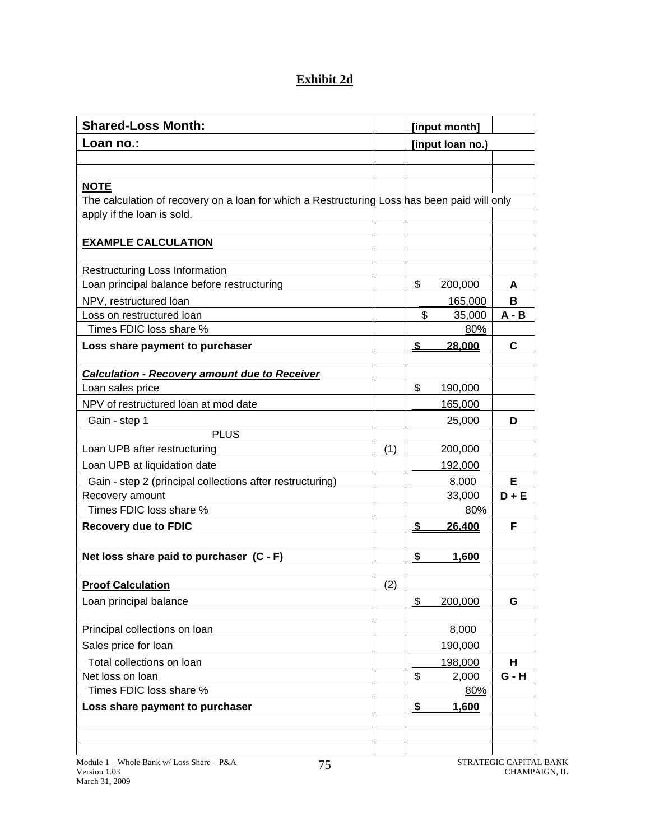# **Exhibit 2d**

| <b>Shared-Loss Month:</b>                                                                    | [input month]    |                           |         |              |
|----------------------------------------------------------------------------------------------|------------------|---------------------------|---------|--------------|
| Loan no.:                                                                                    | [input loan no.) |                           |         |              |
|                                                                                              |                  |                           |         |              |
|                                                                                              |                  |                           |         |              |
| <b>NOTE</b>                                                                                  |                  |                           |         |              |
| The calculation of recovery on a loan for which a Restructuring Loss has been paid will only |                  |                           |         |              |
| apply if the loan is sold.                                                                   |                  |                           |         |              |
|                                                                                              |                  |                           |         |              |
| <b>EXAMPLE CALCULATION</b>                                                                   |                  |                           |         |              |
| Restructuring Loss Information                                                               |                  |                           |         |              |
| Loan principal balance before restructuring                                                  |                  | \$                        | 200,000 | A            |
| NPV, restructured loan                                                                       |                  |                           | 165,000 | В            |
| Loss on restructured loan                                                                    |                  | \$                        | 35,000  | $A - B$      |
| Times FDIC loss share %                                                                      |                  |                           | 80%     |              |
| Loss share payment to purchaser                                                              |                  | <u>\$</u>                 | 28.000  | C            |
|                                                                                              |                  |                           |         |              |
| Calculation - Recovery amount due to Receiver                                                |                  |                           |         |              |
| Loan sales price                                                                             |                  | \$                        | 190,000 |              |
| NPV of restructured loan at mod date                                                         |                  |                           | 165,000 |              |
| Gain - step 1                                                                                |                  |                           | 25,000  | D            |
| <b>PLUS</b>                                                                                  |                  |                           |         |              |
| Loan UPB after restructuring                                                                 | (1)              |                           | 200,000 |              |
| Loan UPB at liquidation date                                                                 |                  |                           | 192,000 |              |
| Gain - step 2 (principal collections after restructuring)                                    |                  |                           | 8,000   | Е            |
| Recovery amount                                                                              |                  |                           | 33,000  | $D + E$      |
| Times FDIC loss share %                                                                      |                  |                           | 80%     |              |
| <b>Recovery due to FDIC</b>                                                                  |                  | \$                        | 26,400  | F            |
|                                                                                              |                  |                           |         |              |
| Net loss share paid to purchaser (C - F)                                                     |                  | \$                        | 1,600   |              |
|                                                                                              |                  |                           |         |              |
| <b>Proof Calculation</b>                                                                     | (2)              |                           |         |              |
| Loan principal balance                                                                       |                  | \$                        | 200,000 | G            |
|                                                                                              |                  |                           |         |              |
| Principal collections on loan                                                                |                  |                           | 8,000   |              |
| Sales price for loan                                                                         |                  |                           | 190,000 |              |
| Total collections on loan                                                                    |                  |                           | 198,000 | н            |
| Net loss on loan                                                                             |                  | \$                        | 2,000   | <b>G</b> - H |
| Times FDIC loss share %                                                                      |                  |                           | 80%     |              |
| Loss share payment to purchaser                                                              |                  | $\boldsymbol{\mathsf{s}}$ | 1,600   |              |
|                                                                                              |                  |                           |         |              |
|                                                                                              |                  |                           |         |              |
|                                                                                              |                  |                           |         |              |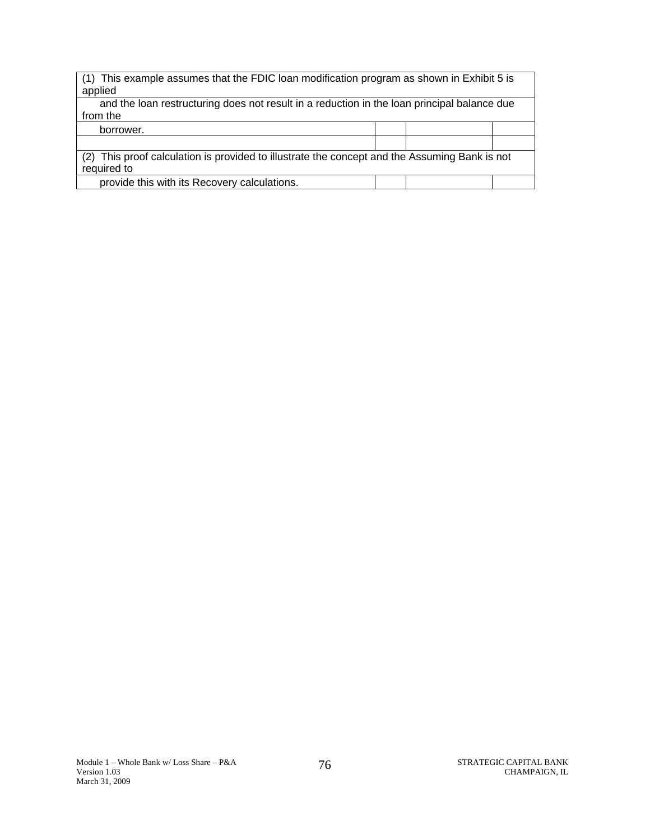| (1) This example assumes that the FDIC loan modification program as shown in Exhibit 5 is<br>applied         |  |  |  |  |  |  |
|--------------------------------------------------------------------------------------------------------------|--|--|--|--|--|--|
| and the loan restructuring does not result in a reduction in the loan principal balance due<br>from the      |  |  |  |  |  |  |
| borrower.                                                                                                    |  |  |  |  |  |  |
|                                                                                                              |  |  |  |  |  |  |
| (2) This proof calculation is provided to illustrate the concept and the Assuming Bank is not<br>required to |  |  |  |  |  |  |
| provide this with its Recovery calculations.                                                                 |  |  |  |  |  |  |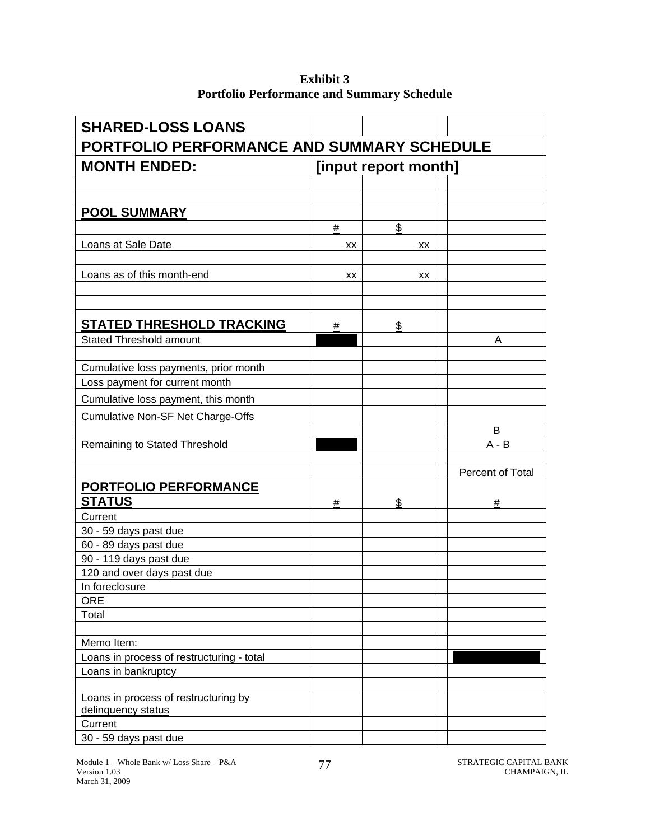| <b>Exhibit 3</b>                                  |
|---------------------------------------------------|
| <b>Portfolio Performance and Summary Schedule</b> |

| <b>SHARED-LOSS LOANS</b>                                         |           |                      |                  |
|------------------------------------------------------------------|-----------|----------------------|------------------|
| PORTFOLIO PERFORMANCE AND SUMMARY SCHEDULE                       |           |                      |                  |
| <b>MONTH ENDED:</b>                                              |           | [input report month] |                  |
|                                                                  |           |                      |                  |
|                                                                  |           |                      |                  |
| <b>POOL SUMMARY</b>                                              |           |                      |                  |
|                                                                  | #         | $\frac{1}{2}$        |                  |
| Loans at Sale Date                                               | <u>XX</u> | XX                   |                  |
|                                                                  |           |                      |                  |
| Loans as of this month-end                                       | XX        | xх                   |                  |
|                                                                  |           |                      |                  |
|                                                                  |           |                      |                  |
|                                                                  |           |                      |                  |
| STATED THRESHOLD TRACKING                                        | #         | \$                   |                  |
| <b>Stated Threshold amount</b>                                   |           |                      | A                |
| Cumulative loss payments, prior month                            |           |                      |                  |
| Loss payment for current month                                   |           |                      |                  |
|                                                                  |           |                      |                  |
| Cumulative loss payment, this month                              |           |                      |                  |
| <b>Cumulative Non-SF Net Charge-Offs</b>                         |           |                      |                  |
|                                                                  |           |                      | B<br>$A - B$     |
| Remaining to Stated Threshold                                    |           |                      |                  |
|                                                                  |           |                      | Percent of Total |
| PORTFOLIO PERFORMANCE                                            |           |                      |                  |
| <b>STATUS</b>                                                    | #         | \$                   | #                |
| Current                                                          |           |                      |                  |
| 30 - 59 days past due                                            |           |                      |                  |
| 60 - 89 days past due                                            |           |                      |                  |
| 90 - 119 days past due                                           |           |                      |                  |
| 120 and over days past due                                       |           |                      |                  |
| In foreclosure                                                   |           |                      |                  |
| <b>ORE</b>                                                       |           |                      |                  |
| Total                                                            |           |                      |                  |
|                                                                  |           |                      |                  |
| Memo Item:                                                       |           |                      |                  |
| Loans in process of restructuring - total<br>Loans in bankruptcy |           |                      |                  |
|                                                                  |           |                      |                  |
| Loans in process of restructuring by                             |           |                      |                  |
| delinquency status                                               |           |                      |                  |
| Current                                                          |           |                      |                  |
| 30 - 59 days past due                                            |           |                      |                  |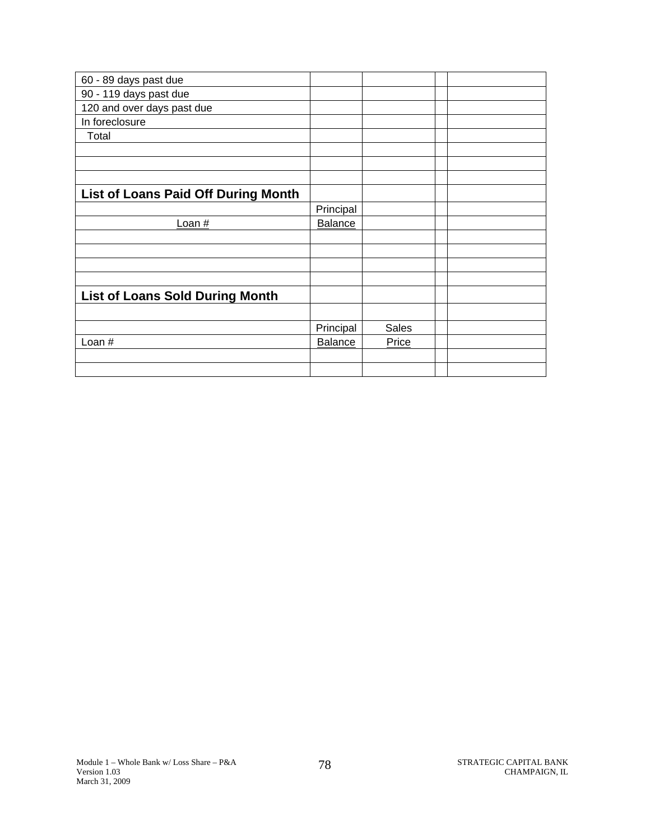| 60 - 89 days past due                      |           |              |  |
|--------------------------------------------|-----------|--------------|--|
| 90 - 119 days past due                     |           |              |  |
| 120 and over days past due                 |           |              |  |
| In foreclosure                             |           |              |  |
| Total                                      |           |              |  |
|                                            |           |              |  |
|                                            |           |              |  |
|                                            |           |              |  |
| <b>List of Loans Paid Off During Month</b> |           |              |  |
|                                            | Principal |              |  |
| Loan $#$                                   | Balance   |              |  |
|                                            |           |              |  |
|                                            |           |              |  |
|                                            |           |              |  |
|                                            |           |              |  |
| <b>List of Loans Sold During Month</b>     |           |              |  |
|                                            |           |              |  |
|                                            | Principal | <b>Sales</b> |  |
| Loan $#$                                   | Balance   | Price        |  |
|                                            |           |              |  |
|                                            |           |              |  |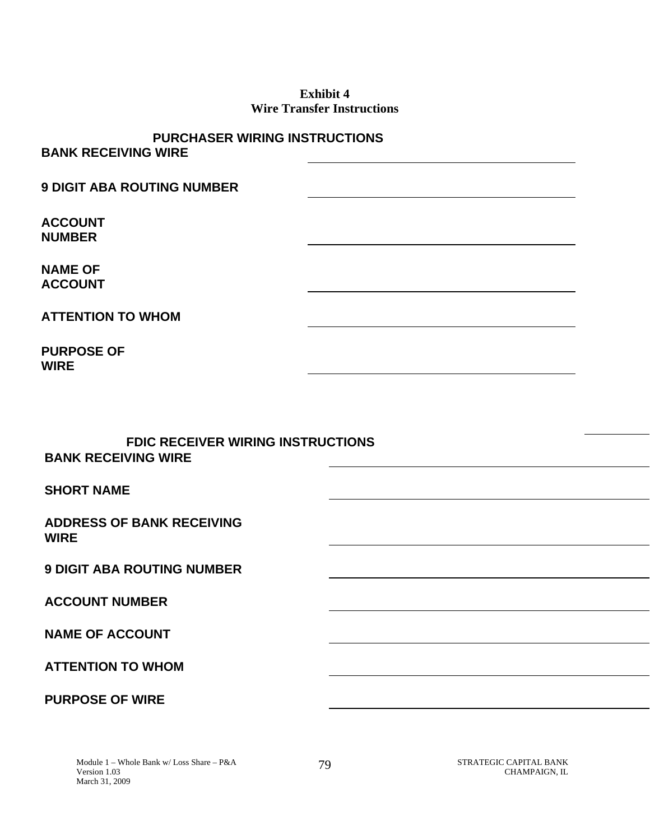#### **Exhibit 4 Wire Transfer Instructions**

#### **PURCHASER WIRING INSTRUCTIONS BANK RECEIVING WIRE**

**9 DIGIT ABA ROUTING NUMBER ACCOUNT NUMBER NAME OF ACCOUNT ATTENTION TO WHOM PURPOSE OF** 

#### **FDIC RECEIVER WIRING INSTRUCTIONS BANK RECEIVING WIRE**

**SHORT NAME** 

**WIRE** 

**ADDRESS OF BANK RECEIVING WIRE** 

**9 DIGIT ABA ROUTING NUMBER** 

**ACCOUNT NUMBER** 

**NAME OF ACCOUNT** 

**ATTENTION TO WHOM** 

**PURPOSE OF WIRE**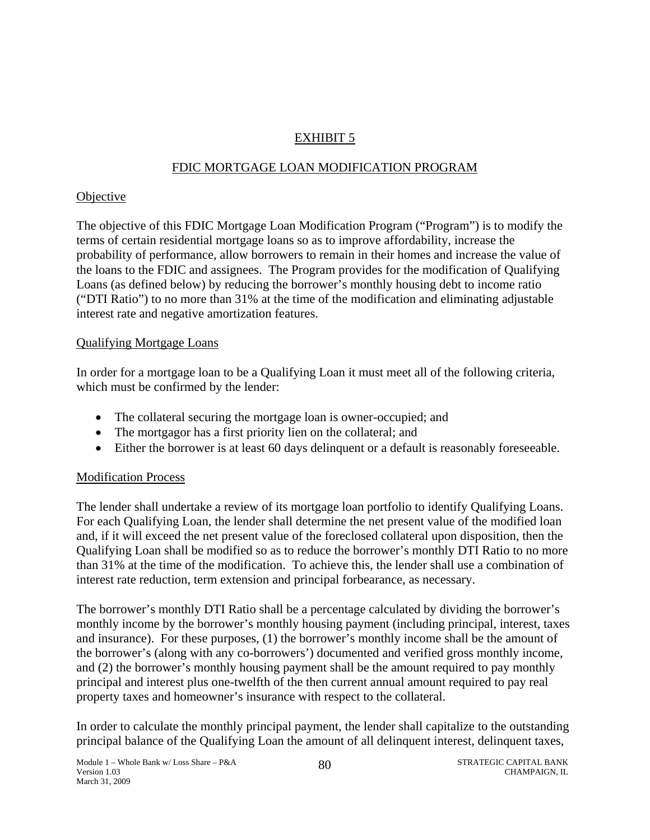# EXHIBIT 5

# FDIC MORTGAGE LOAN MODIFICATION PROGRAM

## **Objective**

The objective of this FDIC Mortgage Loan Modification Program ("Program") is to modify the terms of certain residential mortgage loans so as to improve affordability, increase the probability of performance, allow borrowers to remain in their homes and increase the value of the loans to the FDIC and assignees. The Program provides for the modification of Qualifying Loans (as defined below) by reducing the borrower's monthly housing debt to income ratio ("DTI Ratio") to no more than 31% at the time of the modification and eliminating adjustable interest rate and negative amortization features.

# Qualifying Mortgage Loans

In order for a mortgage loan to be a Qualifying Loan it must meet all of the following criteria, which must be confirmed by the lender:

- The collateral securing the mortgage loan is owner-occupied; and
- The mortgagor has a first priority lien on the collateral; and
- Either the borrower is at least 60 days delinquent or a default is reasonably foreseeable. Modification Process

The lender shall undertake a review of its mortgage loan portfolio to identify Qualifying Loans. For each Qualifying Loan, the lender shall determine the net present value of the modified loan and, if it will exceed the net present value of the foreclosed collateral upon disposition, then the Qualifying Loan shall be modified so as to reduce the borrower's monthly DTI Ratio to no more than 31% at the time of the modification. To achieve this, the lender shall use a combination of interest rate reduction, term extension and principal forbearance, as necessary.

The borrower's monthly DTI Ratio shall be a percentage calculated by dividing the borrower's monthly income by the borrower's monthly housing payment (including principal, interest, taxes and insurance). For these purposes, (1) the borrower's monthly income shall be the amount of the borrower's (along with any co-borrowers') documented and verified gross monthly income, and (2) the borrower's monthly housing payment shall be the amount required to pay monthly principal and interest plus one-twelfth of the then current annual amount required to pay real property taxes and homeowner's insurance with respect to the collateral.

In order to calculate the monthly principal payment, the lender shall capitalize to the outstanding principal balance of the Qualifying Loan the amount of all delinquent interest, delinquent taxes,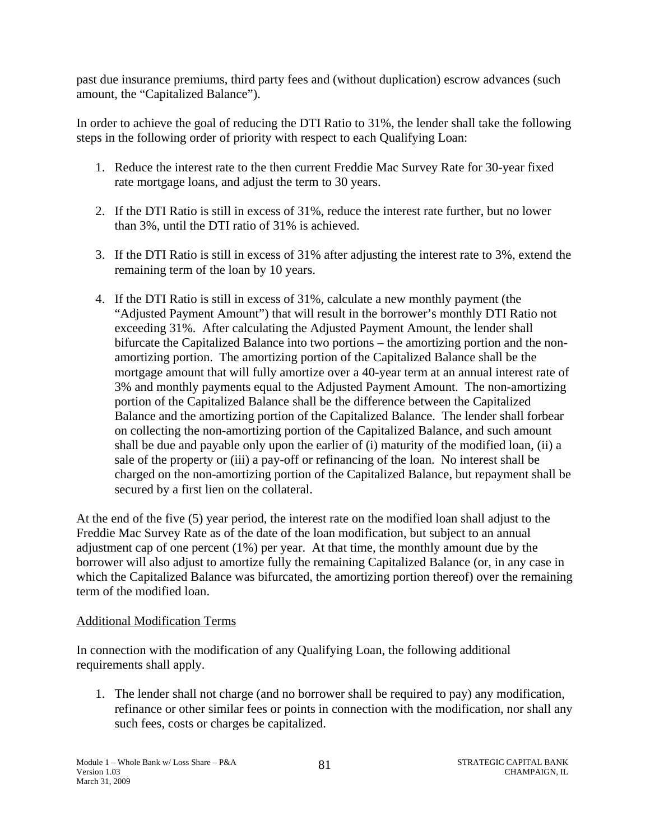past due insurance premiums, third party fees and (without duplication) escrow advances (such amount, the "Capitalized Balance").

In order to achieve the goal of reducing the DTI Ratio to 31%, the lender shall take the following steps in the following order of priority with respect to each Qualifying Loan:

- 1. Reduce the interest rate to the then current Freddie Mac Survey Rate for 30-year fixed rate mortgage loans, and adjust the term to 30 years.
- 2. If the DTI Ratio is still in excess of 31%, reduce the interest rate further, but no lower than 3%, until the DTI ratio of 31% is achieved.
- 3. If the DTI Ratio is still in excess of 31% after adjusting the interest rate to 3%, extend the remaining term of the loan by 10 years.
- 4. If the DTI Ratio is still in excess of 31%, calculate a new monthly payment (the "Adjusted Payment Amount") that will result in the borrower's monthly DTI Ratio not exceeding 31%. After calculating the Adjusted Payment Amount, the lender shall bifurcate the Capitalized Balance into two portions – the amortizing portion and the nonamortizing portion. The amortizing portion of the Capitalized Balance shall be the mortgage amount that will fully amortize over a 40-year term at an annual interest rate of 3% and monthly payments equal to the Adjusted Payment Amount. The non-amortizing portion of the Capitalized Balance shall be the difference between the Capitalized Balance and the amortizing portion of the Capitalized Balance. The lender shall forbear on collecting the non-amortizing portion of the Capitalized Balance, and such amount shall be due and payable only upon the earlier of (i) maturity of the modified loan, (ii) a sale of the property or (iii) a pay-off or refinancing of the loan. No interest shall be charged on the non-amortizing portion of the Capitalized Balance, but repayment shall be secured by a first lien on the collateral.

At the end of the five (5) year period, the interest rate on the modified loan shall adjust to the Freddie Mac Survey Rate as of the date of the loan modification, but subject to an annual adjustment cap of one percent (1%) per year. At that time, the monthly amount due by the borrower will also adjust to amortize fully the remaining Capitalized Balance (or, in any case in which the Capitalized Balance was bifurcated, the amortizing portion thereof) over the remaining term of the modified loan.

#### Additional Modification Terms

In connection with the modification of any Qualifying Loan, the following additional requirements shall apply.

1. The lender shall not charge (and no borrower shall be required to pay) any modification, refinance or other similar fees or points in connection with the modification, nor shall any such fees, costs or charges be capitalized.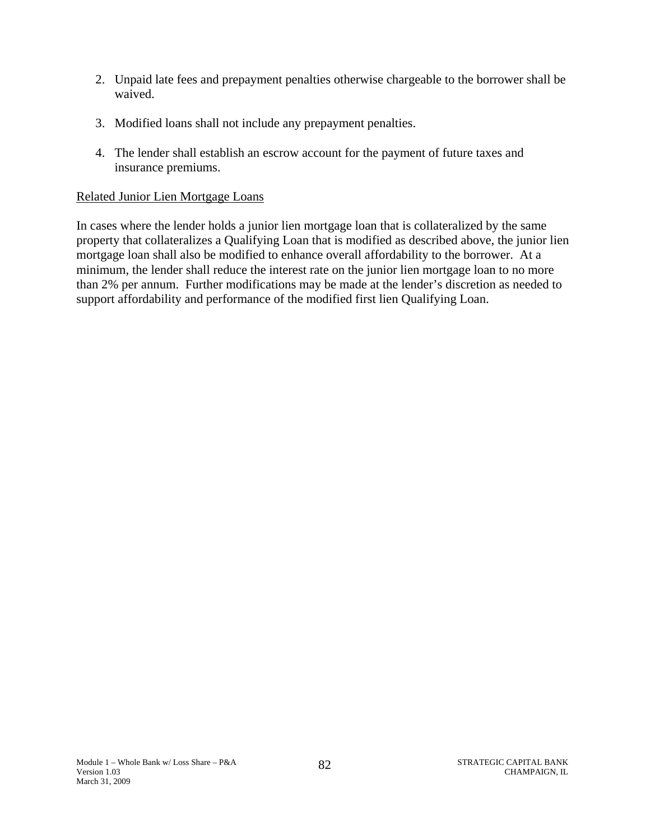- 2. Unpaid late fees and prepayment penalties otherwise chargeable to the borrower shall be waived.
- 3. Modified loans shall not include any prepayment penalties.
- 4. The lender shall establish an escrow account for the payment of future taxes and insurance premiums.

#### Related Junior Lien Mortgage Loans

In cases where the lender holds a junior lien mortgage loan that is collateralized by the same property that collateralizes a Qualifying Loan that is modified as described above, the junior lien mortgage loan shall also be modified to enhance overall affordability to the borrower. At a minimum, the lender shall reduce the interest rate on the junior lien mortgage loan to no more than 2% per annum. Further modifications may be made at the lender's discretion as needed to support affordability and performance of the modified first lien Qualifying Loan.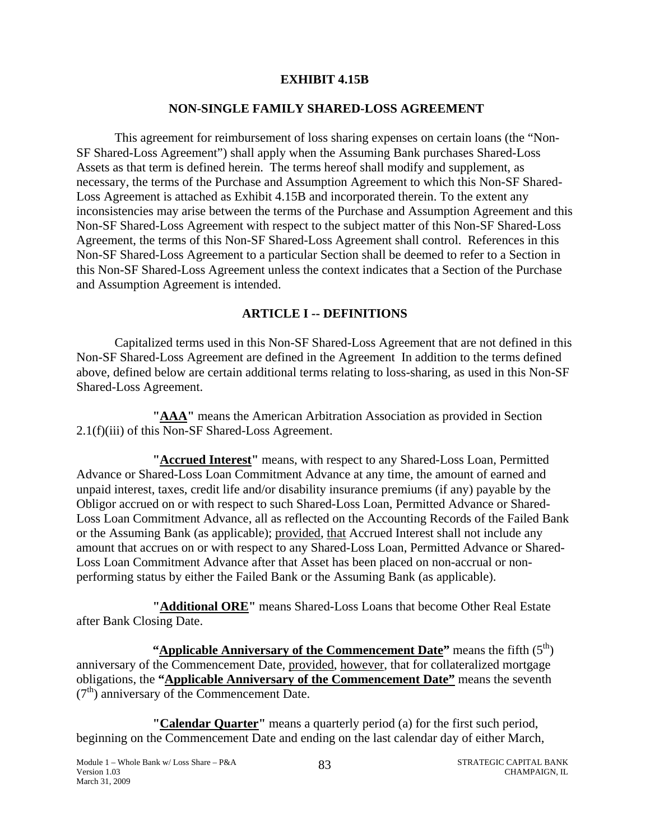#### **EXHIBIT 4.15B**

#### **NON-SINGLE FAMILY SHARED-LOSS AGREEMENT**

This agreement for reimbursement of loss sharing expenses on certain loans (the "Non-SF Shared-Loss Agreement") shall apply when the Assuming Bank purchases Shared-Loss Assets as that term is defined herein. The terms hereof shall modify and supplement, as necessary, the terms of the Purchase and Assumption Agreement to which this Non-SF Shared-Loss Agreement is attached as Exhibit 4.15B and incorporated therein. To the extent any inconsistencies may arise between the terms of the Purchase and Assumption Agreement and this Non-SF Shared-Loss Agreement with respect to the subject matter of this Non-SF Shared-Loss Agreement, the terms of this Non-SF Shared-Loss Agreement shall control. References in this Non-SF Shared-Loss Agreement to a particular Section shall be deemed to refer to a Section in this Non-SF Shared-Loss Agreement unless the context indicates that a Section of the Purchase and Assumption Agreement is intended.

#### **ARTICLE I -- DEFINITIONS**

Capitalized terms used in this Non-SF Shared-Loss Agreement that are not defined in this Non-SF Shared-Loss Agreement are defined in the Agreement In addition to the terms defined above, defined below are certain additional terms relating to loss-sharing, as used in this Non-SF Shared-Loss Agreement.

**"AAA"** means the American Arbitration Association as provided in Section 2.1(f)(iii) of this Non-SF Shared-Loss Agreement.

**"Accrued Interest"** means, with respect to any Shared-Loss Loan, Permitted Advance or Shared-Loss Loan Commitment Advance at any time, the amount of earned and unpaid interest, taxes, credit life and/or disability insurance premiums (if any) payable by the Obligor accrued on or with respect to such Shared-Loss Loan, Permitted Advance or Shared-Loss Loan Commitment Advance, all as reflected on the Accounting Records of the Failed Bank or the Assuming Bank (as applicable); provided, that Accrued Interest shall not include any amount that accrues on or with respect to any Shared-Loss Loan, Permitted Advance or Shared-Loss Loan Commitment Advance after that Asset has been placed on non-accrual or nonperforming status by either the Failed Bank or the Assuming Bank (as applicable).

**"Additional ORE"** means Shared-Loss Loans that become Other Real Estate after Bank Closing Date.

**Examplicable Anniversary of the Commencement Date''** means the fifth (5<sup>th</sup>) anniversary of the Commencement Date, provided, however, that for collateralized mortgage obligations, the **"Applicable Anniversary of the Commencement Date"** means the seventh  $(7<sup>th</sup>)$  anniversary of the Commencement Date.

**"Calendar Quarter"** means a quarterly period (a) for the first such period, beginning on the Commencement Date and ending on the last calendar day of either March,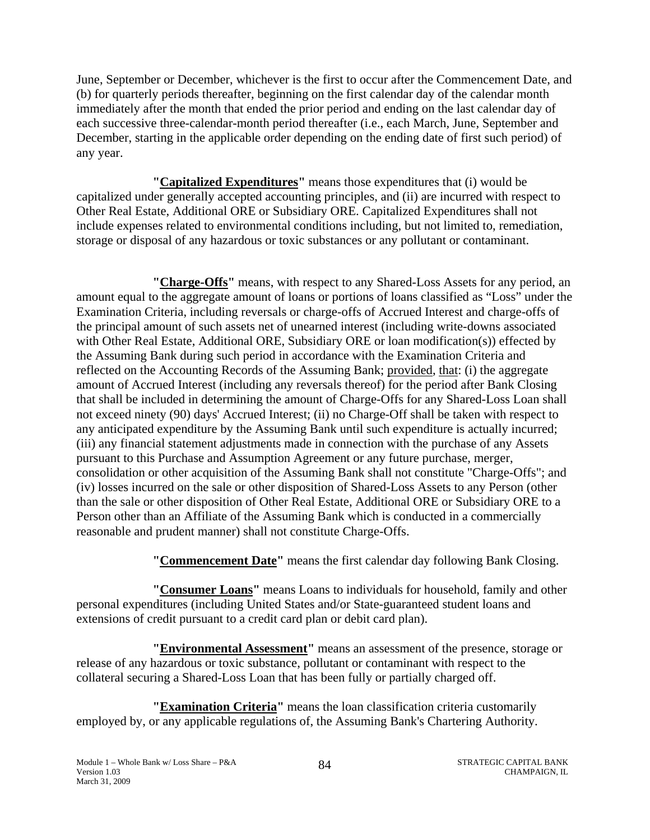June, September or December, whichever is the first to occur after the Commencement Date, and (b) for quarterly periods thereafter, beginning on the first calendar day of the calendar month immediately after the month that ended the prior period and ending on the last calendar day of each successive three-calendar-month period thereafter (i.e., each March, June, September and December, starting in the applicable order depending on the ending date of first such period) of any year.

**"Capitalized Expenditures"** means those expenditures that (i) would be capitalized under generally accepted accounting principles, and (ii) are incurred with respect to Other Real Estate, Additional ORE or Subsidiary ORE. Capitalized Expenditures shall not include expenses related to environmental conditions including, but not limited to, remediation, storage or disposal of any hazardous or toxic substances or any pollutant or contaminant.

**"Charge-Offs"** means, with respect to any Shared-Loss Assets for any period, an amount equal to the aggregate amount of loans or portions of loans classified as "Loss" under the Examination Criteria, including reversals or charge-offs of Accrued Interest and charge-offs of the principal amount of such assets net of unearned interest (including write-downs associated with Other Real Estate, Additional ORE, Subsidiary ORE or loan modification(s)) effected by the Assuming Bank during such period in accordance with the Examination Criteria and reflected on the Accounting Records of the Assuming Bank; provided, that: (i) the aggregate amount of Accrued Interest (including any reversals thereof) for the period after Bank Closing that shall be included in determining the amount of Charge-Offs for any Shared-Loss Loan shall not exceed ninety (90) days' Accrued Interest; (ii) no Charge-Off shall be taken with respect to any anticipated expenditure by the Assuming Bank until such expenditure is actually incurred; (iii) any financial statement adjustments made in connection with the purchase of any Assets pursuant to this Purchase and Assumption Agreement or any future purchase, merger, consolidation or other acquisition of the Assuming Bank shall not constitute "Charge-Offs"; and (iv) losses incurred on the sale or other disposition of Shared-Loss Assets to any Person (other than the sale or other disposition of Other Real Estate, Additional ORE or Subsidiary ORE to a Person other than an Affiliate of the Assuming Bank which is conducted in a commercially reasonable and prudent manner) shall not constitute Charge-Offs.

**"Commencement Date"** means the first calendar day following Bank Closing.

**"Consumer Loans"** means Loans to individuals for household, family and other personal expenditures (including United States and/or State-guaranteed student loans and extensions of credit pursuant to a credit card plan or debit card plan).

**"Environmental Assessment"** means an assessment of the presence, storage or release of any hazardous or toxic substance, pollutant or contaminant with respect to the collateral securing a Shared-Loss Loan that has been fully or partially charged off.

**"Examination Criteria"** means the loan classification criteria customarily employed by, or any applicable regulations of, the Assuming Bank's Chartering Authority.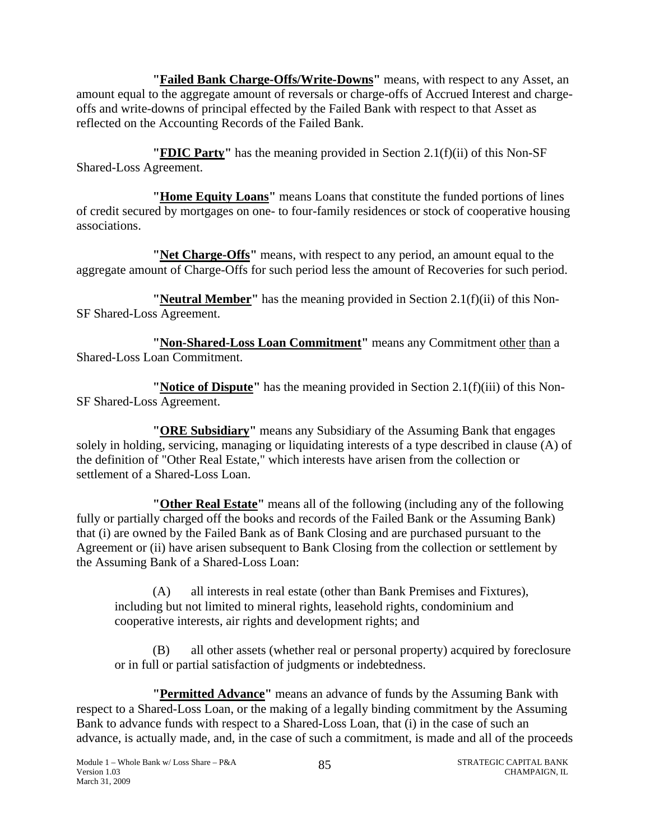**"Failed Bank Charge-Offs/Write-Downs"** means, with respect to any Asset, an amount equal to the aggregate amount of reversals or charge-offs of Accrued Interest and chargeoffs and write-downs of principal effected by the Failed Bank with respect to that Asset as reflected on the Accounting Records of the Failed Bank.

**"FDIC Party"** has the meaning provided in Section 2.1(f)(ii) of this Non-SF Shared-Loss Agreement.

**"Home Equity Loans"** means Loans that constitute the funded portions of lines of credit secured by mortgages on one- to four-family residences or stock of cooperative housing associations.

**"Net Charge-Offs"** means, with respect to any period, an amount equal to the aggregate amount of Charge-Offs for such period less the amount of Recoveries for such period.

 SF Shared-Loss Agreement. **"Neutral Member"** has the meaning provided in Section 2.1(f)(ii) of this Non-

**"Non-Shared-Loss Loan Commitment"** means any Commitment other than a Shared-Loss Loan Commitment.

**"Notice of Dispute"** has the meaning provided in Section 2.1(f)(iii) of this Non-SF Shared-Loss Agreement.

**"ORE Subsidiary"** means any Subsidiary of the Assuming Bank that engages solely in holding, servicing, managing or liquidating interests of a type described in clause (A) of the definition of "Other Real Estate," which interests have arisen from the collection or settlement of a Shared-Loss Loan.

**"Other Real Estate"** means all of the following (including any of the following fully or partially charged off the books and records of the Failed Bank or the Assuming Bank) that (i) are owned by the Failed Bank as of Bank Closing and are purchased pursuant to the Agreement or (ii) have arisen subsequent to Bank Closing from the collection or settlement by the Assuming Bank of a Shared-Loss Loan:

(A) all interests in real estate (other than Bank Premises and Fixtures), including but not limited to mineral rights, leasehold rights, condominium and cooperative interests, air rights and development rights; and

(B) all other assets (whether real or personal property) acquired by foreclosure or in full or partial satisfaction of judgments or indebtedness.

**"Permitted Advance"** means an advance of funds by the Assuming Bank with respect to a Shared-Loss Loan, or the making of a legally binding commitment by the Assuming Bank to advance funds with respect to a Shared-Loss Loan, that (i) in the case of such an advance, is actually made, and, in the case of such a commitment, is made and all of the proceeds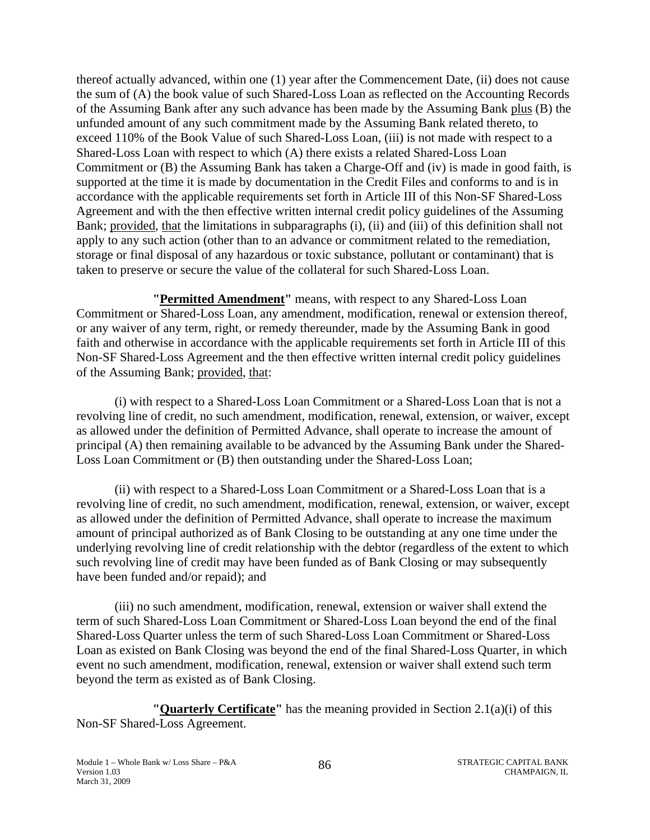thereof actually advanced, within one (1) year after the Commencement Date, (ii) does not cause the sum of (A) the book value of such Shared-Loss Loan as reflected on the Accounting Records of the Assuming Bank after any such advance has been made by the Assuming Bank plus (B) the unfunded amount of any such commitment made by the Assuming Bank related thereto, to exceed 110% of the Book Value of such Shared-Loss Loan, (iii) is not made with respect to a Shared-Loss Loan with respect to which (A) there exists a related Shared-Loss Loan Commitment or (B) the Assuming Bank has taken a Charge-Off and (iv) is made in good faith, is supported at the time it is made by documentation in the Credit Files and conforms to and is in accordance with the applicable requirements set forth in Article III of this Non-SF Shared-Loss Agreement and with the then effective written internal credit policy guidelines of the Assuming Bank; provided, that the limitations in subparagraphs (i), (ii) and (iii) of this definition shall not apply to any such action (other than to an advance or commitment related to the remediation, storage or final disposal of any hazardous or toxic substance, pollutant or contaminant) that is taken to preserve or secure the value of the collateral for such Shared-Loss Loan.

**"Permitted Amendment"** means, with respect to any Shared-Loss Loan Commitment or Shared-Loss Loan, any amendment, modification, renewal or extension thereof, or any waiver of any term, right, or remedy thereunder, made by the Assuming Bank in good faith and otherwise in accordance with the applicable requirements set forth in Article III of this Non-SF Shared-Loss Agreement and the then effective written internal credit policy guidelines of the Assuming Bank; provided, that:

(i) with respect to a Shared-Loss Loan Commitment or a Shared-Loss Loan that is not a revolving line of credit, no such amendment, modification, renewal, extension, or waiver, except as allowed under the definition of Permitted Advance, shall operate to increase the amount of principal (A) then remaining available to be advanced by the Assuming Bank under the Shared-Loss Loan Commitment or (B) then outstanding under the Shared-Loss Loan;

(ii) with respect to a Shared-Loss Loan Commitment or a Shared-Loss Loan that is a revolving line of credit, no such amendment, modification, renewal, extension, or waiver, except as allowed under the definition of Permitted Advance, shall operate to increase the maximum amount of principal authorized as of Bank Closing to be outstanding at any one time under the underlying revolving line of credit relationship with the debtor (regardless of the extent to which such revolving line of credit may have been funded as of Bank Closing or may subsequently have been funded and/or repaid); and

(iii) no such amendment, modification, renewal, extension or waiver shall extend the term of such Shared-Loss Loan Commitment or Shared-Loss Loan beyond the end of the final Shared-Loss Quarter unless the term of such Shared-Loss Loan Commitment or Shared-Loss Loan as existed on Bank Closing was beyond the end of the final Shared-Loss Quarter, in which event no such amendment, modification, renewal, extension or waiver shall extend such term beyond the term as existed as of Bank Closing.

**"Quarterly Certificate"** has the meaning provided in Section 2.1(a)(i) of this Non-SF Shared-Loss Agreement.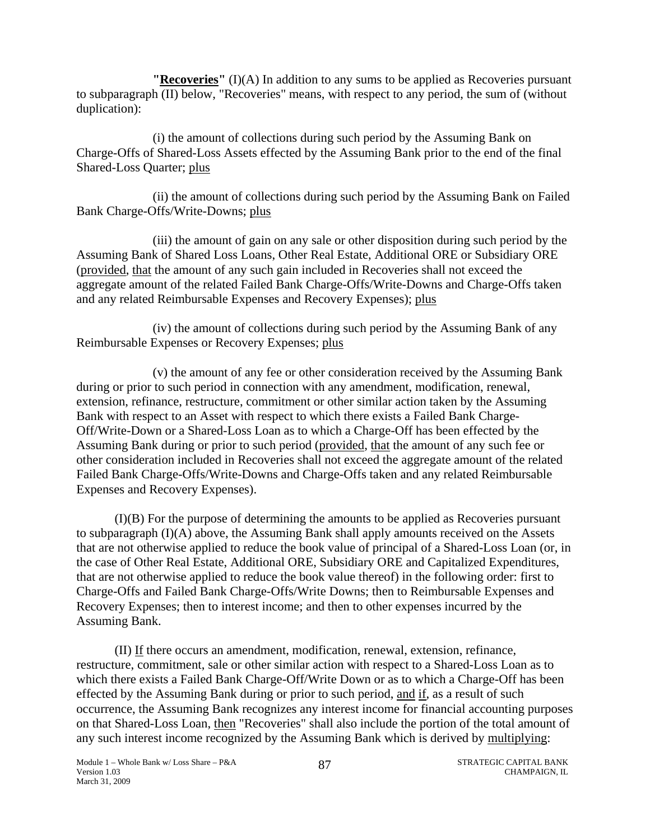**"Recoveries"** (I)(A) In addition to any sums to be applied as Recoveries pursuant to subparagraph (II) below, "Recoveries" means, with respect to any period, the sum of (without duplication):

**Shared-Loss Quarter; plus** (i) the amount of collections during such period by the Assuming Bank on Charge-Offs of Shared-Loss Assets effected by the Assuming Bank prior to the end of the final

(ii) the amount of collections during such period by the Assuming Bank on Failed Bank Charge-Offs/Write-Downs; plus

(iii) the amount of gain on any sale or other disposition during such period by the Assuming Bank of Shared Loss Loans, Other Real Estate, Additional ORE or Subsidiary ORE (provided, that the amount of any such gain included in Recoveries shall not exceed the aggregate amount of the related Failed Bank Charge-Offs/Write-Downs and Charge-Offs taken and any related Reimbursable Expenses and Recovery Expenses); plus

(iv) the amount of collections during such period by the Assuming Bank of any Reimbursable Expenses or Recovery Expenses; plus

(v) the amount of any fee or other consideration received by the Assuming Bank during or prior to such period in connection with any amendment, modification, renewal, extension, refinance, restructure, commitment or other similar action taken by the Assuming Bank with respect to an Asset with respect to which there exists a Failed Bank Charge-Off/Write-Down or a Shared-Loss Loan as to which a Charge-Off has been effected by the Assuming Bank during or prior to such period (provided, that the amount of any such fee or other consideration included in Recoveries shall not exceed the aggregate amount of the related Failed Bank Charge-Offs/Write-Downs and Charge-Offs taken and any related Reimbursable Expenses and Recovery Expenses).

(I)(B) For the purpose of determining the amounts to be applied as Recoveries pursuant to subparagraph (I)(A) above, the Assuming Bank shall apply amounts received on the Assets that are not otherwise applied to reduce the book value of principal of a Shared-Loss Loan (or, in the case of Other Real Estate, Additional ORE, Subsidiary ORE and Capitalized Expenditures, that are not otherwise applied to reduce the book value thereof) in the following order: first to Charge-Offs and Failed Bank Charge-Offs/Write Downs; then to Reimbursable Expenses and Recovery Expenses; then to interest income; and then to other expenses incurred by the Assuming Bank.

(II) If there occurs an amendment, modification, renewal, extension, refinance, restructure, commitment, sale or other similar action with respect to a Shared-Loss Loan as to which there exists a Failed Bank Charge-Off/Write Down or as to which a Charge-Off has been effected by the Assuming Bank during or prior to such period, and if, as a result of such occurrence, the Assuming Bank recognizes any interest income for financial accounting purposes on that Shared-Loss Loan, then "Recoveries" shall also include the portion of the total amount of any such interest income recognized by the Assuming Bank which is derived by multiplying: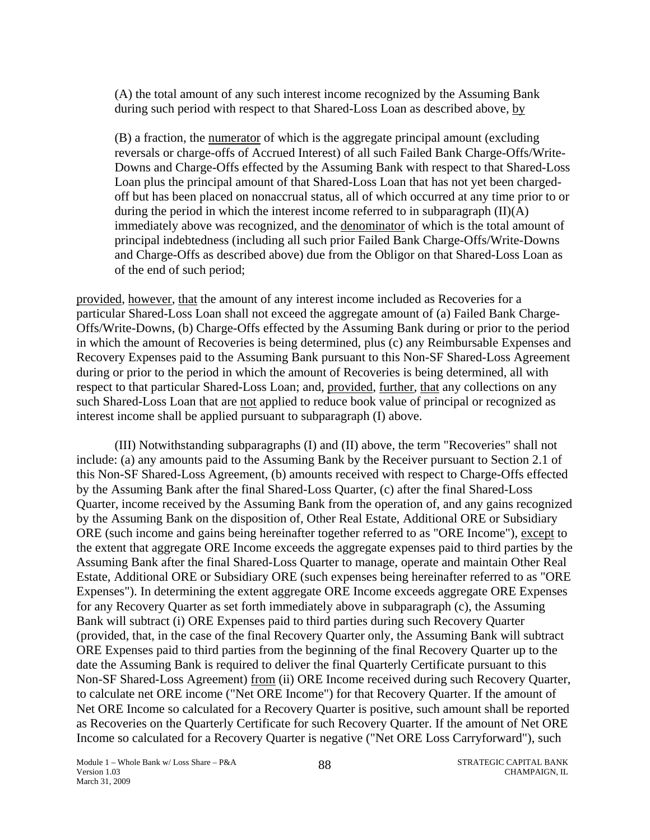(A) the total amount of any such interest income recognized by the Assuming Bank during such period with respect to that Shared-Loss Loan as described above, by

(B) a fraction, the numerator of which is the aggregate principal amount (excluding reversals or charge-offs of Accrued Interest) of all such Failed Bank Charge-Offs/Write-Downs and Charge-Offs effected by the Assuming Bank with respect to that Shared-Loss Loan plus the principal amount of that Shared-Loss Loan that has not yet been chargedoff but has been placed on nonaccrual status, all of which occurred at any time prior to or during the period in which the interest income referred to in subparagraph  $(II)(A)$ immediately above was recognized, and the denominator of which is the total amount of principal indebtedness (including all such prior Failed Bank Charge-Offs/Write-Downs and Charge-Offs as described above) due from the Obligor on that Shared-Loss Loan as of the end of such period;

provided, however, that the amount of any interest income included as Recoveries for a particular Shared-Loss Loan shall not exceed the aggregate amount of (a) Failed Bank Charge-Offs/Write-Downs, (b) Charge-Offs effected by the Assuming Bank during or prior to the period in which the amount of Recoveries is being determined, plus (c) any Reimbursable Expenses and Recovery Expenses paid to the Assuming Bank pursuant to this Non-SF Shared-Loss Agreement during or prior to the period in which the amount of Recoveries is being determined, all with respect to that particular Shared-Loss Loan; and, provided, further, that any collections on any such Shared-Loss Loan that are not applied to reduce book value of principal or recognized as interest income shall be applied pursuant to subparagraph (I) above.

(III) Notwithstanding subparagraphs (I) and (II) above, the term "Recoveries" shall not include: (a) any amounts paid to the Assuming Bank by the Receiver pursuant to Section 2.1 of this Non-SF Shared-Loss Agreement, (b) amounts received with respect to Charge-Offs effected by the Assuming Bank after the final Shared-Loss Quarter, (c) after the final Shared-Loss Quarter, income received by the Assuming Bank from the operation of, and any gains recognized by the Assuming Bank on the disposition of, Other Real Estate, Additional ORE or Subsidiary ORE (such income and gains being hereinafter together referred to as "ORE Income"), except to the extent that aggregate ORE Income exceeds the aggregate expenses paid to third parties by the Assuming Bank after the final Shared-Loss Quarter to manage, operate and maintain Other Real Estate, Additional ORE or Subsidiary ORE (such expenses being hereinafter referred to as "ORE Expenses"). In determining the extent aggregate ORE Income exceeds aggregate ORE Expenses for any Recovery Quarter as set forth immediately above in subparagraph (c), the Assuming Bank will subtract (i) ORE Expenses paid to third parties during such Recovery Quarter (provided, that, in the case of the final Recovery Quarter only, the Assuming Bank will subtract ORE Expenses paid to third parties from the beginning of the final Recovery Quarter up to the date the Assuming Bank is required to deliver the final Quarterly Certificate pursuant to this Non-SF Shared-Loss Agreement) from (ii) ORE Income received during such Recovery Quarter, to calculate net ORE income ("Net ORE Income") for that Recovery Quarter. If the amount of Net ORE Income so calculated for a Recovery Quarter is positive, such amount shall be reported as Recoveries on the Quarterly Certificate for such Recovery Quarter. If the amount of Net ORE Income so calculated for a Recovery Quarter is negative ("Net ORE Loss Carryforward"), such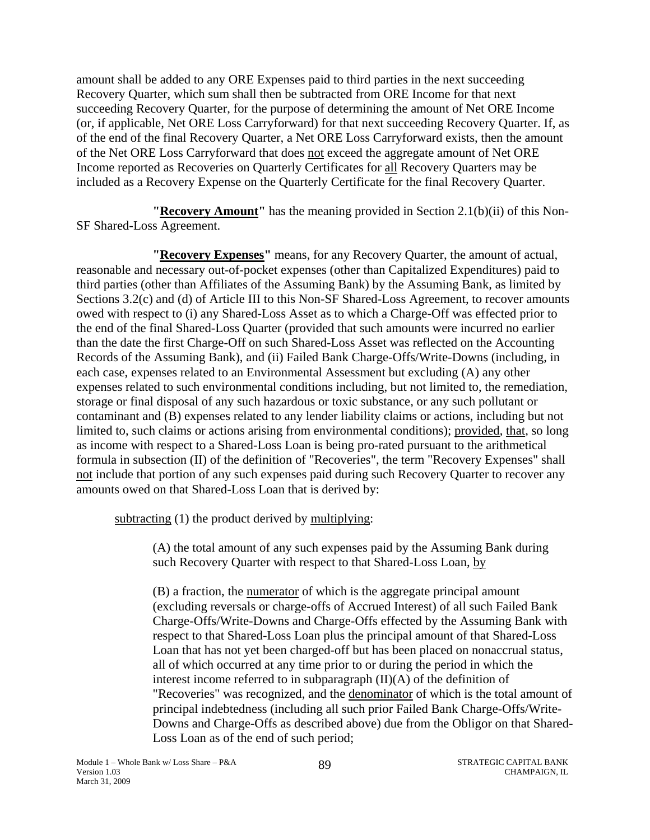amount shall be added to any ORE Expenses paid to third parties in the next succeeding Recovery Quarter, which sum shall then be subtracted from ORE Income for that next succeeding Recovery Quarter, for the purpose of determining the amount of Net ORE Income (or, if applicable, Net ORE Loss Carryforward) for that next succeeding Recovery Quarter. If, as of the end of the final Recovery Quarter, a Net ORE Loss Carryforward exists, then the amount of the Net ORE Loss Carryforward that does not exceed the aggregate amount of Net ORE Income reported as Recoveries on Quarterly Certificates for all Recovery Quarters may be included as a Recovery Expense on the Quarterly Certificate for the final Recovery Quarter.

**"Recovery Amount"** has the meaning provided in Section 2.1(b)(ii) of this Non-SF Shared-Loss Agreement.

**"Recovery Expenses"** means, for any Recovery Quarter, the amount of actual, reasonable and necessary out-of-pocket expenses (other than Capitalized Expenditures) paid to third parties (other than Affiliates of the Assuming Bank) by the Assuming Bank, as limited by Sections 3.2(c) and (d) of Article III to this Non-SF Shared-Loss Agreement, to recover amounts owed with respect to (i) any Shared-Loss Asset as to which a Charge-Off was effected prior to the end of the final Shared-Loss Quarter (provided that such amounts were incurred no earlier than the date the first Charge-Off on such Shared-Loss Asset was reflected on the Accounting Records of the Assuming Bank), and (ii) Failed Bank Charge-Offs/Write-Downs (including, in each case, expenses related to an Environmental Assessment but excluding (A) any other expenses related to such environmental conditions including, but not limited to, the remediation, storage or final disposal of any such hazardous or toxic substance, or any such pollutant or contaminant and (B) expenses related to any lender liability claims or actions, including but not limited to, such claims or actions arising from environmental conditions); provided, that, so long as income with respect to a Shared-Loss Loan is being pro-rated pursuant to the arithmetical formula in subsection (II) of the definition of "Recoveries", the term "Recovery Expenses" shall not include that portion of any such expenses paid during such Recovery Quarter to recover any amounts owed on that Shared-Loss Loan that is derived by:

subtracting (1) the product derived by multiplying:

(A) the total amount of any such expenses paid by the Assuming Bank during such Recovery Quarter with respect to that Shared-Loss Loan, by

(B) a fraction, the numerator of which is the aggregate principal amount (excluding reversals or charge-offs of Accrued Interest) of all such Failed Bank Charge-Offs/Write-Downs and Charge-Offs effected by the Assuming Bank with respect to that Shared-Loss Loan plus the principal amount of that Shared-Loss Loan that has not yet been charged-off but has been placed on nonaccrual status, all of which occurred at any time prior to or during the period in which the interest income referred to in subparagraph (II)(A) of the definition of "Recoveries" was recognized, and the denominator of which is the total amount of principal indebtedness (including all such prior Failed Bank Charge-Offs/Write-Downs and Charge-Offs as described above) due from the Obligor on that Shared-Loss Loan as of the end of such period;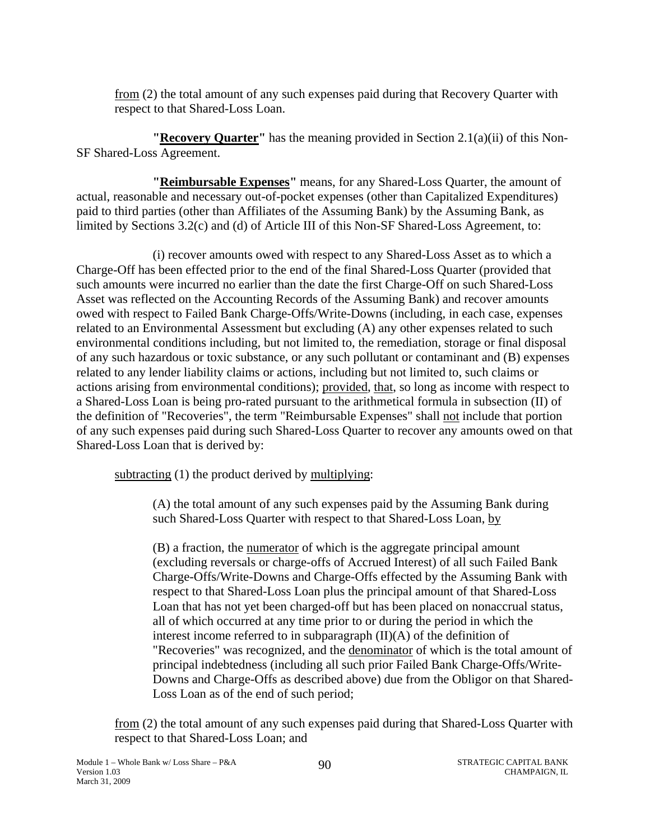from (2) the total amount of any such expenses paid during that Recovery Quarter with respect to that Shared-Loss Loan.

**"Recovery Quarter"** has the meaning provided in Section 2.1(a)(ii) of this Non-SF Shared-Loss Agreement.

**"Reimbursable Expenses"** means, for any Shared-Loss Quarter, the amount of actual, reasonable and necessary out-of-pocket expenses (other than Capitalized Expenditures) paid to third parties (other than Affiliates of the Assuming Bank) by the Assuming Bank, as limited by Sections 3.2(c) and (d) of Article III of this Non-SF Shared-Loss Agreement, to:

(i) recover amounts owed with respect to any Shared-Loss Asset as to which a Charge-Off has been effected prior to the end of the final Shared-Loss Quarter (provided that such amounts were incurred no earlier than the date the first Charge-Off on such Shared-Loss Asset was reflected on the Accounting Records of the Assuming Bank) and recover amounts owed with respect to Failed Bank Charge-Offs/Write-Downs (including, in each case, expenses related to an Environmental Assessment but excluding (A) any other expenses related to such environmental conditions including, but not limited to, the remediation, storage or final disposal of any such hazardous or toxic substance, or any such pollutant or contaminant and (B) expenses related to any lender liability claims or actions, including but not limited to, such claims or actions arising from environmental conditions); provided, that, so long as income with respect to a Shared-Loss Loan is being pro-rated pursuant to the arithmetical formula in subsection (II) of the definition of "Recoveries", the term "Reimbursable Expenses" shall not include that portion of any such expenses paid during such Shared-Loss Quarter to recover any amounts owed on that Shared-Loss Loan that is derived by:

subtracting (1) the product derived by multiplying:

(A) the total amount of any such expenses paid by the Assuming Bank during such Shared-Loss Quarter with respect to that Shared-Loss Loan, by

(B) a fraction, the numerator of which is the aggregate principal amount (excluding reversals or charge-offs of Accrued Interest) of all such Failed Bank Charge-Offs/Write-Downs and Charge-Offs effected by the Assuming Bank with respect to that Shared-Loss Loan plus the principal amount of that Shared-Loss Loan that has not yet been charged-off but has been placed on nonaccrual status, all of which occurred at any time prior to or during the period in which the interest income referred to in subparagraph  $(II)(A)$  of the definition of "Recoveries" was recognized, and the denominator of which is the total amount of principal indebtedness (including all such prior Failed Bank Charge-Offs/Write-Downs and Charge-Offs as described above) due from the Obligor on that Shared-Loss Loan as of the end of such period;

from (2) the total amount of any such expenses paid during that Shared-Loss Quarter with respect to that Shared-Loss Loan; and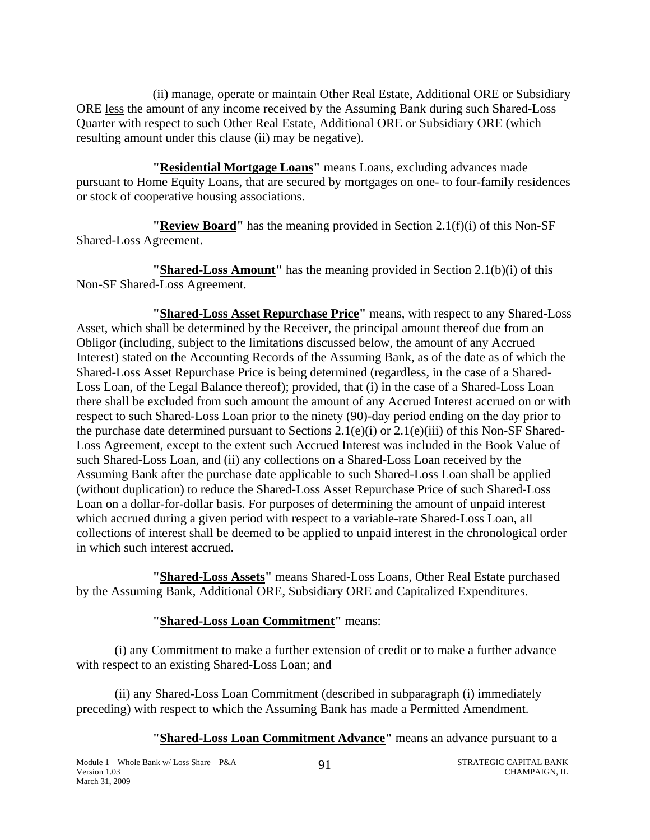(ii) manage, operate or maintain Other Real Estate, Additional ORE or Subsidiary ORE less the amount of any income received by the Assuming Bank during such Shared-Loss Quarter with respect to such Other Real Estate, Additional ORE or Subsidiary ORE (which resulting amount under this clause (ii) may be negative).

**"Residential Mortgage Loans"** means Loans, excluding advances made pursuant to Home Equity Loans, that are secured by mortgages on one- to four-family residences or stock of cooperative housing associations.

**"Review Board"** has the meaning provided in Section 2.1(f)(i) of this Non-SF Shared-Loss Agreement.

**"Shared-Loss Amount"** has the meaning provided in Section 2.1(b)(i) of this Non-SF Shared-Loss Agreement.

 in which such interest accrued. **"Shared-Loss Asset Repurchase Price"** means, with respect to any Shared-Loss Asset, which shall be determined by the Receiver, the principal amount thereof due from an Obligor (including, subject to the limitations discussed below, the amount of any Accrued Interest) stated on the Accounting Records of the Assuming Bank, as of the date as of which the Shared-Loss Asset Repurchase Price is being determined (regardless, in the case of a Shared-Loss Loan, of the Legal Balance thereof); provided, that (i) in the case of a Shared-Loss Loan there shall be excluded from such amount the amount of any Accrued Interest accrued on or with respect to such Shared-Loss Loan prior to the ninety (90)-day period ending on the day prior to the purchase date determined pursuant to Sections  $2.1(e)(i)$  or  $2.1(e)(iii)$  of this Non-SF Shared-Loss Agreement, except to the extent such Accrued Interest was included in the Book Value of such Shared-Loss Loan, and (ii) any collections on a Shared-Loss Loan received by the Assuming Bank after the purchase date applicable to such Shared-Loss Loan shall be applied (without duplication) to reduce the Shared-Loss Asset Repurchase Price of such Shared-Loss Loan on a dollar-for-dollar basis. For purposes of determining the amount of unpaid interest which accrued during a given period with respect to a variable-rate Shared-Loss Loan, all collections of interest shall be deemed to be applied to unpaid interest in the chronological order

**"Shared-Loss Assets"** means Shared-Loss Loans, Other Real Estate purchased by the Assuming Bank, Additional ORE, Subsidiary ORE and Capitalized Expenditures.

# **"Shared-Loss Loan Commitment"** means:

(i) any Commitment to make a further extension of credit or to make a further advance with respect to an existing Shared-Loss Loan; and

(ii) any Shared-Loss Loan Commitment (described in subparagraph (i) immediately preceding) with respect to which the Assuming Bank has made a Permitted Amendment.

### **"Shared-Loss Loan Commitment Advance"** means an advance pursuant to a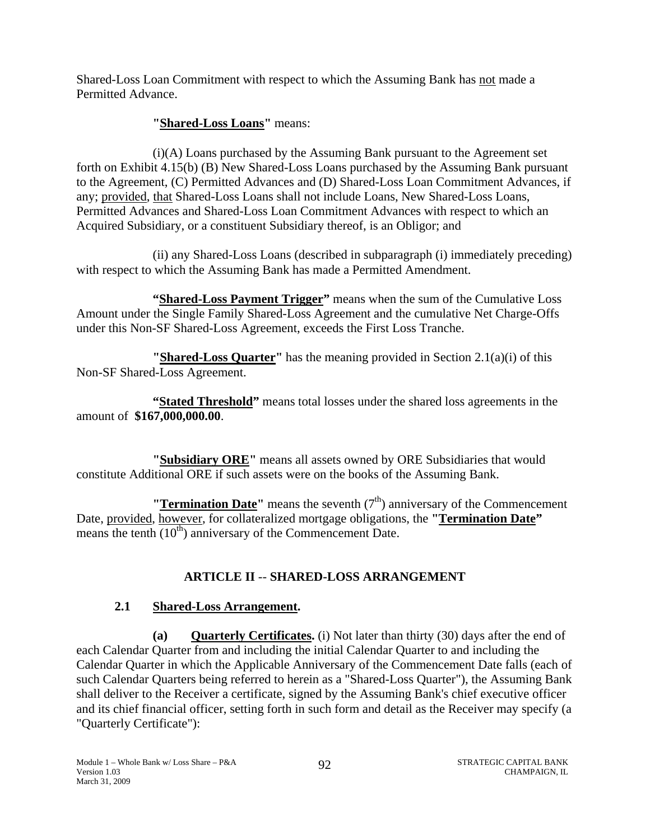Shared-Loss Loan Commitment with respect to which the Assuming Bank has not made a Permitted Advance.

# **"Shared-Loss Loans"** means:

(i)(A) Loans purchased by the Assuming Bank pursuant to the Agreement set forth on Exhibit 4.15(b) (B) New Shared-Loss Loans purchased by the Assuming Bank pursuant to the Agreement, (C) Permitted Advances and (D) Shared-Loss Loan Commitment Advances, if any; provided, that Shared-Loss Loans shall not include Loans, New Shared-Loss Loans, Permitted Advances and Shared-Loss Loan Commitment Advances with respect to which an Acquired Subsidiary, or a constituent Subsidiary thereof, is an Obligor; and

(ii) any Shared-Loss Loans (described in subparagraph (i) immediately preceding) with respect to which the Assuming Bank has made a Permitted Amendment.

**"Shared-Loss Payment Trigger"** means when the sum of the Cumulative Loss Amount under the Single Family Shared-Loss Agreement and the cumulative Net Charge-Offs under this Non-SF Shared-Loss Agreement, exceeds the First Loss Tranche.

**"Shared-Loss Quarter"** has the meaning provided in Section 2.1(a)(i) of this Non-SF Shared-Loss Agreement.

**"Stated Threshold"** means total losses under the shared loss agreements in the amount of **\$167,000,000.00**.

**"Subsidiary ORE"** means all assets owned by ORE Subsidiaries that would constitute Additional ORE if such assets were on the books of the Assuming Bank.

**"Termination Date"** means the seventh (7<sup>th</sup>) anniversary of the Commencement Date, provided, however, for collateralized mortgage obligations, the "**Termination Date**" means the tenth  $(10<sup>th</sup>)$  anniversary of the Commencement Date.

# **ARTICLE II** -- **SHARED-LOSS ARRANGEMENT**

# **2.1 Shared-Loss Arrangement.**

**(a) Quarterly Certificates.** (i) Not later than thirty (30) days after the end of each Calendar Quarter from and including the initial Calendar Quarter to and including the Calendar Quarter in which the Applicable Anniversary of the Commencement Date falls (each of such Calendar Quarters being referred to herein as a "Shared-Loss Quarter"), the Assuming Bank shall deliver to the Receiver a certificate, signed by the Assuming Bank's chief executive officer and its chief financial officer, setting forth in such form and detail as the Receiver may specify (a "Quarterly Certificate"):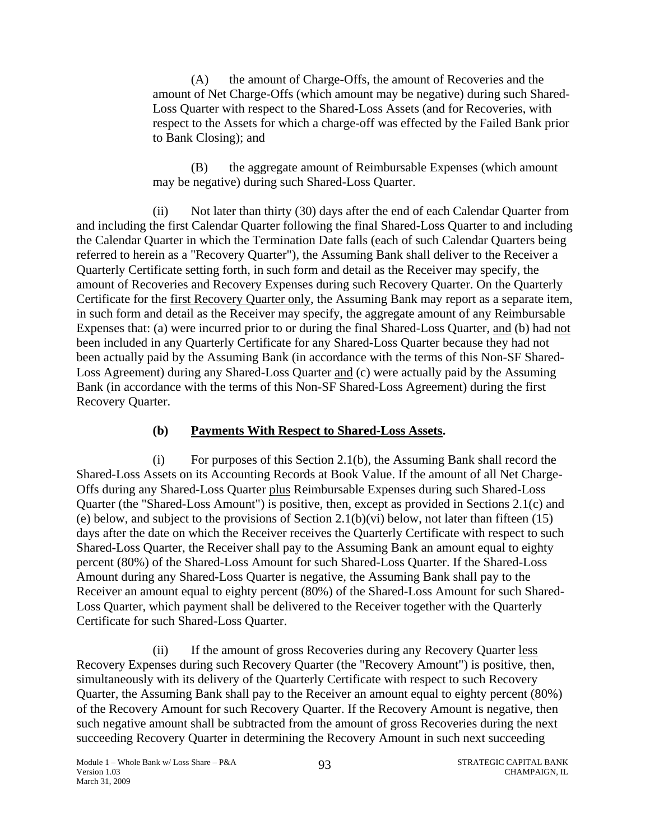(A) the amount of Charge-Offs, the amount of Recoveries and the amount of Net Charge-Offs (which amount may be negative) during such Shared-Loss Quarter with respect to the Shared-Loss Assets (and for Recoveries, with respect to the Assets for which a charge-off was effected by the Failed Bank prior to Bank Closing); and

(B) the aggregate amount of Reimbursable Expenses (which amount may be negative) during such Shared-Loss Quarter.

(ii) Not later than thirty (30) days after the end of each Calendar Quarter from and including the first Calendar Quarter following the final Shared-Loss Quarter to and including the Calendar Quarter in which the Termination Date falls (each of such Calendar Quarters being referred to herein as a "Recovery Quarter"), the Assuming Bank shall deliver to the Receiver a Quarterly Certificate setting forth, in such form and detail as the Receiver may specify, the amount of Recoveries and Recovery Expenses during such Recovery Quarter. On the Quarterly Certificate for the first Recovery Quarter only, the Assuming Bank may report as a separate item, in such form and detail as the Receiver may specify, the aggregate amount of any Reimbursable Expenses that: (a) were incurred prior to or during the final Shared-Loss Quarter, and (b) had not been included in any Quarterly Certificate for any Shared-Loss Quarter because they had not been actually paid by the Assuming Bank (in accordance with the terms of this Non-SF Shared-Loss Agreement) during any Shared-Loss Quarter and (c) were actually paid by the Assuming Bank (in accordance with the terms of this Non-SF Shared-Loss Agreement) during the first Recovery Quarter.

# **(b) Payments With Respect to Shared-Loss Assets.**

(i) For purposes of this Section 2.1(b), the Assuming Bank shall record the Shared-Loss Assets on its Accounting Records at Book Value. If the amount of all Net Charge-Offs during any Shared-Loss Quarter plus Reimbursable Expenses during such Shared-Loss Quarter (the "Shared-Loss Amount") is positive, then, except as provided in Sections 2.1(c) and (e) below, and subject to the provisions of Section 2.1(b)(vi) below, not later than fifteen (15) days after the date on which the Receiver receives the Quarterly Certificate with respect to such Shared-Loss Quarter, the Receiver shall pay to the Assuming Bank an amount equal to eighty percent (80%) of the Shared-Loss Amount for such Shared-Loss Quarter. If the Shared-Loss Amount during any Shared-Loss Quarter is negative, the Assuming Bank shall pay to the Receiver an amount equal to eighty percent (80%) of the Shared-Loss Amount for such Shared-Loss Quarter, which payment shall be delivered to the Receiver together with the Quarterly Certificate for such Shared-Loss Quarter.

(ii) If the amount of gross Recoveries during any Recovery Quarter less Recovery Expenses during such Recovery Quarter (the "Recovery Amount") is positive, then, simultaneously with its delivery of the Quarterly Certificate with respect to such Recovery Quarter, the Assuming Bank shall pay to the Receiver an amount equal to eighty percent (80%) of the Recovery Amount for such Recovery Quarter. If the Recovery Amount is negative, then such negative amount shall be subtracted from the amount of gross Recoveries during the next succeeding Recovery Quarter in determining the Recovery Amount in such next succeeding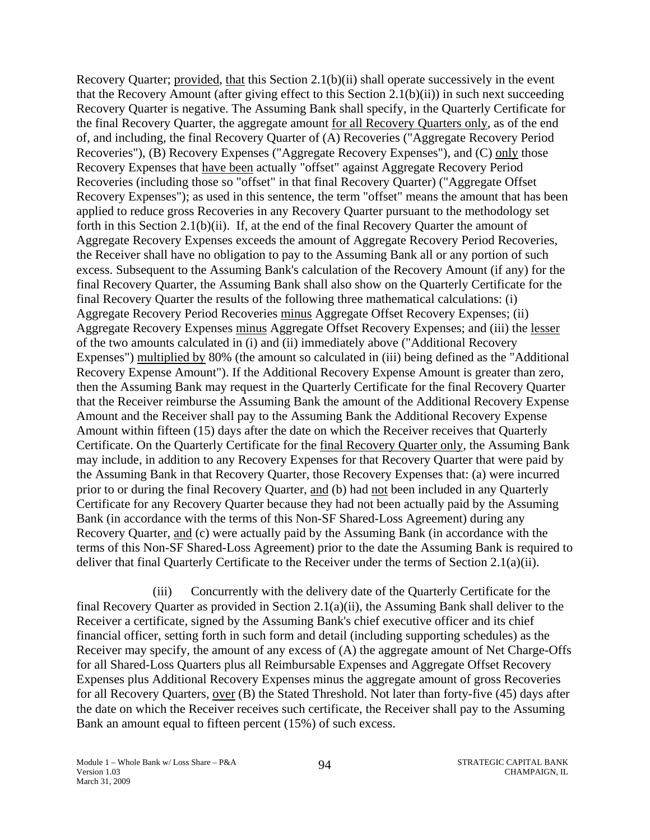Recovery Quarter; provided, that this Section 2.1(b)(ii) shall operate successively in the event that the Recovery Amount (after giving effect to this Section 2.1(b)(ii)) in such next succeeding Recovery Quarter is negative. The Assuming Bank shall specify, in the Quarterly Certificate for the final Recovery Quarter, the aggregate amount for all Recovery Quarters only, as of the end of, and including, the final Recovery Quarter of (A) Recoveries ("Aggregate Recovery Period Recoveries"), (B) Recovery Expenses ("Aggregate Recovery Expenses"), and (C) only those Recovery Expenses that have been actually "offset" against Aggregate Recovery Period Recoveries (including those so "offset" in that final Recovery Quarter) ("Aggregate Offset Recovery Expenses"); as used in this sentence, the term "offset" means the amount that has been applied to reduce gross Recoveries in any Recovery Quarter pursuant to the methodology set forth in this Section 2.1(b)(ii). If, at the end of the final Recovery Quarter the amount of Aggregate Recovery Expenses exceeds the amount of Aggregate Recovery Period Recoveries, the Receiver shall have no obligation to pay to the Assuming Bank all or any portion of such excess. Subsequent to the Assuming Bank's calculation of the Recovery Amount (if any) for the final Recovery Quarter, the Assuming Bank shall also show on the Quarterly Certificate for the final Recovery Quarter the results of the following three mathematical calculations: (i) Aggregate Recovery Period Recoveries minus Aggregate Offset Recovery Expenses; (ii) Aggregate Recovery Expenses minus Aggregate Offset Recovery Expenses; and (iii) the lesser of the two amounts calculated in (i) and (ii) immediately above ("Additional Recovery Expenses") multiplied by 80% (the amount so calculated in (iii) being defined as the "Additional Recovery Expense Amount"). If the Additional Recovery Expense Amount is greater than zero, then the Assuming Bank may request in the Quarterly Certificate for the final Recovery Quarter that the Receiver reimburse the Assuming Bank the amount of the Additional Recovery Expense Amount and the Receiver shall pay to the Assuming Bank the Additional Recovery Expense Amount within fifteen (15) days after the date on which the Receiver receives that Quarterly Certificate. On the Quarterly Certificate for the final Recovery Quarter only, the Assuming Bank may include, in addition to any Recovery Expenses for that Recovery Quarter that were paid by the Assuming Bank in that Recovery Quarter, those Recovery Expenses that: (a) were incurred prior to or during the final Recovery Quarter, and (b) had not been included in any Quarterly Certificate for any Recovery Quarter because they had not been actually paid by the Assuming Bank (in accordance with the terms of this Non-SF Shared-Loss Agreement) during any Recovery Quarter, and (c) were actually paid by the Assuming Bank (in accordance with the terms of this Non-SF Shared-Loss Agreement) prior to the date the Assuming Bank is required to deliver that final Quarterly Certificate to the Receiver under the terms of Section 2.1(a)(ii).

(iii) Concurrently with the delivery date of the Quarterly Certificate for the final Recovery Quarter as provided in Section 2.1(a)(ii), the Assuming Bank shall deliver to the Receiver a certificate, signed by the Assuming Bank's chief executive officer and its chief financial officer, setting forth in such form and detail (including supporting schedules) as the Receiver may specify, the amount of any excess of (A) the aggregate amount of Net Charge-Offs for all Shared-Loss Quarters plus all Reimbursable Expenses and Aggregate Offset Recovery Expenses plus Additional Recovery Expenses minus the aggregate amount of gross Recoveries for all Recovery Quarters, over (B) the Stated Threshold. Not later than forty-five (45) days after the date on which the Receiver receives such certificate, the Receiver shall pay to the Assuming Bank an amount equal to fifteen percent (15%) of such excess.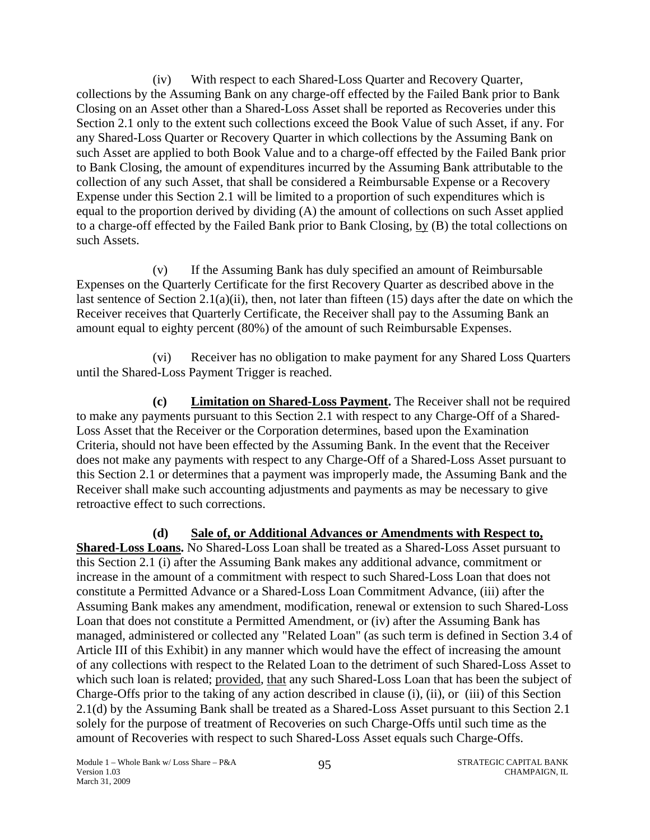(iv) With respect to each Shared-Loss Quarter and Recovery Quarter, collections by the Assuming Bank on any charge-off effected by the Failed Bank prior to Bank Closing on an Asset other than a Shared-Loss Asset shall be reported as Recoveries under this Section 2.1 only to the extent such collections exceed the Book Value of such Asset, if any. For any Shared-Loss Quarter or Recovery Quarter in which collections by the Assuming Bank on such Asset are applied to both Book Value and to a charge-off effected by the Failed Bank prior to Bank Closing, the amount of expenditures incurred by the Assuming Bank attributable to the collection of any such Asset, that shall be considered a Reimbursable Expense or a Recovery Expense under this Section 2.1 will be limited to a proportion of such expenditures which is equal to the proportion derived by dividing (A) the amount of collections on such Asset applied to a charge-off effected by the Failed Bank prior to Bank Closing, by (B) the total collections on such Assets.

(v) If the Assuming Bank has duly specified an amount of Reimbursable Expenses on the Quarterly Certificate for the first Recovery Quarter as described above in the last sentence of Section 2.1(a)(ii), then, not later than fifteen (15) days after the date on which the Receiver receives that Quarterly Certificate, the Receiver shall pay to the Assuming Bank an amount equal to eighty percent (80%) of the amount of such Reimbursable Expenses.

(vi) Receiver has no obligation to make payment for any Shared Loss Quarters until the Shared-Loss Payment Trigger is reached.

**(c) Limitation on Shared-Loss Payment.** The Receiver shall not be required to make any payments pursuant to this Section 2.1 with respect to any Charge-Off of a Shared-Loss Asset that the Receiver or the Corporation determines, based upon the Examination Criteria, should not have been effected by the Assuming Bank. In the event that the Receiver does not make any payments with respect to any Charge-Off of a Shared-Loss Asset pursuant to this Section 2.1 or determines that a payment was improperly made, the Assuming Bank and the Receiver shall make such accounting adjustments and payments as may be necessary to give retroactive effect to such corrections.

**(d) Sale of, or Additional Advances or Amendments with Respect to, Shared-Loss Loans.** No Shared-Loss Loan shall be treated as a Shared-Loss Asset pursuant to this Section 2.1 (i) after the Assuming Bank makes any additional advance, commitment or increase in the amount of a commitment with respect to such Shared-Loss Loan that does not constitute a Permitted Advance or a Shared-Loss Loan Commitment Advance, (iii) after the Assuming Bank makes any amendment, modification, renewal or extension to such Shared-Loss Loan that does not constitute a Permitted Amendment, or (iv) after the Assuming Bank has managed, administered or collected any "Related Loan" (as such term is defined in Section 3.4 of Article III of this Exhibit) in any manner which would have the effect of increasing the amount of any collections with respect to the Related Loan to the detriment of such Shared-Loss Asset to which such loan is related; provided, that any such Shared-Loss Loan that has been the subject of Charge-Offs prior to the taking of any action described in clause (i), (ii), or (iii) of this Section 2.1(d) by the Assuming Bank shall be treated as a Shared-Loss Asset pursuant to this Section 2.1 solely for the purpose of treatment of Recoveries on such Charge-Offs until such time as the amount of Recoveries with respect to such Shared-Loss Asset equals such Charge-Offs.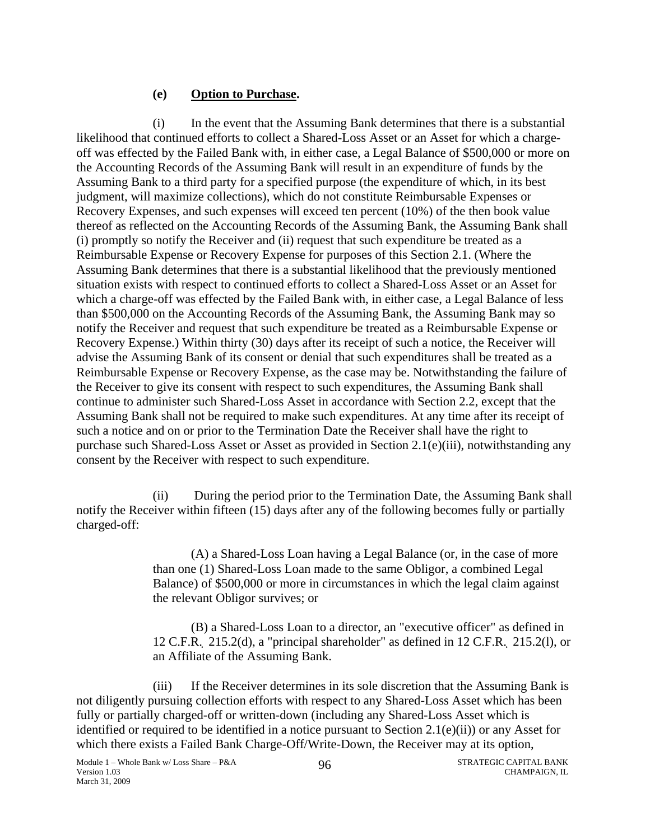### **(e) Option to Purchase.**

(i) In the event that the Assuming Bank determines that there is a substantial likelihood that continued efforts to collect a Shared-Loss Asset or an Asset for which a chargeoff was effected by the Failed Bank with, in either case, a Legal Balance of \$500,000 or more on the Accounting Records of the Assuming Bank will result in an expenditure of funds by the Assuming Bank to a third party for a specified purpose (the expenditure of which, in its best judgment, will maximize collections), which do not constitute Reimbursable Expenses or Recovery Expenses, and such expenses will exceed ten percent (10%) of the then book value thereof as reflected on the Accounting Records of the Assuming Bank, the Assuming Bank shall (i) promptly so notify the Receiver and (ii) request that such expenditure be treated as a Reimbursable Expense or Recovery Expense for purposes of this Section 2.1. (Where the Assuming Bank determines that there is a substantial likelihood that the previously mentioned situation exists with respect to continued efforts to collect a Shared-Loss Asset or an Asset for which a charge-off was effected by the Failed Bank with, in either case, a Legal Balance of less than \$500,000 on the Accounting Records of the Assuming Bank, the Assuming Bank may so notify the Receiver and request that such expenditure be treated as a Reimbursable Expense or Recovery Expense.) Within thirty (30) days after its receipt of such a notice, the Receiver will advise the Assuming Bank of its consent or denial that such expenditures shall be treated as a Reimbursable Expense or Recovery Expense, as the case may be. Notwithstanding the failure of the Receiver to give its consent with respect to such expenditures, the Assuming Bank shall continue to administer such Shared-Loss Asset in accordance with Section 2.2, except that the Assuming Bank shall not be required to make such expenditures. At any time after its receipt of such a notice and on or prior to the Termination Date the Receiver shall have the right to purchase such Shared-Loss Asset or Asset as provided in Section 2.1(e)(iii), notwithstanding any consent by the Receiver with respect to such expenditure.

(ii) During the period prior to the Termination Date, the Assuming Bank shall notify the Receiver within fifteen (15) days after any of the following becomes fully or partially charged-off:

> (A) a Shared-Loss Loan having a Legal Balance (or, in the case of more than one (1) Shared-Loss Loan made to the same Obligor, a combined Legal Balance) of \$500,000 or more in circumstances in which the legal claim against the relevant Obligor survives; or

(B) a Shared-Loss Loan to a director, an "executive officer" as defined in 12 C.F.R. 215.2(d), a "principal shareholder" as defined in 12 C.F.R. 215.2(l), or an Affiliate of the Assuming Bank.

(iii) If the Receiver determines in its sole discretion that the Assuming Bank is not diligently pursuing collection efforts with respect to any Shared-Loss Asset which has been fully or partially charged-off or written-down (including any Shared-Loss Asset which is identified or required to be identified in a notice pursuant to Section 2.1(e)(ii)) or any Asset for which there exists a Failed Bank Charge-Off/Write-Down, the Receiver may at its option,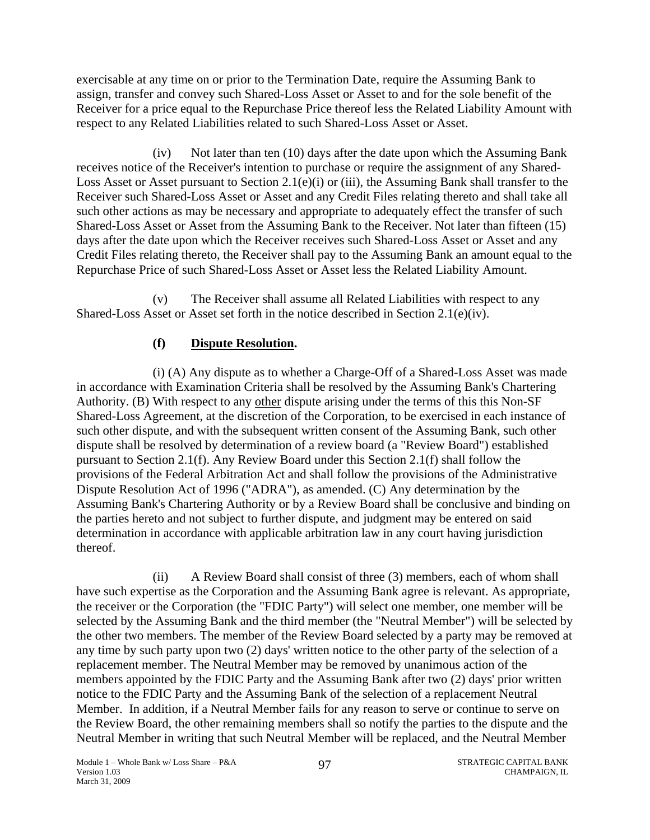exercisable at any time on or prior to the Termination Date, require the Assuming Bank to assign, transfer and convey such Shared-Loss Asset or Asset to and for the sole benefit of the Receiver for a price equal to the Repurchase Price thereof less the Related Liability Amount with respect to any Related Liabilities related to such Shared-Loss Asset or Asset.

(iv) Not later than ten (10) days after the date upon which the Assuming Bank receives notice of the Receiver's intention to purchase or require the assignment of any Shared-Loss Asset or Asset pursuant to Section 2.1(e)(i) or (iii), the Assuming Bank shall transfer to the Receiver such Shared-Loss Asset or Asset and any Credit Files relating thereto and shall take all such other actions as may be necessary and appropriate to adequately effect the transfer of such Shared-Loss Asset or Asset from the Assuming Bank to the Receiver. Not later than fifteen (15) days after the date upon which the Receiver receives such Shared-Loss Asset or Asset and any Credit Files relating thereto, the Receiver shall pay to the Assuming Bank an amount equal to the Repurchase Price of such Shared-Loss Asset or Asset less the Related Liability Amount.

(v) The Receiver shall assume all Related Liabilities with respect to any Shared-Loss Asset or Asset set forth in the notice described in Section 2.1(e)(iv).

# **(f) Dispute Resolution.**

(i) (A) Any dispute as to whether a Charge-Off of a Shared-Loss Asset was made in accordance with Examination Criteria shall be resolved by the Assuming Bank's Chartering Authority. (B) With respect to any other dispute arising under the terms of this this Non-SF Shared-Loss Agreement, at the discretion of the Corporation, to be exercised in each instance of such other dispute, and with the subsequent written consent of the Assuming Bank, such other dispute shall be resolved by determination of a review board (a "Review Board") established pursuant to Section 2.1(f). Any Review Board under this Section 2.1(f) shall follow the provisions of the Federal Arbitration Act and shall follow the provisions of the Administrative Dispute Resolution Act of 1996 ("ADRA"), as amended. (C) Any determination by the Assuming Bank's Chartering Authority or by a Review Board shall be conclusive and binding on the parties hereto and not subject to further dispute, and judgment may be entered on said determination in accordance with applicable arbitration law in any court having jurisdiction thereof.

(ii) A Review Board shall consist of three (3) members, each of whom shall have such expertise as the Corporation and the Assuming Bank agree is relevant. As appropriate, the receiver or the Corporation (the "FDIC Party") will select one member, one member will be selected by the Assuming Bank and the third member (the "Neutral Member") will be selected by the other two members. The member of the Review Board selected by a party may be removed at any time by such party upon two (2) days' written notice to the other party of the selection of a replacement member. The Neutral Member may be removed by unanimous action of the members appointed by the FDIC Party and the Assuming Bank after two (2) days' prior written notice to the FDIC Party and the Assuming Bank of the selection of a replacement Neutral Member. In addition, if a Neutral Member fails for any reason to serve or continue to serve on the Review Board, the other remaining members shall so notify the parties to the dispute and the Neutral Member in writing that such Neutral Member will be replaced, and the Neutral Member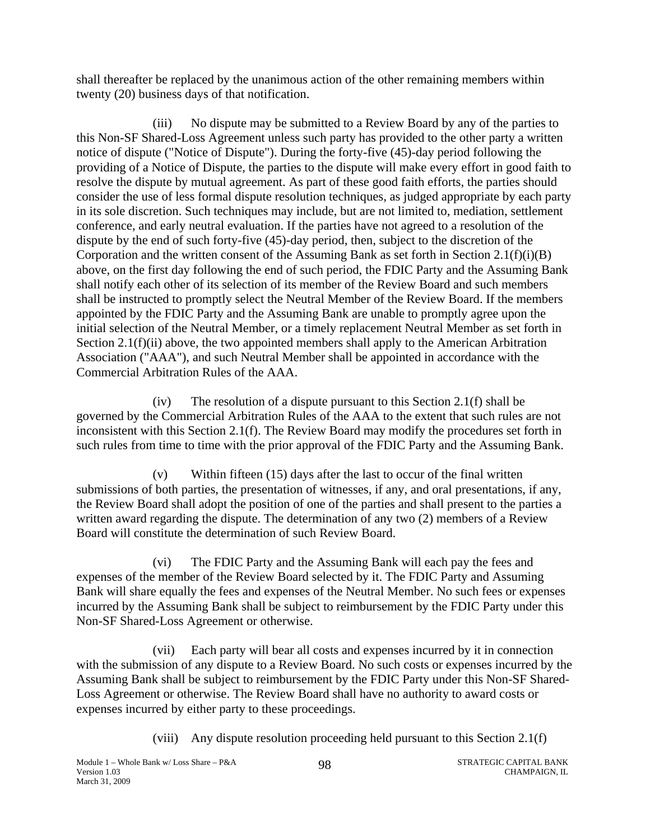shall thereafter be replaced by the unanimous action of the other remaining members within twenty (20) business days of that notification.

(iii) No dispute may be submitted to a Review Board by any of the parties to this Non-SF Shared-Loss Agreement unless such party has provided to the other party a written notice of dispute ("Notice of Dispute"). During the forty-five (45)-day period following the providing of a Notice of Dispute, the parties to the dispute will make every effort in good faith to resolve the dispute by mutual agreement. As part of these good faith efforts, the parties should consider the use of less formal dispute resolution techniques, as judged appropriate by each party in its sole discretion. Such techniques may include, but are not limited to, mediation, settlement conference, and early neutral evaluation. If the parties have not agreed to a resolution of the dispute by the end of such forty-five (45)-day period, then, subject to the discretion of the Corporation and the written consent of the Assuming Bank as set forth in Section  $2.1(f)(i)(B)$ above, on the first day following the end of such period, the FDIC Party and the Assuming Bank shall notify each other of its selection of its member of the Review Board and such members shall be instructed to promptly select the Neutral Member of the Review Board. If the members appointed by the FDIC Party and the Assuming Bank are unable to promptly agree upon the initial selection of the Neutral Member, or a timely replacement Neutral Member as set forth in Section 2.1(f)(ii) above, the two appointed members shall apply to the American Arbitration Association ("AAA"), and such Neutral Member shall be appointed in accordance with the Commercial Arbitration Rules of the AAA.

(iv) The resolution of a dispute pursuant to this Section 2.1(f) shall be governed by the Commercial Arbitration Rules of the AAA to the extent that such rules are not inconsistent with this Section 2.1(f). The Review Board may modify the procedures set forth in such rules from time to time with the prior approval of the FDIC Party and the Assuming Bank.

(v) Within fifteen (15) days after the last to occur of the final written submissions of both parties, the presentation of witnesses, if any, and oral presentations, if any, the Review Board shall adopt the position of one of the parties and shall present to the parties a written award regarding the dispute. The determination of any two (2) members of a Review Board will constitute the determination of such Review Board.

(vi) The FDIC Party and the Assuming Bank will each pay the fees and expenses of the member of the Review Board selected by it. The FDIC Party and Assuming Bank will share equally the fees and expenses of the Neutral Member. No such fees or expenses incurred by the Assuming Bank shall be subject to reimbursement by the FDIC Party under this Non-SF Shared-Loss Agreement or otherwise.

(vii) Each party will bear all costs and expenses incurred by it in connection with the submission of any dispute to a Review Board. No such costs or expenses incurred by the Assuming Bank shall be subject to reimbursement by the FDIC Party under this Non-SF Shared-Loss Agreement or otherwise. The Review Board shall have no authority to award costs or expenses incurred by either party to these proceedings.

(viii) Any dispute resolution proceeding held pursuant to this Section 2.1(f)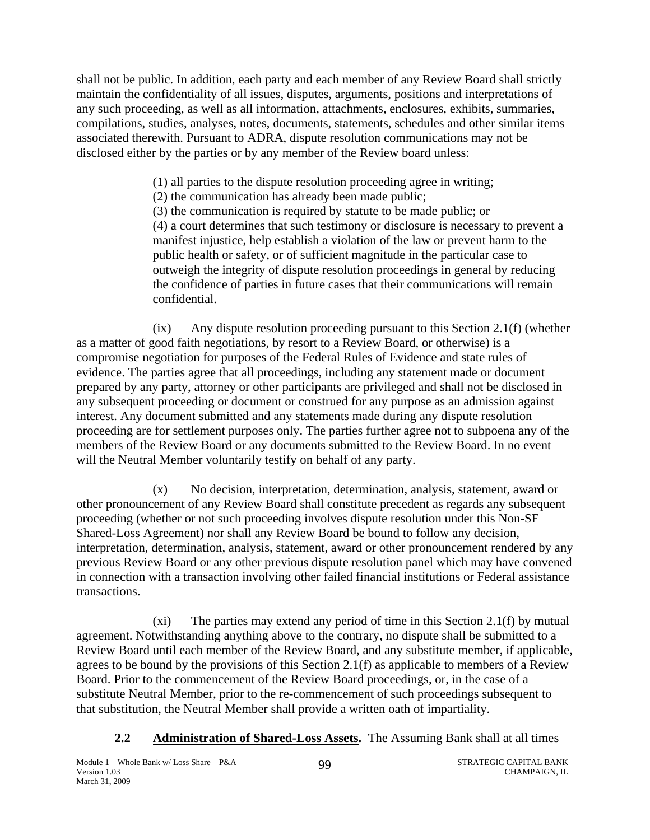shall not be public. In addition, each party and each member of any Review Board shall strictly maintain the confidentiality of all issues, disputes, arguments, positions and interpretations of any such proceeding, as well as all information, attachments, enclosures, exhibits, summaries, compilations, studies, analyses, notes, documents, statements, schedules and other similar items associated therewith. Pursuant to ADRA, dispute resolution communications may not be disclosed either by the parties or by any member of the Review board unless:

(1) all parties to the dispute resolution proceeding agree in writing;

(2) the communication has already been made public;

(3) the communication is required by statute to be made public; or (4) a court determines that such testimony or disclosure is necessary to prevent a manifest injustice, help establish a violation of the law or prevent harm to the public health or safety, or of sufficient magnitude in the particular case to outweigh the integrity of dispute resolution proceedings in general by reducing the confidence of parties in future cases that their communications will remain confidential.

 $(ix)$  Any dispute resolution proceeding pursuant to this Section 2.1(f) (whether as a matter of good faith negotiations, by resort to a Review Board, or otherwise) is a compromise negotiation for purposes of the Federal Rules of Evidence and state rules of evidence. The parties agree that all proceedings, including any statement made or document prepared by any party, attorney or other participants are privileged and shall not be disclosed in any subsequent proceeding or document or construed for any purpose as an admission against interest. Any document submitted and any statements made during any dispute resolution proceeding are for settlement purposes only. The parties further agree not to subpoena any of the members of the Review Board or any documents submitted to the Review Board. In no event will the Neutral Member voluntarily testify on behalf of any party.

(x) No decision, interpretation, determination, analysis, statement, award or other pronouncement of any Review Board shall constitute precedent as regards any subsequent proceeding (whether or not such proceeding involves dispute resolution under this Non-SF Shared-Loss Agreement) nor shall any Review Board be bound to follow any decision, interpretation, determination, analysis, statement, award or other pronouncement rendered by any previous Review Board or any other previous dispute resolution panel which may have convened in connection with a transaction involving other failed financial institutions or Federal assistance transactions.

(xi) The parties may extend any period of time in this Section 2.1(f) by mutual agreement. Notwithstanding anything above to the contrary, no dispute shall be submitted to a Review Board until each member of the Review Board, and any substitute member, if applicable, agrees to be bound by the provisions of this Section 2.1(f) as applicable to members of a Review Board. Prior to the commencement of the Review Board proceedings, or, in the case of a substitute Neutral Member, prior to the re-commencement of such proceedings subsequent to that substitution, the Neutral Member shall provide a written oath of impartiality.

**2.2 Administration of Shared-Loss Assets.** The Assuming Bank shall at all times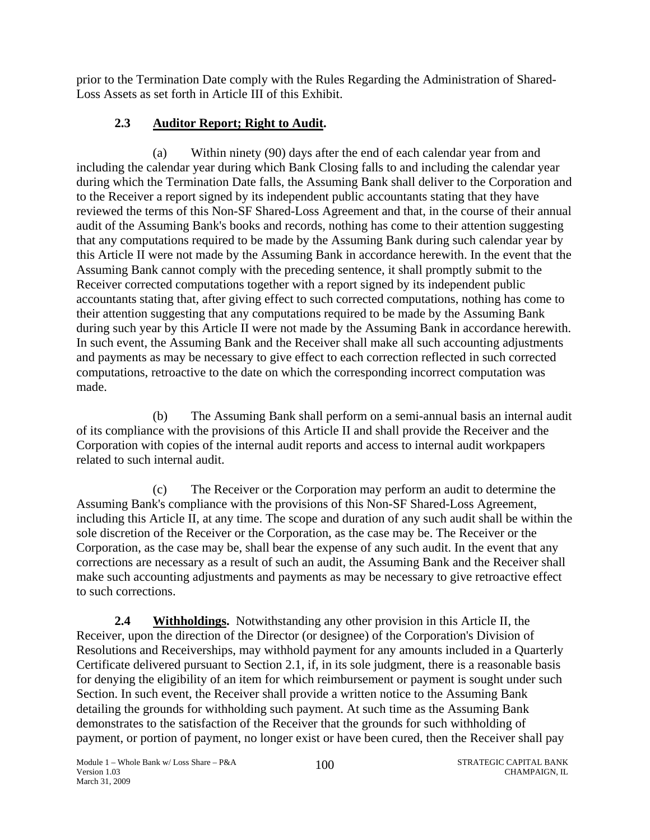prior to the Termination Date comply with the Rules Regarding the Administration of Shared-Loss Assets as set forth in Article III of this Exhibit.

# **2.3 Auditor Report; Right to Audit.**

(a) Within ninety (90) days after the end of each calendar year from and including the calendar year during which Bank Closing falls to and including the calendar year during which the Termination Date falls, the Assuming Bank shall deliver to the Corporation and to the Receiver a report signed by its independent public accountants stating that they have reviewed the terms of this Non-SF Shared-Loss Agreement and that, in the course of their annual audit of the Assuming Bank's books and records, nothing has come to their attention suggesting that any computations required to be made by the Assuming Bank during such calendar year by this Article II were not made by the Assuming Bank in accordance herewith. In the event that the Assuming Bank cannot comply with the preceding sentence, it shall promptly submit to the Receiver corrected computations together with a report signed by its independent public accountants stating that, after giving effect to such corrected computations, nothing has come to their attention suggesting that any computations required to be made by the Assuming Bank during such year by this Article II were not made by the Assuming Bank in accordance herewith. In such event, the Assuming Bank and the Receiver shall make all such accounting adjustments and payments as may be necessary to give effect to each correction reflected in such corrected computations, retroactive to the date on which the corresponding incorrect computation was made.

(b) The Assuming Bank shall perform on a semi-annual basis an internal audit of its compliance with the provisions of this Article II and shall provide the Receiver and the Corporation with copies of the internal audit reports and access to internal audit workpapers related to such internal audit.

(c) The Receiver or the Corporation may perform an audit to determine the Assuming Bank's compliance with the provisions of this Non-SF Shared-Loss Agreement, including this Article II, at any time. The scope and duration of any such audit shall be within the sole discretion of the Receiver or the Corporation, as the case may be. The Receiver or the Corporation, as the case may be, shall bear the expense of any such audit. In the event that any corrections are necessary as a result of such an audit, the Assuming Bank and the Receiver shall make such accounting adjustments and payments as may be necessary to give retroactive effect to such corrections.

**2.4 Withholdings.** Notwithstanding any other provision in this Article II, the Receiver, upon the direction of the Director (or designee) of the Corporation's Division of Resolutions and Receiverships, may withhold payment for any amounts included in a Quarterly Certificate delivered pursuant to Section 2.1, if, in its sole judgment, there is a reasonable basis for denying the eligibility of an item for which reimbursement or payment is sought under such Section. In such event, the Receiver shall provide a written notice to the Assuming Bank detailing the grounds for withholding such payment. At such time as the Assuming Bank demonstrates to the satisfaction of the Receiver that the grounds for such withholding of payment, or portion of payment, no longer exist or have been cured, then the Receiver shall pay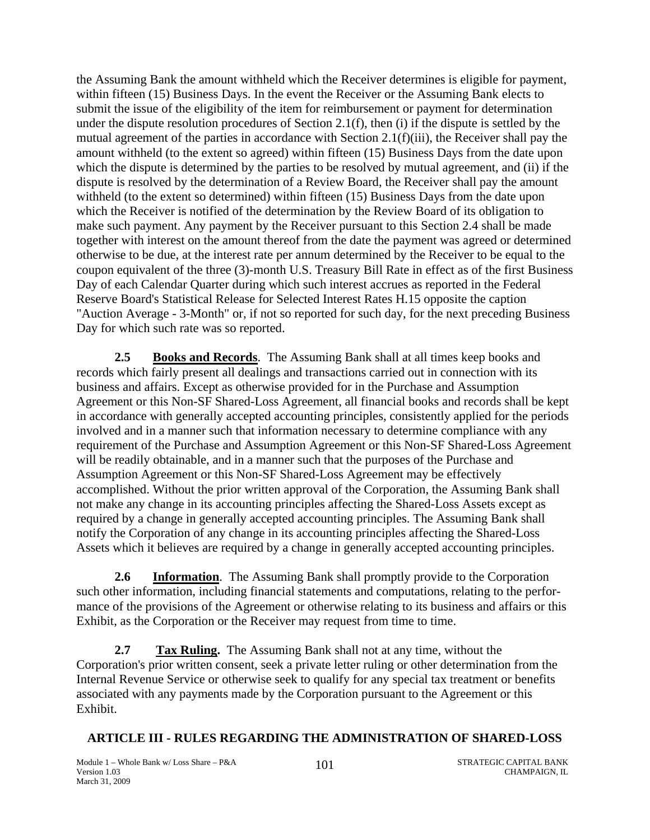the Assuming Bank the amount withheld which the Receiver determines is eligible for payment, within fifteen (15) Business Days. In the event the Receiver or the Assuming Bank elects to submit the issue of the eligibility of the item for reimbursement or payment for determination under the dispute resolution procedures of Section 2.1(f), then (i) if the dispute is settled by the mutual agreement of the parties in accordance with Section 2.1(f)(iii), the Receiver shall pay the amount withheld (to the extent so agreed) within fifteen (15) Business Days from the date upon which the dispute is determined by the parties to be resolved by mutual agreement, and (ii) if the dispute is resolved by the determination of a Review Board, the Receiver shall pay the amount withheld (to the extent so determined) within fifteen (15) Business Days from the date upon which the Receiver is notified of the determination by the Review Board of its obligation to make such payment. Any payment by the Receiver pursuant to this Section 2.4 shall be made together with interest on the amount thereof from the date the payment was agreed or determined otherwise to be due, at the interest rate per annum determined by the Receiver to be equal to the coupon equivalent of the three (3)-month U.S. Treasury Bill Rate in effect as of the first Business Day of each Calendar Quarter during which such interest accrues as reported in the Federal Reserve Board's Statistical Release for Selected Interest Rates H.15 opposite the caption "Auction Average - 3-Month" or, if not so reported for such day, for the next preceding Business Day for which such rate was so reported.

**2.5 Books and Records**. The Assuming Bank shall at all times keep books and records which fairly present all dealings and transactions carried out in connection with its business and affairs. Except as otherwise provided for in the Purchase and Assumption Agreement or this Non-SF Shared-Loss Agreement, all financial books and records shall be kept in accordance with generally accepted accounting principles, consistently applied for the periods involved and in a manner such that information necessary to determine compliance with any requirement of the Purchase and Assumption Agreement or this Non-SF Shared-Loss Agreement will be readily obtainable, and in a manner such that the purposes of the Purchase and Assumption Agreement or this Non-SF Shared-Loss Agreement may be effectively accomplished. Without the prior written approval of the Corporation, the Assuming Bank shall not make any change in its accounting principles affecting the Shared-Loss Assets except as required by a change in generally accepted accounting principles. The Assuming Bank shall notify the Corporation of any change in its accounting principles affecting the Shared-Loss Assets which it believes are required by a change in generally accepted accounting principles.

**2.6 Information.** The Assuming Bank shall promptly provide to the Corporation such other information, including financial statements and computations, relating to the performance of the provisions of the Agreement or otherwise relating to its business and affairs or this Exhibit, as the Corporation or the Receiver may request from time to time.

**2.7 Tax Ruling.** The Assuming Bank shall not at any time, without the Corporation's prior written consent, seek a private letter ruling or other determination from the Internal Revenue Service or otherwise seek to qualify for any special tax treatment or benefits associated with any payments made by the Corporation pursuant to the Agreement or this Exhibit.

#### **ARTICLE III - RULES REGARDING THE ADMINISTRATION OF SHARED-LOSS**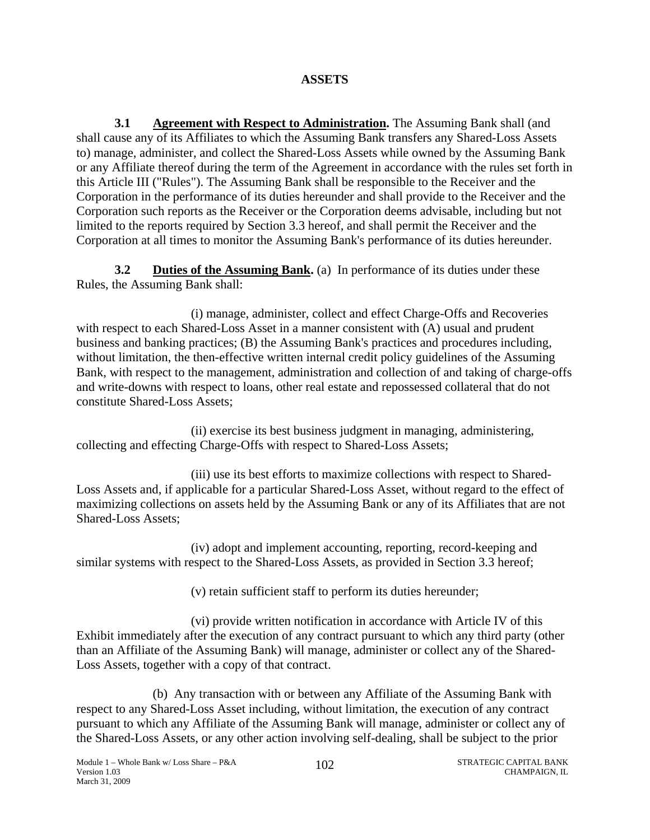### **ASSETS**

**3.1 Agreement with Respect to Administration.** The Assuming Bank shall (and shall cause any of its Affiliates to which the Assuming Bank transfers any Shared-Loss Assets to) manage, administer, and collect the Shared-Loss Assets while owned by the Assuming Bank or any Affiliate thereof during the term of the Agreement in accordance with the rules set forth in this Article III ("Rules"). The Assuming Bank shall be responsible to the Receiver and the Corporation in the performance of its duties hereunder and shall provide to the Receiver and the Corporation such reports as the Receiver or the Corporation deems advisable, including but not limited to the reports required by Section 3.3 hereof, and shall permit the Receiver and the Corporation at all times to monitor the Assuming Bank's performance of its duties hereunder.

**3.2 Duties of the Assuming Bank.** (a) In performance of its duties under these Rules, the Assuming Bank shall:

(i) manage, administer, collect and effect Charge-Offs and Recoveries with respect to each Shared-Loss Asset in a manner consistent with (A) usual and prudent business and banking practices; (B) the Assuming Bank's practices and procedures including, without limitation, the then-effective written internal credit policy guidelines of the Assuming Bank, with respect to the management, administration and collection of and taking of charge-offs and write-downs with respect to loans, other real estate and repossessed collateral that do not constitute Shared-Loss Assets;

(ii) exercise its best business judgment in managing, administering, collecting and effecting Charge-Offs with respect to Shared-Loss Assets;

(iii) use its best efforts to maximize collections with respect to Shared-Loss Assets and, if applicable for a particular Shared-Loss Asset, without regard to the effect of maximizing collections on assets held by the Assuming Bank or any of its Affiliates that are not Shared-Loss Assets;

(iv) adopt and implement accounting, reporting, record-keeping and similar systems with respect to the Shared-Loss Assets, as provided in Section 3.3 hereof;

(v) retain sufficient staff to perform its duties hereunder;

(vi) provide written notification in accordance with Article IV of this Exhibit immediately after the execution of any contract pursuant to which any third party (other than an Affiliate of the Assuming Bank) will manage, administer or collect any of the Shared-Loss Assets, together with a copy of that contract.

(b) Any transaction with or between any Affiliate of the Assuming Bank with respect to any Shared-Loss Asset including, without limitation, the execution of any contract pursuant to which any Affiliate of the Assuming Bank will manage, administer or collect any of the Shared-Loss Assets, or any other action involving self-dealing, shall be subject to the prior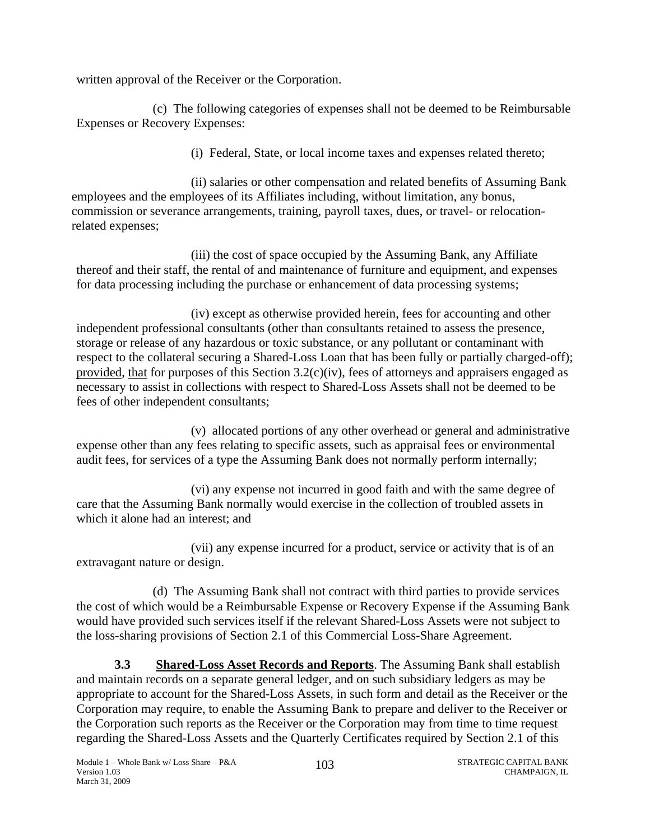written approval of the Receiver or the Corporation.

(c) The following categories of expenses shall not be deemed to be Reimbursable Expenses or Recovery Expenses:

(i) Federal, State, or local income taxes and expenses related thereto;

(ii) salaries or other compensation and related benefits of Assuming Bank employees and the employees of its Affiliates including, without limitation, any bonus, commission or severance arrangements, training, payroll taxes, dues, or travel- or relocationrelated expenses;

(iii) the cost of space occupied by the Assuming Bank, any Affiliate thereof and their staff, the rental of and maintenance of furniture and equipment, and expenses for data processing including the purchase or enhancement of data processing systems;

(iv) except as otherwise provided herein, fees for accounting and other independent professional consultants (other than consultants retained to assess the presence, storage or release of any hazardous or toxic substance, or any pollutant or contaminant with respect to the collateral securing a Shared-Loss Loan that has been fully or partially charged-off); provided, that for purposes of this Section 3.2(c)(iv), fees of attorneys and appraisers engaged as necessary to assist in collections with respect to Shared-Loss Assets shall not be deemed to be fees of other independent consultants;

(v) allocated portions of any other overhead or general and administrative expense other than any fees relating to specific assets, such as appraisal fees or environmental audit fees, for services of a type the Assuming Bank does not normally perform internally;

(vi) any expense not incurred in good faith and with the same degree of care that the Assuming Bank normally would exercise in the collection of troubled assets in which it alone had an interest; and

(vii) any expense incurred for a product, service or activity that is of an extravagant nature or design.

(d) The Assuming Bank shall not contract with third parties to provide services the cost of which would be a Reimbursable Expense or Recovery Expense if the Assuming Bank would have provided such services itself if the relevant Shared-Loss Assets were not subject to the loss-sharing provisions of Section 2.1 of this Commercial Loss-Share Agreement.

**3.3 Shared-Loss Asset Records and Reports**. The Assuming Bank shall establish and maintain records on a separate general ledger, and on such subsidiary ledgers as may be appropriate to account for the Shared-Loss Assets, in such form and detail as the Receiver or the Corporation may require, to enable the Assuming Bank to prepare and deliver to the Receiver or the Corporation such reports as the Receiver or the Corporation may from time to time request regarding the Shared-Loss Assets and the Quarterly Certificates required by Section 2.1 of this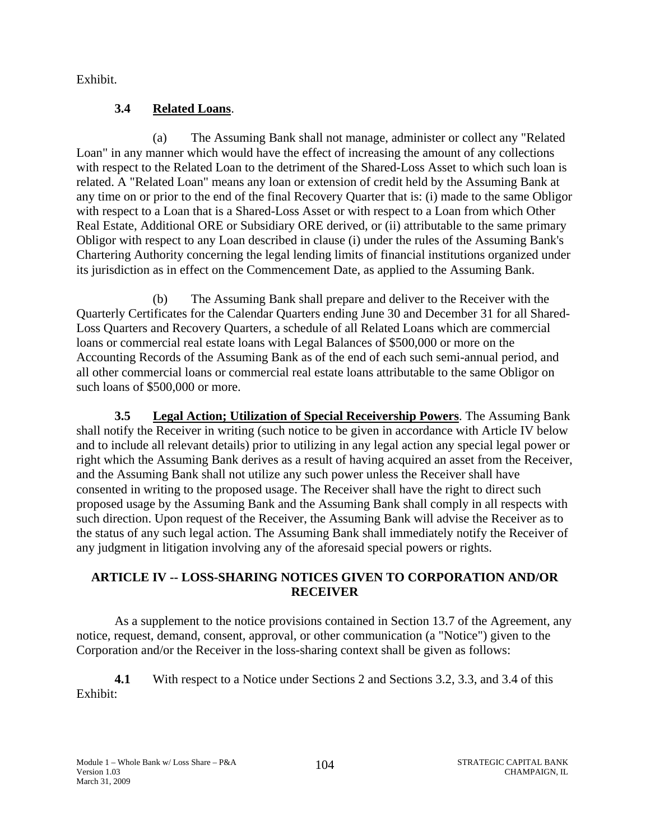Exhibit.

# **3.4 Related Loans**.

(a) The Assuming Bank shall not manage, administer or collect any "Related Loan" in any manner which would have the effect of increasing the amount of any collections with respect to the Related Loan to the detriment of the Shared-Loss Asset to which such loan is related. A "Related Loan" means any loan or extension of credit held by the Assuming Bank at any time on or prior to the end of the final Recovery Quarter that is: (i) made to the same Obligor with respect to a Loan that is a Shared-Loss Asset or with respect to a Loan from which Other Real Estate, Additional ORE or Subsidiary ORE derived, or (ii) attributable to the same primary Obligor with respect to any Loan described in clause (i) under the rules of the Assuming Bank's Chartering Authority concerning the legal lending limits of financial institutions organized under its jurisdiction as in effect on the Commencement Date, as applied to the Assuming Bank.

(b) The Assuming Bank shall prepare and deliver to the Receiver with the Quarterly Certificates for the Calendar Quarters ending June 30 and December 31 for all Shared-Loss Quarters and Recovery Quarters, a schedule of all Related Loans which are commercial loans or commercial real estate loans with Legal Balances of \$500,000 or more on the Accounting Records of the Assuming Bank as of the end of each such semi-annual period, and all other commercial loans or commercial real estate loans attributable to the same Obligor on such loans of \$500,000 or more.

**3.5 Legal Action; Utilization of Special Receivership Powers**. The Assuming Bank shall notify the Receiver in writing (such notice to be given in accordance with Article IV below and to include all relevant details) prior to utilizing in any legal action any special legal power or right which the Assuming Bank derives as a result of having acquired an asset from the Receiver, and the Assuming Bank shall not utilize any such power unless the Receiver shall have consented in writing to the proposed usage. The Receiver shall have the right to direct such proposed usage by the Assuming Bank and the Assuming Bank shall comply in all respects with such direction. Upon request of the Receiver, the Assuming Bank will advise the Receiver as to the status of any such legal action. The Assuming Bank shall immediately notify the Receiver of any judgment in litigation involving any of the aforesaid special powers or rights.

# **ARTICLE IV -- LOSS-SHARING NOTICES GIVEN TO CORPORATION AND/OR RECEIVER**

As a supplement to the notice provisions contained in Section 13.7 of the Agreement, any notice, request, demand, consent, approval, or other communication (a "Notice") given to the Corporation and/or the Receiver in the loss-sharing context shall be given as follows:

**4.1** With respect to a Notice under Sections 2 and Sections 3.2, 3.3, and 3.4 of this Exhibit: